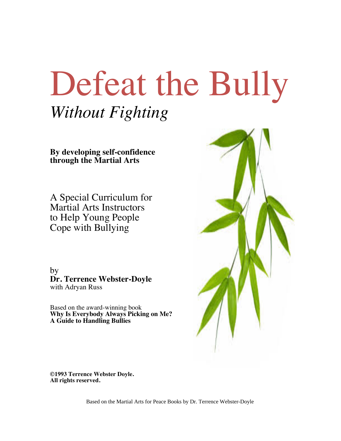# Defeat the Bully *Without Fighting*

**By developing self-confidence through the Martial Arts**

A Special Curriculum for Martial Arts Instructors to Help Young People Cope with Bullying

by **Dr. Terrence Webster-Doyle** with Adryan Russ

Based on the award-winning book **Why Is Everybody Always Picking on Me? A Guide to Handling Bullies**



**©1993 Terrence Webster Doyle. All rights reserved.** 

Based on the Martial Arts for Peace Books by Dr. Terrence Webster-Doyle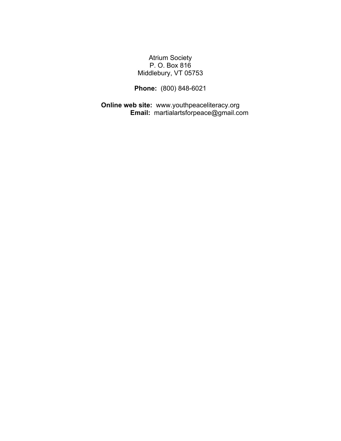Atrium Society P. O. Box 816 Middlebury, VT 05753

**Phone:** (800) 848-6021

**Online web site:** www.youthpeaceliteracy.org **Email:** martialartsforpeace@gmail.com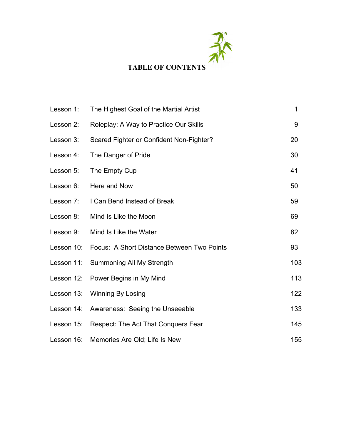

| Lesson 1:  | The Highest Goal of the Martial Artist     | 1   |
|------------|--------------------------------------------|-----|
| Lesson 2:  | Roleplay: A Way to Practice Our Skills     | 9   |
| Lesson 3:  | Scared Fighter or Confident Non-Fighter?   | 20  |
| Lesson 4:  | The Danger of Pride                        | 30  |
| Lesson 5:  | The Empty Cup                              | 41  |
| Lesson 6:  | Here and Now                               | 50  |
| Lesson 7:  | I Can Bend Instead of Break                | 59  |
| Lesson 8:  | Mind Is Like the Moon                      | 69  |
| Lesson 9:  | Mind Is Like the Water                     | 82  |
| Lesson 10: | Focus: A Short Distance Between Two Points | 93  |
| Lesson 11: | <b>Summoning All My Strength</b>           | 103 |
| Lesson 12: | Power Begins in My Mind                    | 113 |
| Lesson 13: | <b>Winning By Losing</b>                   | 122 |
| Lesson 14: | Awareness: Seeing the Unseeable            | 133 |
| Lesson 15: | Respect: The Act That Conquers Fear        | 145 |
| Lesson 16: | Memories Are Old; Life Is New              | 155 |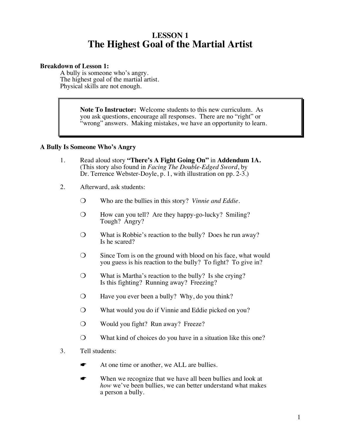## **LESSON 1 The Highest Goal of the Martial Artist**

#### **Breakdown of Lesson 1:**

A bully is someone who's angry. The highest goal of the martial artist. Physical skills are not enough.

> **Note To Instructor:** Welcome students to this new curriculum. As you ask questions, encourage all responses. There are no "right" or "wrong" answers. Making mistakes, we have an opportunity to learn.

## **A Bully Is Someone Who's Angry**

- 1. Read aloud story **"There's A Fight Going On"** in **Addendum 1A.** (This story also found in *Facing The Double-Edged Sword*, by Dr. Terrence Webster-Doyle, p. 1, with illustration on pp. 2-3.)
- 2. Afterward, ask students:
	- ! Who are the bullies in this story? *Vinnie and Eddie.*
	- ! How can you tell? Are they happy-go-lucky? Smiling? Tough? Angry?
	- ! What is Robbie's reaction to the bully? Does he run away? Is he scared?
	- ! Since Tom is on the ground with blood on his face, what would you guess is his reaction to the bully? To fight? To give in?
	- ! What is Martha's reaction to the bully? Is she crying? Is this fighting? Running away? Freezing?
	- $\bigcirc$  Have you ever been a bully? Why, do you think?
	- ! What would you do if Vinnie and Eddie picked on you?
	- O Would you fight? Run away? Freeze?
	- ! What kind of choices do you have in a situation like this one?
- 3. Tell students:
	- At one time or another, we ALL are bullies.
	- When we recognize that we have all been bullies and look at *how* we've been bullies, we can better understand what makes a person a bully.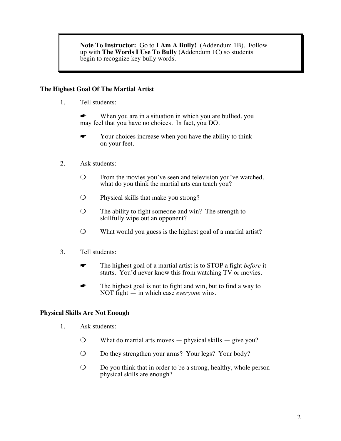**Note To Instructor:** Go to **I Am A Bully!** (Addendum 1B). Follow up with **The Words I Use To Bully** (Addendum 1C) so students begin to recognize key bully words.

## **The Highest Goal Of The Martial Artist**

1. Tell students:

When you are in a situation in which you are bullied, you may feel that you have no choices. In fact, you DO.

- Your choices increase when you have the ability to think on your feet.
- 2. Ask students:
	- ! From the movies you've seen and television you've watched, what do you think the martial arts can teach you?
	- ! Physical skills that make you strong?
	- ! The ability to fight someone and win? The strength to skillfully wipe out an opponent?
	- ! What would you guess is the highest goal of a martial artist?
- 3. Tell students:
	- **The highest goal of a martial artist is to STOP a fight** *before* **it** starts. You'd never know this from watching TV or movies.
	- The highest goal is not to fight and win, but to find a way to NOT fight — in which case *everyone* wins.

## **Physical Skills Are Not Enough**

- 1. Ask students:
	- $\bigcirc$  What do martial arts moves physical skills give you?
	- ! Do they strengthen your arms? Your legs? Your body?
	- ! Do you think that in order to be a strong, healthy, whole person physical skills are enough?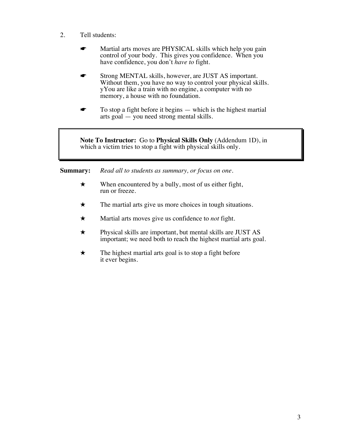- 2. Tell students:
	- Martial arts moves are PHYSICAL skills which help you gain control of your body. This gives you confidence. When you have confidence, you don't *have to* fight.
	- Strong MENTAL skills, however, are JUST AS important. Without them, you have no way to control your physical skills. yYou are like a train with no engine, a computer with no memory, a house with no foundation.
	- To stop a fight before it begins  $-$  which is the highest martial arts goal — you need strong mental skills.

**Note To Instructor:** Go to **Physical Skills Only** (Addendum 1D), in which a victim tries to stop a fight with physical skills only.

**Summary:** *Read all to students as summary, or focus on one.*

- $\star$  When encountered by a bully, most of us either fight, run or freeze.
- $\star$  The martial arts give us more choices in tough situations.
- **★** Martial arts moves give us confidence to *not* fight.
- $\star$  Physical skills are important, but mental skills are JUST AS important; we need both to reach the highest martial arts goal.
- $\star$  The highest martial arts goal is to stop a fight before it ever begins.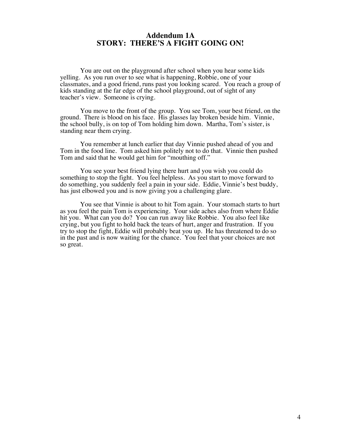#### **Addendum 1A STORY: THERE'S A FIGHT GOING ON!**

You are out on the playground after school when you hear some kids yelling. As you run over to see what is happening, Robbie, one of your classmates, and a good friend, runs past you looking scared. You reach a group of kids standing at the far edge of the school playground, out of sight of any teacher's view. Someone is crying.

You move to the front of the group. You see Tom, your best friend, on the ground. There is blood on his face. His glasses lay broken beside him. Vinnie, the school bully, is on top of Tom holding him down. Martha, Tom's sister, is standing near them crying.

You remember at lunch earlier that day Vinnie pushed ahead of you and Tom in the food line. Tom asked him politely not to do that. Vinnie then pushed Tom and said that he would get him for "mouthing off."

You see your best friend lying there hurt and you wish you could do something to stop the fight. You feel helpless. As you start to move forward to do something, you suddenly feel a pain in your side. Eddie, Vinnie's best buddy, has just elbowed you and is now giving you a challenging glare.

You see that Vinnie is about to hit Tom again. Your stomach starts to hurt as you feel the pain Tom is experiencing. Your side aches also from where Eddie hit you. What can you do? You can run away like Robbie. You also feel like crying, but you fight to hold back the tears of hurt, anger and frustration. If you try to stop the fight, Eddie will probably beat you up. He has threatened to do so in the past and is now waiting for the chance. You feel that your choices are not so great.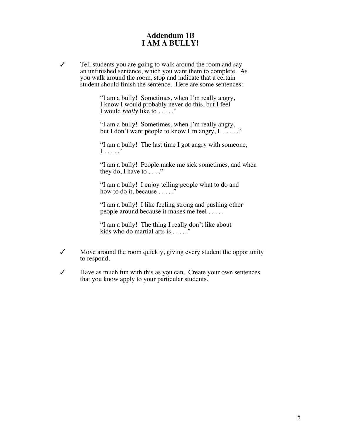## **Addendum 1B I AM A BULLY!**

 $\checkmark$  Tell students you are going to walk around the room and say an unfinished sentence, which you want them to complete. As you walk around the room, stop and indicate that a certain student should finish the sentence. Here are some sentences:

> "I am a bully! Sometimes, when I'm really angry, I know I would probably never do this, but I feel I would *really* like to . . . . ."

"I am a bully! Sometimes, when I'm really angry, but I don't want people to know I'm angry,  $I \ldots$ ."

"I am a bully! The last time I got angry with someone, I . . . . ."

"I am a bully! People make me sick sometimes, and when they do, I have to  $\ldots$ ."

"I am a bully! I enjoy telling people what to do and how to do it, because  $\ldots$ .

"I am a bully! I like feeling strong and pushing other people around because it makes me feel . . . . .

"I am a bully! The thing I really don't like about kids who do martial arts is  $\dots$ ."

- $\checkmark$  Move around the room quickly, giving every student the opportunity to respond.
- $\checkmark$  Have as much fun with this as you can. Create your own sentences that you know apply to your particular students.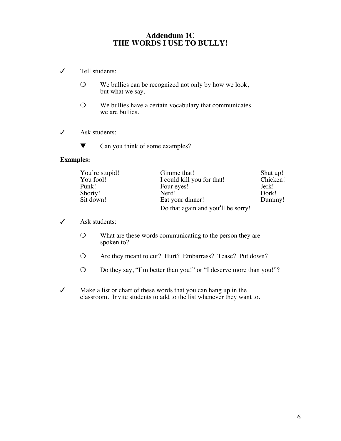## **Addendum 1C THE WORDS I USE TO BULLY!**

- $\checkmark$  Tell students:
	- ! We bullies can be recognized not only by how we look, but what we say.
	- ! We bullies have a certain vocabulary that communicates we are bullies.
- $\checkmark$  Ask students:
	- $\nabla$  Can you think of some examples?

#### **Examples:**

| You're stupid! | Gimme that!                        | Shut up! |
|----------------|------------------------------------|----------|
| You fool!      | I could kill you for that!         | Chicken! |
| Punk!          | Four eyes!                         | Jerk!    |
| Shorty!        | Nerd!                              | Dork!    |
| Sit down!      | Eat your dinner!                   | Dummy!   |
|                | Do that again and you'll be sorry! |          |

## $\checkmark$  Ask students:

- ! What are these words communicating to the person they are spoken to?
- ! Are they meant to cut? Hurt? Embarrass? Tease? Put down?
- ! Do they say, "I'm better than you!" or "I deserve more than you!"?
- $\checkmark$  Make a list or chart of these words that you can hang up in the classroom. Invite students to add to the list whenever they want to.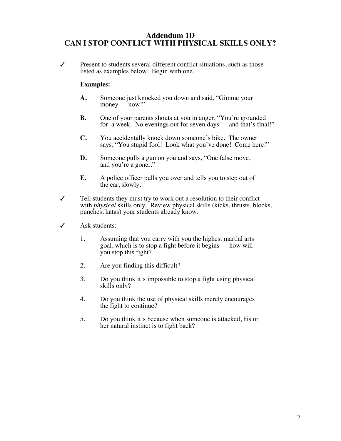## **Addendum 1D CAN I STOP CONFLICT WITH PHYSICAL SKILLS ONLY?**

 $\checkmark$  Present to students several different conflict situations, such as those listed as examples below. Begin with one.

### **Examples:**

- **A.** Someone just knocked you down and said, "Gimme your  $money - now!$
- **B.** One of your parents shouts at you in anger, "You're grounded for a week. No evenings out for seven days — and that's final!"
- **C.** You accidentally knock down someone's bike. The owner says, "You stupid fool! Look what you've done! Come here!"
- **D.** Someone pulls a gun on you and says, "One false move, and you're a goner."
- **E.** A police officer pulls you over and tells you to step out of the car, slowly.
- $\checkmark$  Tell students they must try to work out a resolution to their conflict with *physical* skills only. Review physical skills (kicks, thrusts, blocks, punches, katas) your students already know.
- $\checkmark$  Ask students:
	- 1. Assuming that you carry with you the highest martial arts goal, which is to stop a fight before it begins — how will you stop this fight?
	- 2. Are you finding this difficult?
	- 3. Do you think it's impossible to stop a fight using physical skills only?
	- 4. Do you think the use of physical skills merely encourages the fight to continue?
	- 5. Do you think it's because when someone is attacked, his or her natural instinct is to fight back?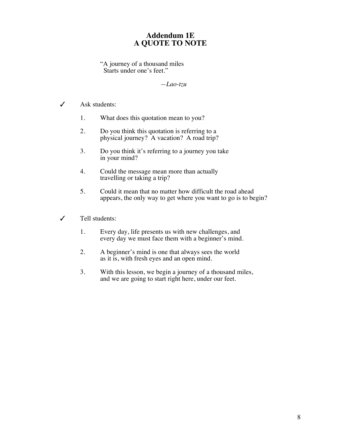## **Addendum 1E A QUOTE TO NOTE**

"A journey of a thousand miles Starts under one's feet."

*—Lao-tzu*

- $\angle$  Ask students:
	- 1. What does this quotation mean to you?
	- 2. Do you think this quotation is referring to a physical journey? A vacation? A road trip?
	- 3. Do you think it's referring to a journey you take in your mind?
	- 4. Could the message mean more than actually travelling or taking a trip?
	- 5. Could it mean that no matter how difficult the road ahead appears, the only way to get where you want to go is to begin?
- $\checkmark$  Tell students:
	- 1. Every day, life presents us with new challenges, and every day we must face them with a beginner's mind.
	- 2. A beginner's mind is one that always sees the world as it is, with fresh eyes and an open mind.
	- 3. With this lesson, we begin a journey of a thousand miles, and we are going to start right here, under our feet.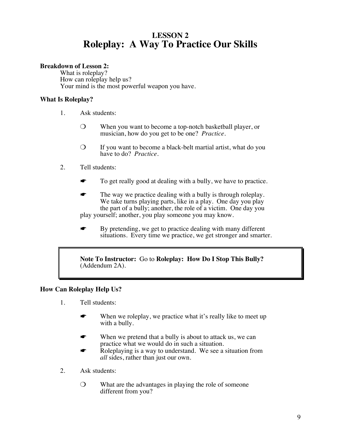## **LESSON 2 Roleplay: A Way To Practice Our Skills**

## **Breakdown of Lesson 2:**

What is roleplay? How can roleplay help us? Your mind is the most powerful weapon you have.

## **What Is Roleplay?**

- 1. Ask students:
	- ! When you want to become a top-notch basketball player, or musician, how do you get to be one? *Practice.*
	- ! If you want to become a black-belt martial artist, what do you have to do? *Practice.*
- 2. Tell students:
	- To get really good at dealing with a bully, we have to practice.
	- The way we practice dealing with a bully is through roleplay. We take turns playing parts, like in a play. One day you play the part of a bully; another, the role of a victim. One day you play yourself; another, you play someone you may know.
	- By pretending, we get to practice dealing with many different situations. Every time we practice, we get stronger and smarter.

**Note To Instructor:** Go to **Roleplay: How Do I Stop This Bully?** (Addendum 2A).

## **How Can Roleplay Help Us?**

- 1. Tell students:
	- When we roleplay, we practice what it's really like to meet up with a bully.
	- When we pretend that a bully is about to attack us, we can practice what we would do in such a situation.
	- Roleplaying is a way to understand. We see a situation from *all* sides, rather than just our own.
- 2. Ask students:
	- ! What are the advantages in playing the role of someone different from you?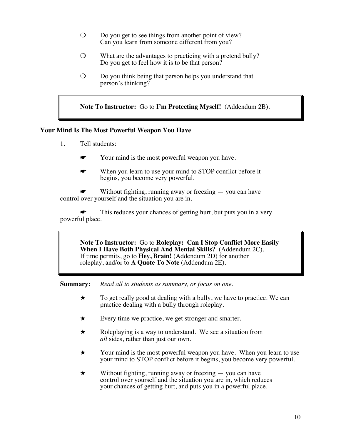- ! Do you get to see things from another point of view? Can you learn from someone different from you?
- $\bigcirc$  What are the advantages to practicing with a pretend bully? Do you get to feel how it is to be that person?
- ! Do you think being that person helps you understand that person's thinking?

**Note To Instructor:** Go to **I'm Protecting Myself!** (Addendum 2B).

## **Your Mind Is The Most Powerful Weapon You Have**

- 1. Tell students:
	- Your mind is the most powerful weapon you have.
	- When you learn to use your mind to STOP conflict before it begins, you become very powerful.

Without fighting, running away or freezing  $-$  you can have control over yourself and the situation you are in.

This reduces your chances of getting hurt, but puts you in a very powerful place.

**Note To Instructor:** Go to **Roleplay: Can I Stop Conflict More Easily When I Have Both Physical And Mental Skills?** (Addendum 2C). If time permits, go to **Hey, Brain!** (Addendum 2D) for another roleplay, and/or to **A Quote To Note** (Addendum 2E).

**Summary:** *Read all to students as summary, or focus on one.*

- $\star$  To get really good at dealing with a bully, we have to practice. We can practice dealing with a bully through roleplay.
- $\star$  Every time we practice, we get stronger and smarter.
- $\star$  Roleplaying is a way to understand. We see a situation from *all* sides, rather than just our own.
- $\star$  Your mind is the most powerful weapon you have. When you learn to use your mind to STOP conflict before it begins, you become very powerful.
- $\star$  Without fighting, running away or freezing you can have control over yourself and the situation you are in, which reduces your chances of getting hurt, and puts you in a powerful place.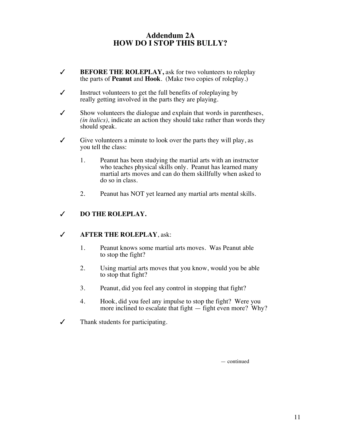## **Addendum 2A HOW DO I STOP THIS BULLY?**

- **EXECUTE THE ROLEPLAY, ask for two volunteers to roleplay** the parts of **Peanut** and **Hook**. (Make two copies of roleplay.)
- $\checkmark$  Instruct volunteers to get the full benefits of roleplaying by really getting involved in the parts they are playing.
- $\checkmark$  Show volunteers the dialogue and explain that words in parentheses, *(in italics),* indicate an action they should take rather than words they should speak.
- $\checkmark$  Give volunteers a minute to look over the parts they will play, as you tell the class:
	- 1. Peanut has been studying the martial arts with an instructor who teaches physical skills only. Peanut has learned many martial arts moves and can do them skillfully when asked to do so in class.
	- 2. Peanut has NOT yet learned any martial arts mental skills.

## $\checkmark$  DO THE ROLEPLAY.

## \$ **AFTER THE ROLEPLAY**, ask:

- 1. Peanut knows some martial arts moves. Was Peanut able to stop the fight?
- 2. Using martial arts moves that you know, would you be able to stop that fight?
- 3. Peanut, did you feel any control in stopping that fight?
- 4. Hook, did you feel any impulse to stop the fight? Were you more inclined to escalate that fight  $-$  fight even more? Why?
- $\checkmark$  Thank students for participating.

— continued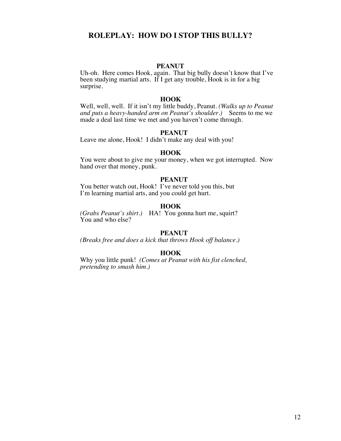## **ROLEPLAY: HOW DO I STOP THIS BULLY?**

#### **PEANUT**

Uh-oh. Here comes Hook, again. That big bully doesn't know that I've been studying martial arts. If I get any trouble, Hook is in for a big surprise.

#### **HOOK**

Well, well, well. If it isn't my little buddy, Peanut. *(Walks up to Peanut and puts a heavy-handed arm on Peanut's shoulder.)* Seems to me we made a deal last time we met and you haven't come through.

#### **PEANUT**

Leave me alone, Hook! I didn't make any deal with you!

#### **HOOK**

You were about to give me your money, when we got interrupted. Now hand over that money, punk.

#### **PEANUT**

You better watch out, Hook! I've never told you this, but I'm learning martial arts, and you could get hurt.

#### **HOOK**

*(Grabs Peanut's shirt.)* HA! You gonna hurt me, squirt? You and who else?

#### **PEANUT**

*(Breaks free and does a kick that throws Hook off balance.)*

#### **HOOK**

Why you little punk! *(Comes at Peanut with his fist clenched, pretending to smash him.)*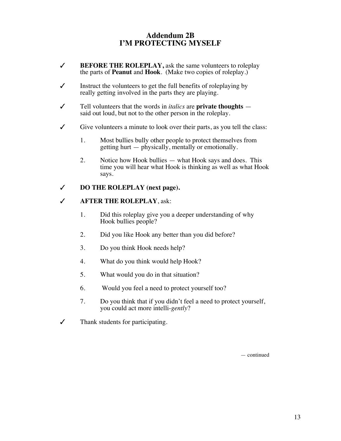## **Addendum 2B I'M PROTECTING MYSELF**

- **SUBEFORE THE ROLEPLAY, ask the same volunteers to roleplay** the parts of **Peanut** and **Hook**. (Make two copies of roleplay.)
- $\checkmark$  Instruct the volunteers to get the full benefits of roleplaying by really getting involved in the parts they are playing.
- $\checkmark$  Tell volunteers that the words in *italics* are **private thoughts** said out loud, but not to the other person in the roleplay.
- $\checkmark$  Give volunteers a minute to look over their parts, as you tell the class:
	- 1. Most bullies bully other people to protect themselves from getting hurt — physically, mentally or emotionally.
	- 2. Notice how Hook bullies what Hook says and does. This time you will hear what Hook is thinking as well as what Hook says.

## \$ **DO THE ROLEPLAY (next page).**

## \$ **AFTER THE ROLEPLAY**, ask:

- 1. Did this roleplay give you a deeper understanding of why Hook bullies people?
- 2. Did you like Hook any better than you did before?
- 3. Do you think Hook needs help?
- 4. What do you think would help Hook?
- 5. What would you do in that situation?
- 6. Would you feel a need to protect yourself too?
- 7. Do you think that if you didn't feel a need to protect yourself, you could act more intelli-*gently*?
- $\checkmark$  Thank students for participating.

— continued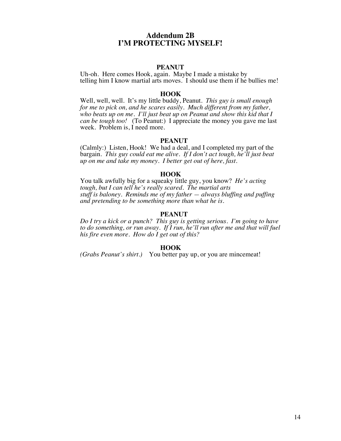## **Addendum 2B I'M PROTECTING MYSELF!**

#### **PEANUT**

Uh-oh. Here comes Hook, again. Maybe I made a mistake by telling him I know martial arts moves. I should use them if he bullies me!

#### **HOOK**

Well, well, well. It's my little buddy, Peanut. *This guy is small enough for me to pick on, and he scares easily. Much different from my father, who beats up on me. I'll just beat up on Peanut and show this kid that I can be tough too!* (To Peanut:) I appreciate the money you gave me last week. Problem is, I need more.

#### **PEANUT**

(Calmly:) Listen, Hook! We had a deal, and I completed my part of the bargain. *This guy could eat me alive. If I don't act tough, he'll just beat up on me and take my money. I better get out of here, fast.*

#### **HOOK**

You talk awfully big for a squeaky little guy, you know? *He's acting tough, but I can tell he's really scared. The martial arts stuff is baloney. Reminds me of my father — always bluffing and puffing and pretending to be something more than what he is.*

#### **PEANUT**

*Do I try a kick or a punch? This guy is getting serious. I'm going to have to do something, or run away. If I run, he'll run after me and that will fuel his fire even more. How do I get out of this?*

#### **HOOK**

*(Grabs Peanut's shirt.)* You better pay up, or you are mincemeat!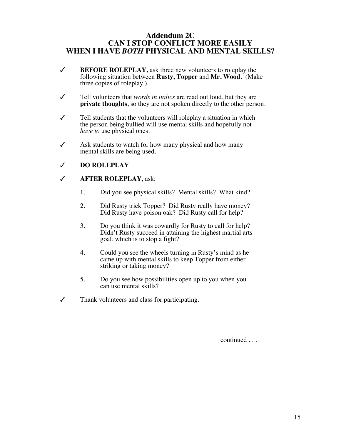## **Addendum 2C CAN I STOP CONFLICT MORE EASILY WHEN I HAVE** *BOTH* **PHYSICAL AND MENTAL SKILLS?**

- **EXECUTE:** BEFORE ROLEPLAY, ask three new volunteers to roleplay the following situation between **Rusty, Topper** and **Mr. Wood**. (Make three copies of roleplay.)
- $\checkmark$  Tell volunteers that *words in italics* are read out loud, but they are **private thoughts**, so they are not spoken directly to the other person.
- $\checkmark$  Tell students that the volunteers will roleplay a situation in which the person being bullied will use mental skills and hopefully not *have to* use physical ones.
- $\mathcal I$  Ask students to watch for how many physical and how many mental skills are being used.

## \$ **DO ROLEPLAY**

## \$ **AFTER ROLEPLAY**, ask:

- 1. Did you see physical skills? Mental skills? What kind?
- 2. Did Rusty trick Topper? Did Rusty really have money? Did Rusty have poison oak? Did Rusty call for help?
- 3. Do you think it was cowardly for Rusty to call for help? Didn't Rusty succeed in attaining the highest martial arts goal, which is to stop a fight?
- 4. Could you see the wheels turning in Rusty's mind as he came up with mental skills to keep Topper from either striking or taking money?
- 5. Do you see how possibilities open up to you when you can use mental skills?
- $\checkmark$  Thank volunteers and class for participating.

continued . . .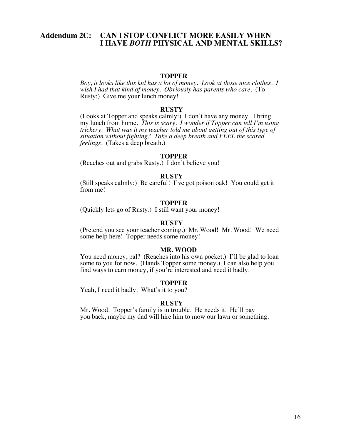## **Addendum 2C: CAN I STOP CONFLICT MORE EASILY WHEN I HAVE** *BOTH* **PHYSICAL AND MENTAL SKILLS?**

#### **TOPPER**

*Boy, it looks like this kid has a lot of money. Look at those nice clothes. I wish I had that kind of money. Obviously has parents who care.* (To Rusty:) Give me your lunch money!

#### **RUSTY**

(Looks at Topper and speaks calmly:) I don't have any money. I bring my lunch from home. *This is scary. I wonder if Topper can tell I'm using trickery. What was it my teacher told me about getting out of this type of situation without fighting? Take a deep breath and FEEL the scared feelings.* (Takes a deep breath.)

#### **TOPPER**

(Reaches out and grabs Rusty.) I don't believe you!

#### **RUSTY**

(Still speaks calmly:) Be careful! I've got poison oak! You could get it from me!

#### **TOPPER**

(Quickly lets go of Rusty.) I still want your money!

#### **RUSTY**

(Pretend you see your teacher coming.) Mr. Wood! Mr. Wood! We need some help here! Topper needs some money!

#### **MR. WOOD**

You need money, pal? (Reaches into his own pocket.) I'll be glad to loan some to you for now. (Hands Topper some money.) I can also help you find ways to earn money, if you're interested and need it badly.

#### **TOPPER**

Yeah, I need it badly. What's it to you?

#### **RUSTY**

Mr. Wood. Topper's family is in trouble. He needs it. He'll pay you back, maybe my dad will hire him to mow our lawn or something.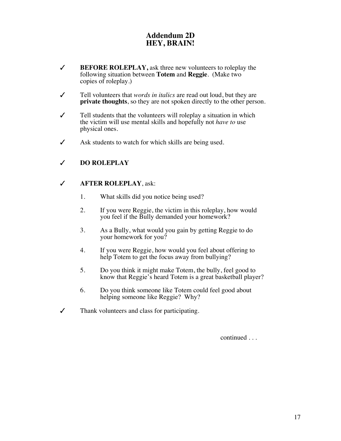## **Addendum 2D HEY, BRAIN!**

- **EXECUTE:** BEFORE ROLEPLAY, ask three new volunteers to roleplay the following situation between **Totem** and **Reggie**. (Make two copies of roleplay.)
- $\checkmark$  Tell volunteers that *words in italics* are read out loud, but they are **private thoughts**, so they are not spoken directly to the other person.
- $\checkmark$  Tell students that the volunteers will roleplay a situation in which the victim will use mental skills and hopefully not *have to* use physical ones.
- $\checkmark$  Ask students to watch for which skills are being used.

## \$ **DO ROLEPLAY**

## \$ **AFTER ROLEPLAY**, ask:

- 1. What skills did you notice being used?
- 2. If you were Reggie, the victim in this roleplay, how would you feel if the Bully demanded your homework?
- 3. As a Bully, what would you gain by getting Reggie to do your homework for you?
- 4. If you were Reggie, how would you feel about offering to help Totem to get the focus away from bullying?
- 5. Do you think it might make Totem, the bully, feel good to know that Reggie's heard Totem is a great basketball player?
- 6. Do you think someone like Totem could feel good about helping someone like Reggie? Why?
- $\checkmark$  Thank volunteers and class for participating.

continued . . .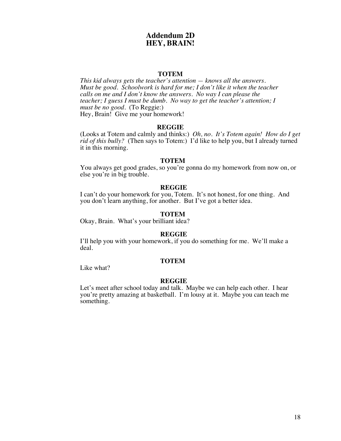## **Addendum 2D HEY, BRAIN!**

#### **TOTEM**

*This kid always gets the teacher's attention — knows all the answers. Must be good. Schoolwork is hard for me; I don't like it when the teacher calls on me and I don't know the answers. No way I can please the teacher; I guess I must be dumb. No way to get the teacher's attention; I must be no good.* (To Reggie:) Hey, Brain! Give me your homework!

#### **REGGIE**

(Looks at Totem and calmly and thinks:) *Oh, no. It's Totem again! How do I get rid of this bully?* (Then says to Totem:) I'd like to help you, but I already turned it in this morning.

#### **TOTEM**

You always get good grades, so you're gonna do my homework from now on, or else you're in big trouble.

#### **REGGIE**

I can't do your homework for you, Totem. It's not honest, for one thing. And you don't learn anything, for another. But I've got a better idea.

#### **TOTEM**

Okay, Brain. What's your brilliant idea?

#### **REGGIE**

I'll help you with your homework, if you do something for me. We'll make a deal.

#### **TOTEM**

Like what?

#### **REGGIE**

Let's meet after school today and talk. Maybe we can help each other. I hear you're pretty amazing at basketball. I'm lousy at it. Maybe you can teach me something.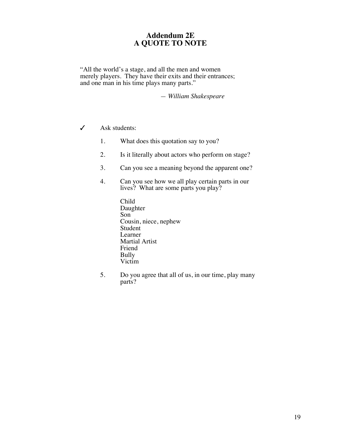## **Addendum 2E A QUOTE TO NOTE**

"All the world's a stage, and all the men and women merely players. They have their exits and their entrances; and one man in his time plays many parts."

*— William Shakespeare*

- $\angle$  Ask students:
	- 1. What does this quotation say to you?
	- 2. Is it literally about actors who perform on stage?
	- 3. Can you see a meaning beyond the apparent one?
	- 4. Can you see how we all play certain parts in our lives? What are some parts you play?
		- Child Daughter Son Cousin, niece, nephew **Student** Learner Martial Artist Friend Bully Victim
	- 5. Do you agree that all of us, in our time, play many parts?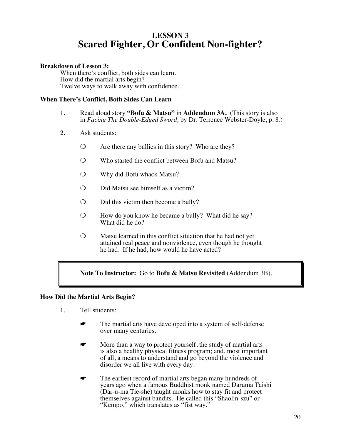## **LESSON 3 Scared Fighter, Or Confident Non-fighter?**

#### **Breakdown of Lesson 3:**

When there's conflict, both sides can learn. How did the martial arts begin? Twelve ways to walk away with confidence.

### **When There's Conflict, Both Sides Can Learn**

- 1. Read aloud story **"Bofu & Matsu"** in **Addendum 3A.** (This story is also in *Facing The Double-Edged Sword,* by Dr. Terrence Webster-Doyle, p. 8.)
- 2. Ask students:
	- $\bigcirc$  Are there any bullies in this story? Who are they?
	- ! Who started the conflict between Bofu and Matsu?
	- O Why did Bofu whack Matsu?
	- O Did Matsu see himself as a victim?
	- ! Did this victim then become a bully?
	- $\bigcirc$  How do you know he became a bully? What did he say? What did he do?
	- $\bigcirc$  Matsu learned in this conflict situation that he had not yet attained real peace and nonviolence, even though he thought he had. If he had, how would he have acted?

## **Note To Instructor:** Go to **Bofu & Matsu Revisited** (Addendum 3B).

#### **How Did the Martial Arts Begin?**

- 1. Tell students:
	- The martial arts have developed into a system of self-defense over many centuries.
	- More than a way to protect yourself, the study of martial arts is also a healthy physical fitness program; and, most important of all, a means to understand and go beyond the violence and disorder we all live with every day.
	- The earliest record of martial arts began many hundreds of years ago when a famous Buddhist monk named Daruma Taishi (Dar-u-ma Tie-she) taught monks how to stay fit and protect themselves against bandits. He called this "Shaolin-szu" or "Kempo," which translates as "fist way."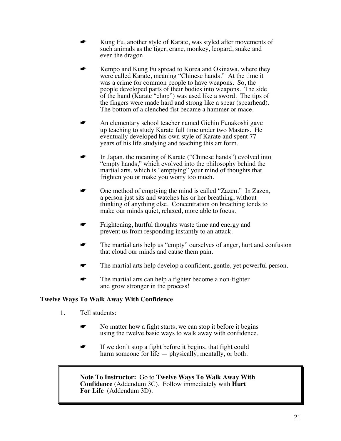- Kung Fu, another style of Karate, was styled after movements of such animals as the tiger, crane, monkey, leopard, snake and even the dragon.
- Kempo and Kung Fu spread to Korea and Okinawa, where they were called Karate, meaning "Chinese hands." At the time it was a crime for common people to have weapons. So, the people developed parts of their bodies into weapons. The side of the hand (Karate "chop") was used like a sword. The tips of the fingers were made hard and strong like a spear (spearhead). The bottom of a clenched fist became a hammer or mace.
- An elementary school teacher named Gichin Funakoshi gave up teaching to study Karate full time under two Masters. He eventually developed his own style of Karate and spent 77 years of his life studying and teaching this art form.
- In Japan, the meaning of Karate ("Chinese hands") evolved into "empty hands," which evolved into the philosophy behind the martial arts, which is "emptying" your mind of thoughts that frighten you or make you worry too much.
- One method of emptying the mind is called "Zazen." In Zazen, a person just sits and watches his or her breathing, without thinking of anything else. Concentration on breathing tends to make our minds quiet, relaxed, more able to focus.
- Frightening, hurtful thoughts waste time and energy and prevent us from responding instantly to an attack.
- The martial arts help us "empty" ourselves of anger, hurt and confusion that cloud our minds and cause them pain.
- The martial arts help develop a confident, gentle, yet powerful person.
- The martial arts can help a fighter become a non-fighter and grow stronger in the process!

## **Twelve Ways To Walk Away With Confidence**

- 1. Tell students:
	- No matter how a fight starts, we can stop it before it begins using the twelve basic ways to walk away with confidence.
	- If we don't stop a fight before it begins, that fight could harm someone for life — physically, mentally, or both.

## **Note To Instructor:** Go to **Twelve Ways To Walk Away With Confidence** (Addendum 3C). Follow immediately with **Hurt For Life** (Addendum 3D).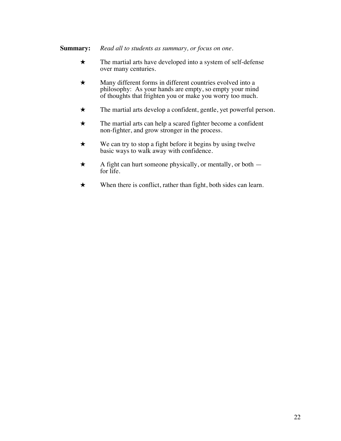**Summary:** *Read all to students as summary, or focus on one.*

- $\star$  The martial arts have developed into a system of self-defense over many centuries.
- $\star$  Many different forms in different countries evolved into a philosophy: As your hands are empty, so empty your mind of thoughts that frighten you or make you worry too much.
- $\star$  The martial arts develop a confident, gentle, yet powerful person.
- $\star$  The martial arts can help a scared fighter become a confident non-fighter, and grow stronger in the process.
- $\star$  We can try to stop a fight before it begins by using twelve basic ways to walk away with confidence.
- $\star$  A fight can hurt someone physically, or mentally, or both  $$ for life.
- $\star$  When there is conflict, rather than fight, both sides can learn.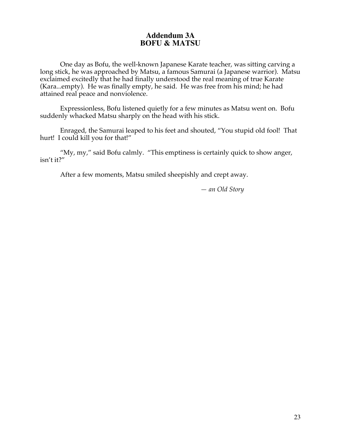## **Addendum 3A BOFU & MATSU**

One day as Bofu, the well-known Japanese Karate teacher, was sitting carving a long stick, he was approached by Matsu, a famous Samurai (a Japanese warrior). Matsu exclaimed excitedly that he had finally understood the real meaning of true Karate (Kara...empty). He was finally empty, he said. He was free from his mind; he had attained real peace and nonviolence.

Expressionless, Bofu listened quietly for a few minutes as Matsu went on. Bofu suddenly whacked Matsu sharply on the head with his stick.

Enraged, the Samurai leaped to his feet and shouted, "You stupid old fool! That hurt! I could kill you for that!"

"My, my," said Bofu calmly. "This emptiness is certainly quick to show anger, isn't it?"

After a few moments, Matsu smiled sheepishly and crept away.

*— an Old Story*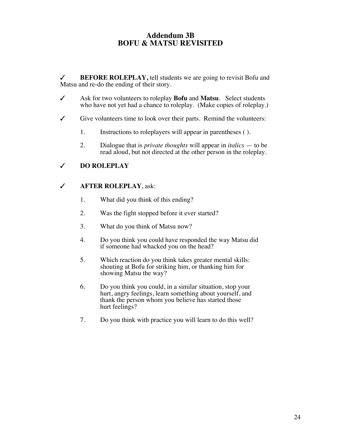## **Addendum 3B BOFU & MATSU REVISITED**

**EXECUTE:** BEFORE ROLEPLAY, tell students we are going to revisit Bofu and Matsu and re-do the ending of their story.

- $\checkmark$  Ask for two volunteers to roleplay **Bofu** and **Matsu**. Select students who have not yet had a chance to roleplay. (Make copies of roleplay.)
- $\checkmark$  Give volunteers time to look over their parts. Remind the volunteers:
	- 1. Instructions to roleplayers will appear in parentheses ( ).
	- 2. Dialogue that is *private thoughts* will appear in *italics*  to be read aloud, but not directed at the other person in the roleplay.

## \$ **DO ROLEPLAY**

## \$ **AFTER ROLEPLAY**, ask:

- 1. What did you think of this ending?
- 2. Was the fight stopped before it ever started?
- 3. What do you think of Matsu now?
- 4. Do you think you could have responded the way Matsu did if someone had whacked you on the head?
- 5. Which reaction do you think takes greater mental skills: shouting at Bofu for striking him, or thanking him for showing Matsu the way?
- 6. Do you think you could, in a similar situation, stop your hurt, angry feelings, learn something about yourself, and thank the person whom you believe has started those hurt feelings?
- 7. Do you think with practice you will learn to do this well?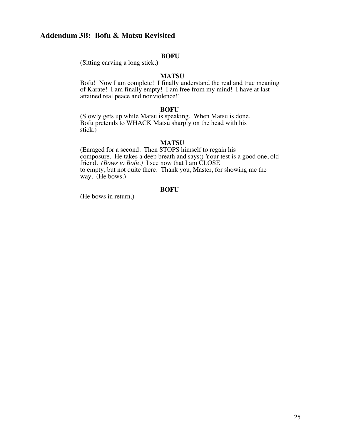## **Addendum 3B: Bofu & Matsu Revisited**

## **BOFU**

(Sitting carving a long stick.)

#### **MATSU**

Bofu! Now I am complete! I finally understand the real and true meaning of Karate! I am finally empty! I am free from my mind! I have at last attained real peace and nonviolence!!

## **BOFU**

(Slowly gets up while Matsu is speaking. When Matsu is done, Bofu pretends to WHACK Matsu sharply on the head with his stick.)

#### **MATSU**

(Enraged for a second. Then STOPS himself to regain his composure. He takes a deep breath and says:) Your test is a good one, old friend. *(Bows to Bofu.)* I see now that I am CLOSE to empty, but not quite there. Thank you, Master, for showing me the way. (He bows.)

#### **BOFU**

(He bows in return.)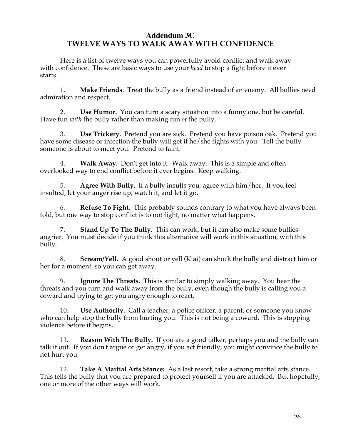## **Addendum 3C TWELVE WAYS TO WALK AWAY WITH CONFIDENCE**

Here is a list of twelve ways you can powerfully avoid conflict and walk away with confidence. These are basic ways to use your *head* to stop a fight before it ever starts.

1. **Make Friends**. Treat the bully as a friend instead of an enemy. All bullies need admiration and respect.

2. **Use Humor.** You can turn a scary situation into a funny one, but be careful. Have fun *with* the bully rather than making fun *of* the bully.

3. **Use Trickery.** Pretend you are sick. Pretend you have poison oak. Pretend you have some disease or infection the bully will get if he/she fights with you. Tell the bully someone is about to meet you. Pretend to faint.

4. **Walk Away.** Don't get into it. Walk away. This is a simple and often overlooked way to end conflict before it ever begins. Keep walking.

5. **Agree With Bully.** If a bully insults you, agree with him/her. If you feel insulted, let your anger rise up, watch it, and let it go.

6. **Refuse To Fight.** This probably sounds contrary to what you have always been told, but one way to stop conflict is to not fight, no matter what happens.

7. **Stand Up To The Bully.** This can work, but it can also make some bullies angrier. You must decide if you think this alternative will work in this situation, with this bully.

8. **Scream/Yell.** A good shout or yell (Kiai) can shock the bully and distract him or her for a moment, so you can get away.

9. **Ignore The Threats.** This is similar to simply walking away. You hear the threats and you turn and walk away from the bully, even though the bully is calling you a coward and trying to get you angry enough to react.

10. **Use Authority.** Call a teacher, a police officer, a parent, or someone you know who can help stop the bully from hurting you. This is not being a coward. This is stopping violence before it begins.

11. **Reason With The Bully.** If you are a good talker, perhaps you and the bully can talk it out. If you don't argue or get angry, if you act friendly, you might convince the bully to not hurt you.

12. **Take A Martial Arts Stance:** As a last resort, take a strong martial arts stance. This tells the bully that you are prepared to protect yourself if you are attacked. But hopefully, one or more of the other ways will work.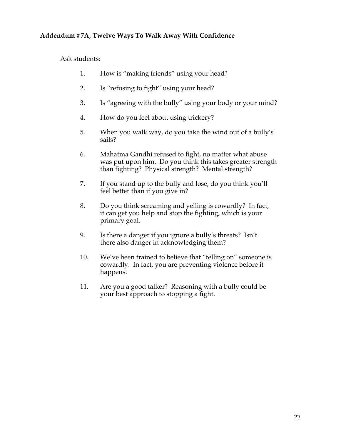## **Addendum #7A, Twelve Ways To Walk Away With Confidence**

Ask students:

- 1. How is "making friends" using your head?
- 2. Is "refusing to fight" using your head?
- 3. Is "agreeing with the bully" using your body or your mind?
- 4. How do you feel about using trickery?
- 5. When you walk way, do you take the wind out of a bully's sails?
- 6. Mahatma Gandhi refused to fight, no matter what abuse was put upon him. Do you think this takes greater strength than fighting? Physical strength? Mental strength?
- 7. If you stand up to the bully and lose, do you think you'll feel better than if you give in?
- 8. Do you think screaming and yelling is cowardly? In fact, it can get you help and stop the fighting, which is your primary goal.
- 9. Is there a danger if you ignore a bully's threats? Isn't there also danger in acknowledging them?
- 10. We've been trained to believe that "telling on" someone is cowardly. In fact, you are preventing violence before it happens.
- 11. Are you a good talker? Reasoning with a bully could be your best approach to stopping a fight.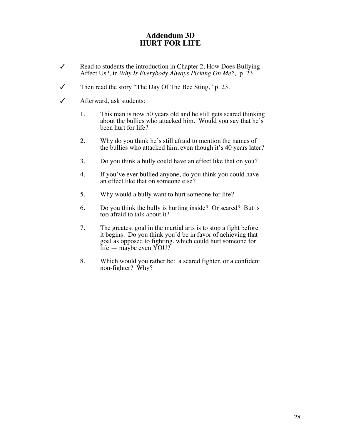## **Addendum 3D HURT FOR LIFE**

- $\checkmark$  Read to students the introduction in Chapter 2, How Does Bullying Affect Us?, in *Why Is Everybody Always Picking On Me?,* p. 23.
- $\checkmark$  Then read the story "The Day Of The Bee Sting," p. 23.
- $\checkmark$  Afterward, ask students:
	- 1. This man is now 50 years old and he still gets scared thinking about the bullies who attacked him. Would you say that he's been hurt for life?
	- 2. Why do you think he's still afraid to mention the names of the bullies who attacked him, even though it's 40 years later?
	- 3. Do you think a bully could have an effect like that on you?
	- 4. If you've ever bullied anyone, do you think you could have an effect like that on someone else?
	- 5. Why would a bully want to hurt someone for life?
	- 6. Do you think the bully is hurting inside? Or scared? But is too afraid to talk about it?
	- 7. The greatest goal in the martial arts is to stop a fight before it begins. Do you think you'd be in favor of achieving that goal as opposed to fighting, which could hurt someone for  $\text{life}$  — maybe even YOU?
	- 8. Which would you rather be: a scared fighter, or a confident non-fighter? Why?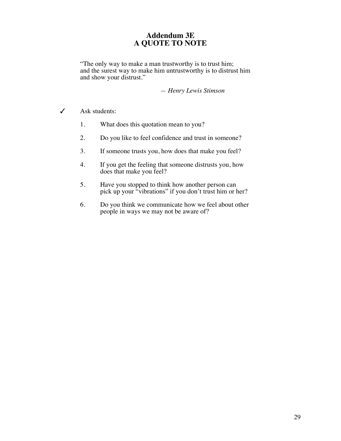## **Addendum 3E A QUOTE TO NOTE**

"The only way to make a man trustworthy is to trust him; and the surest way to make him untrustworthy is to distrust him and show your distrust."

*— Henry Lewis Stimson*

- $\checkmark$  Ask students:
	- 1. What does this quotation mean to you?
	- 2. Do you like to feel confidence and trust in someone?
	- 3. If someone trusts you, how does that make you feel?
	- 4. If you get the feeling that someone distrusts you, how does that make you feel?
	- 5. Have you stopped to think how another person can pick up your "vibrations" if you don't trust him or her?
	- 6. Do you think we communicate how we feel about other people in ways we may not be aware of?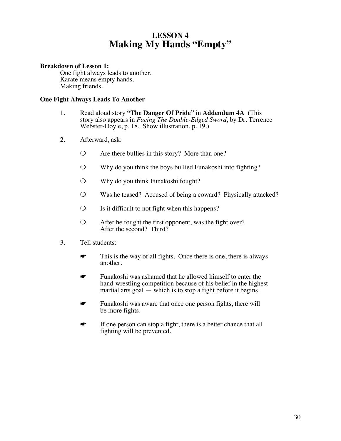## **LESSON 4 Making My Hands "Empty"**

#### **Breakdown of Lesson 1:**

One fight always leads to another. Karate means empty hands. Making friends.

### **One Fight Always Leads To Another**

- 1. Read aloud story **"The Danger Of Pride"** in **Addendum 4A** (This story also appears in *Facing The Double-Edged Sword*, by Dr. Terrence Webster-Doyle, p. 18. Show illustration, p. 19.)
- 2. Afterward, ask:
	- O Are there bullies in this story? More than one?
	- $\mathcal{O}$  Why do you think the boys bullied Funakoshi into fighting?
	- ! Why do you think Funakoshi fought?
	- ! Was he teased? Accused of being a coward? Physically attacked?
	- ! Is it difficult to not fight when this happens?
	- O After he fought the first opponent, was the fight over? After the second? Third?
- 3. Tell students:
	- This is the way of all fights. Once there is one, there is always another.
	- Funakoshi was ashamed that he allowed himself to enter the hand-wrestling competition because of his belief in the highest martial arts goal — which is to stop a fight before it begins.
	- Funakoshi was aware that once one person fights, there will be more fights.
	- If one person can stop a fight, there is a better chance that all fighting will be prevented.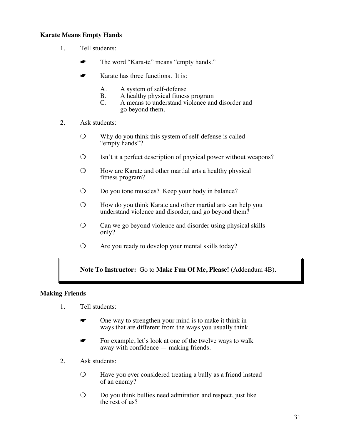## **Karate Means Empty Hands**

- 1. Tell students:
	- The word "Kara-te" means "empty hands."
	- Karate has three functions. It is:
		- A. A system of self-defense<br>B. A healthy physical fitness
		- B. A healthy physical fitness program<br>C. A means to understand violence and
		- A means to understand violence and disorder and go beyond them.
- 2. Ask students:
	- $\bigcirc$  Why do you think this system of self-defense is called "empty hands"?
	- ! Isn't it a perfect description of physical power without weapons?
	- $\bigcirc$  How are Karate and other martial arts a healthy physical fitness program?
	- ! Do you tone muscles? Keep your body in balance?
	- $\bigcirc$  How do you think Karate and other martial arts can help you understand violence and disorder, and go beyond them?
	- $\degree$  Can we go beyond violence and disorder using physical skills only?
	- ! Are you ready to develop your mental skills today?

## **Note To Instructor:** Go to **Make Fun Of Me, Please!** (Addendum 4B).

## **Making Friends**

- 1. Tell students:
	- One way to strengthen your mind is to make it think in ways that are different from the ways you usually think.
	- For example, let's look at one of the twelve ways to walk away with confidence — making friends.
- 2. Ask students:
	- ! Have you ever considered treating a bully as a friend instead of an enemy?
	- $\bigcirc$  Do you think bullies need admiration and respect, just like the rest of us?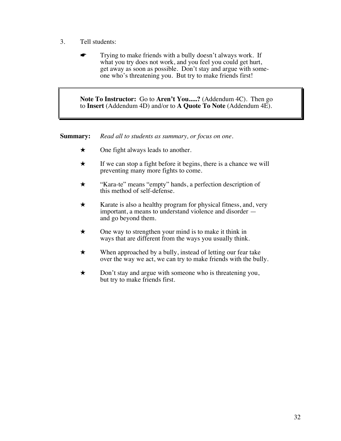- 3. Tell students:
	- Trying to make friends with a bully doesn't always work. If what you try does not work, and you feel you could get hurt, get away as soon as possible. Don't stay and argue with someone who's threatening you. But try to make friends first!

**Note To Instructor:** Go to **Aren't You.....?** (Addendum 4C). Then go to **Insert** (Addendum 4D) and/or to **A Quote To Note** (Addendum 4E).

**Summary:** *Read all to students as summary, or focus on one.*

- $\star$  One fight always leads to another.
- $\star$  If we can stop a fight before it begins, there is a chance we will preventing many more fights to come.
- $\star$  "Kara-te" means "empty" hands, a perfection description of this method of self-defense.
- $\star$  Karate is also a healthy program for physical fitness, and, very important, a means to understand violence and disorder — and go beyond them.
- $\star$  One way to strengthen your mind is to make it think in ways that are different from the ways you usually think.
- $\star$  When approached by a bully, instead of letting our fear take over the way we act, we can try to make friends with the bully.
- $\star$  Don't stay and argue with someone who is threatening you, but try to make friends first.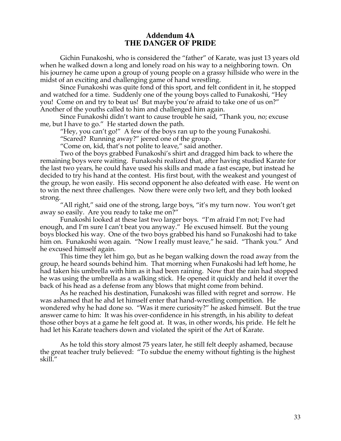### **Addendum 4A THE DANGER OF PRIDE**

Gichin Funakoshi, who is considered the "father" of Karate, was just 13 years old when he walked down a long and lonely road on his way to a neighboring town. On his journey he came upon a group of young people on a grassy hillside who were in the midst of an exciting and challenging game of hand wrestling.

Since Funakoshi was quite fond of this sport, and felt confident in it, he stopped and watched for a time. Suddenly one of the young boys called to Funakoshi, "Hey you! Come on and try to beat us! But maybe you're afraid to take one of us on?" Another of the youths called to him and challenged him again.

Since Funakoshi didn't want to cause trouble he said, "Thank you, no; excuse me, but I have to go." He started down the path.

"Hey, you can't go!" A few of the boys ran up to the young Funakoshi.

"Scared? Running away?" jeered one of the group.

"Come on, kid, that's not polite to leave," said another.

Two of the boys grabbed Funakoshi's shirt and dragged him back to where the remaining boys were waiting. Funakoshi realized that, after having studied Karate for the last two years, he could have used his skills and made a fast escape, but instead he decided to try his hand at the contest. His first bout, with the weakest and youngest of the group, he won easily. His second opponent he also defeated with ease. He went on to win the next three challenges. Now there were only two left, and they both looked strong.

"All right," said one of the strong, large boys, "it's my turn now. You won't get away so easily. Are you ready to take me on?"

Funakoshi looked at these last two larger boys. "I'm afraid I'm not; I've had enough, and I'm sure I can't beat you anyway." He excused himself. But the young boys blocked his way. One of the two boys grabbed his hand so Funakoshi had to take him on. Funakoshi won again. "Now I really must leave," he said. "Thank you." And he excused himself again.

This time they let him go, but as he began walking down the road away from the group, he heard sounds behind him. That morning when Funakoshi had left home, he had taken his umbrella with him as it had been raining. Now that the rain had stopped he was using the umbrella as a walking stick. He opened it quickly and held it over the back of his head as a defense from any blows that might come from behind.

As he reached his destination, Funakoshi was filled with regret and sorrow. He was ashamed that he ahd let himself enter that hand-wrestling competition. He wondered why he had done so. "Was it mere curiosity?" he asked himself. But the true answer came to him: It was his over-confidence in his strength, in his ability to defeat those other boys at a game he felt good at. It was, in other words, his pride. He felt he had let his Karate teachers down and violated the spirit of the Art of Karate.

As he told this story almost 75 years later, he still felt deeply ashamed, because the great teacher truly believed: "To subdue the enemy without fighting is the highest skill."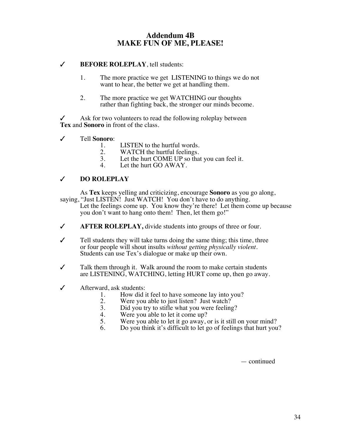## **Addendum 4B MAKE FUN OF ME, PLEASE!**

## **SEFORE ROLEPLAY**, tell students:

- 1. The more practice we get LISTENING to things we do not want to hear, the better we get at handling them.
- 2. The more practice we get WATCHING our thoughts rather than fighting back, the stronger our minds become.

 $\checkmark$  Ask for two volunteers to read the following roleplay between **Tex** and **Sonoro** in front of the class.

- \$ Tell **Sonoro**:
	- 1. LISTEN to the hurtful words.<br>2. WATCH the hurtful feelings.
	-
	- 2. WATCH the hurtful feelings.<br>3. Let the hurt COME UP so that 3. Let the hurt COME UP so that you can feel it.<br>4. Let the hurt GO AWAY.
	- Let the hurt GO AWAY.

## \$ **DO ROLEPLAY**

As **Tex** keeps yelling and criticizing, encourage **Sonoro** as you go along, saying, "Just LISTEN! Just WATCH! You don't have to do anything.

- Let the feelings come up. You know they're there! Let them come up because you don't want to hang onto them! Then, let them go!"
- $\checkmark$  **AFTER ROLEPLAY,** divide students into groups of three or four.
- $\checkmark$  Tell students they will take turns doing the same thing; this time, three or four people will shout insults *without getting physically violent.*  Students can use Tex's dialogue or make up their own.
- $\checkmark$  Talk them through it. Walk around the room to make certain students are LISTENING, WATCHING, letting HURT come up, then go away.
- $\checkmark$  Afterward, ask students:<br>1. How did i
	- 1. How did it feel to have someone lay into you?<br>2. Were you able to just listen? Just watch?
	- 2. Were you able to just listen? Just watch?<br>3. Did you try to stifle what you were feeling
	- 3. Did you try to stifle what you were feeling?<br>4. Were you able to let it come up?
	- 4. Were you able to let it come up?<br>5. Were you able to let it go away.
	- 5. Were you able to let it go away, or is it still on your mind?<br>6. Do you think it's difficult to let go of feelings that hurt you
	- 6. Do you think it's difficult to let go of feelings that hurt you?

— continued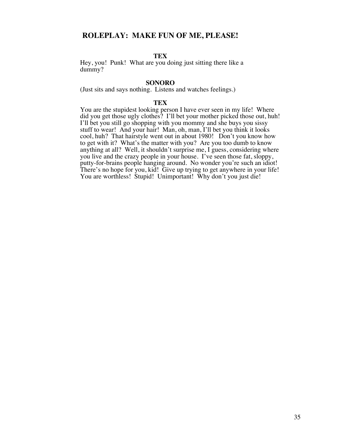## **ROLEPLAY: MAKE FUN OF ME, PLEASE!**

#### **TEX**

Hey, you! Punk! What are you doing just sitting there like a dummy?

### **SONORO**

(Just sits and says nothing. Listens and watches feelings.)

#### **TEX**

You are the stupidest looking person I have ever seen in my life! Where did you get those ugly clothes? I'll bet your mother picked those out, huh! I'll bet you still go shopping with you mommy and she buys you sissy stuff to wear! And your hair! Man, oh, man, I'll bet you think it looks cool, huh? That hairstyle went out in about 1980! Don't you know how to get with it? What's the matter with you? Are you too dumb to know anything at all? Well, it shouldn't surprise me, I guess, considering where you live and the crazy people in your house. I've seen those fat, sloppy, putty-for-brains people hanging around. No wonder you're such an idiot! There's no hope for you, kid! Give up trying to get anywhere in your life! You are worthless! Stupid! Unimportant! Why don't you just die!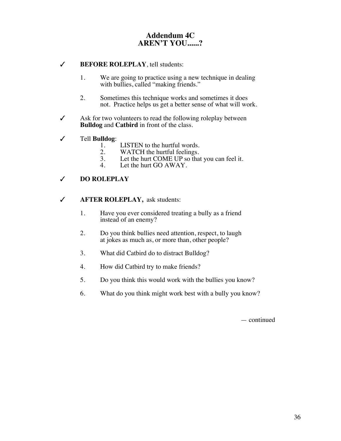## **Addendum 4C AREN'T YOU......?**

## **SEFORE ROLEPLAY**, tell students:

- 1. We are going to practice using a new technique in dealing with bullies, called "making friends."
- 2. Sometimes this technique works and sometimes it does not. Practice helps us get a better sense of what will work.
- $\checkmark$  Ask for two volunteers to read the following roleplay between **Bulldog** and **Catbird** in front of the class.
- \$ Tell **Bulldog**:
	- 1. LISTEN to the hurtful words.<br>2. WATCH the hurtful feelings.
	- 2. WATCH the hurtful feelings.<br>3. Let the hurt COME UP so that
	- $\overline{3}$ . Let the hurt COME UP so that you can feel it.<br>4. Let the hurt GO AWAY.
	- Let the hurt GO AWAY.

## \$ **DO ROLEPLAY**

## \$ **AFTER ROLEPLAY,** ask students:

- 1. Have you ever considered treating a bully as a friend instead of an enemy?
- 2. Do you think bullies need attention, respect, to laugh at jokes as much as, or more than, other people?
- 3. What did Catbird do to distract Bulldog?
- 4. How did Catbird try to make friends?
- 5. Do you think this would work with the bullies you know?
- 6. What do you think might work best with a bully you know?

— continued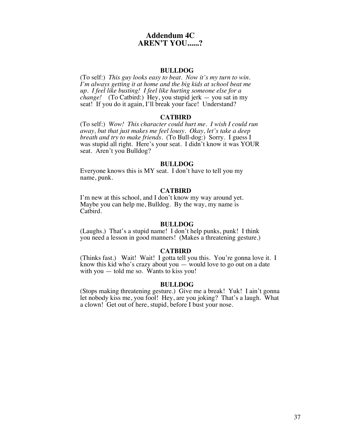### **Addendum 4C AREN'T YOU......?**

### **BULLDOG**

(To self:) *This guy looks easy to beat. Now it's my turn to win. I'm always getting it at home and the big kids at school beat me up. I feel like busting! I feel like hurting someone else for a change!* (To Catbird:) Hey, you stupid jerk — you sat in my seat! If you do it again, I'll break your face! Understand?

#### **CATBIRD**

(To self:) *Wow! This character could hurt me. I wish I could run away, but that just makes me feel lousy. Okay, let's take a deep breath and try to make friends.* (To Bull-dog:) Sorry. I guess I was stupid all right. Here's your seat. I didn't know it was YOUR seat. Aren't you Bulldog?

### **BULLDOG**

Everyone knows this is MY seat. I don't have to tell you my name, punk.

### **CATBIRD**

I'm new at this school, and I don't know my way around yet. Maybe you can help me, Bulldog. By the way, my name is Catbird.

#### **BULLDOG**

(Laughs.) That's a stupid name! I don't help punks, punk! I think you need a lesson in good manners! (Makes a threatening gesture.)

#### **CATBIRD**

(Thinks fast.) Wait! Wait! I gotta tell you this. You're gonna love it. I know this kid who's crazy about you  $-$  would love to go out on a date with you  $-$  told me so. Wants to kiss you!

### **BULLDOG**

(Stops making threatening gesture.) Give me a break! Yuk! I ain't gonna let nobody kiss me, you fool! Hey, are you joking? That's a laugh. What a clown! Get out of here, stupid, before I bust your nose.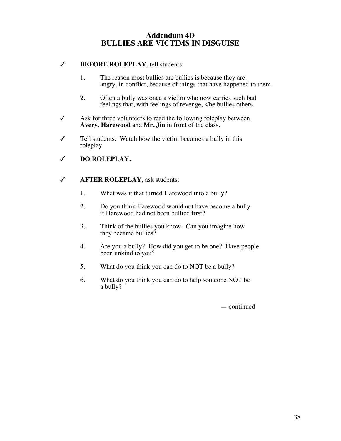## **Addendum 4D BULLIES ARE VICTIMS IN DISGUISE**

## \$ **BEFORE ROLEPLAY**, tell students:

- 1. The reason most bullies are bullies is because they are angry, in conflict, because of things that have happened to them.
- 2. Often a bully was once a victim who now carries such bad feelings that, with feelings of revenge, s/he bullies others.
- $\checkmark$  Ask for three volunteers to read the following roleplay between **Avery. Harewood** and **Mr. Jin** in front of the class.
- $\checkmark$  Tell students: Watch how the victim becomes a bully in this roleplay.

## $\checkmark$  DO ROLEPLAY.

## $\checkmark$  AFTER ROLEPLAY, ask students:

- 1. What was it that turned Harewood into a bully?
- 2. Do you think Harewood would not have become a bully if Harewood had not been bullied first?
- 3. Think of the bullies you know. Can you imagine how they became bullies?
- 4. Are you a bully? How did you get to be one? Have people been unkind to you?
- 5. What do you think you can do to NOT be a bully?
- 6. What do you think you can do to help someone NOT be a bully?

— continued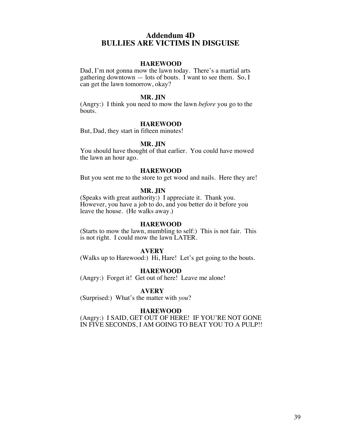### **Addendum 4D BULLIES ARE VICTIMS IN DISGUISE**

### **HAREWOOD**

Dad, I'm not gonna mow the lawn today. There's a martial arts gathering downtown  $-$  lots of bouts. I want to see them. So, I can get the lawn tomorrow, okay?

### **MR. JIN**

(Angry:) I think you need to mow the lawn *before* you go to the bouts.

### **HAREWOOD**

But, Dad, they start in fifteen minutes!

### **MR. JIN**

You should have thought of that earlier. You could have mowed the lawn an hour ago.

#### **HAREWOOD**

But you sent me to the store to get wood and nails. Here they are!

### **MR. JIN**

(Speaks with great authority:) I appreciate it. Thank you. However, you have a job to do, and you better do it before you leave the house. (He walks away.)

#### **HAREWOOD**

(Starts to mow the lawn, mumbling to self:) This is not fair. This is not right. I could mow the lawn LATER.

### **AVERY**

(Walks up to Harewood:) Hi, Hare! Let's get going to the bouts.

#### **HAREWOOD**

(Angry:) Forget it! Get out of here! Leave me alone!

### **AVERY**

(Surprised:) What's the matter with *you*?

#### **HAREWOOD**

(Angry:) I SAID, GET OUT OF HERE! IF YOU'RE NOT GONE IN FIVE SECONDS, I AM GOING TO BEAT YOU TO A PULP!!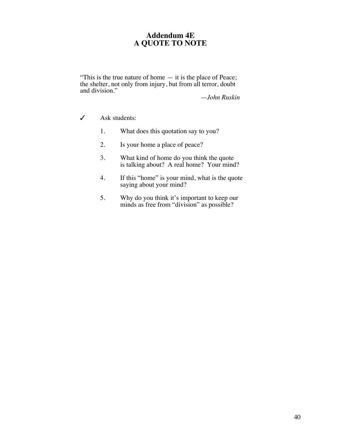## **Addendum 4E A QUOTE TO NOTE**

"This is the true nature of home  $-$  it is the place of Peace; the shelter, not only from injury, but from all terror, doubt and division."

—*John Ruskin*

- $\angle$  Ask students:
	- 1. What does this quotation say to you?
	- 2. Is your home a place of peace?
	- 3. What kind of home do you think the quote is talking about? A real home? Your mind?
	- 4. If this "home" is your mind, what is the quote saying about your mind?
	- 5. Why do you think it's important to keep our minds as free from "division" as possible?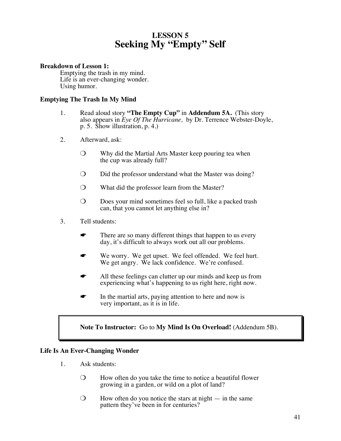# **LESSON 5 Seeking My "Empty" Self**

### **Breakdown of Lesson 1:**

Emptying the trash in my mind. Life is an ever-changing wonder. Using humor.

### **Emptying The Trash In My Mind**

- 1. Read aloud story **"The Empty Cup"** in **Addendum 5A.** (This story also appears in *Eye Of The Hurricane,* by Dr. Terrence Webster-Doyle, p. 5. Show illustration, p. 4.)
- 2. Afterward, ask:
	- $\bigcirc$  Why did the Martial Arts Master keep pouring tea when the cup was already full?
	- O Did the professor understand what the Master was doing?
	- ! What did the professor learn from the Master?
	- ! Does your mind sometimes feel so full, like a packed trash can, that you cannot let anything else in?
- 3. Tell students:
	- There are so many different things that happen to us every day, it's difficult to always work out all our problems.
	- We worry. We get upset. We feel offended. We feel hurt. We get angry. We lack confidence. We're confused.
	- All these feelings can clutter up our minds and keep us from experiencing what's happening to us right here, right now.
	- In the martial arts, paying attention to here and now is very important, as it is in life.

### **Note To Instructor:** Go to **My Mind Is On Overload!** (Addendum 5B).

### **Life Is An Ever-Changing Wonder**

- 1. Ask students:
	- $\bigcirc$  How often do you take the time to notice a beautiful flower growing in a garden, or wild on a plot of land?
	- $\bigcirc$  How often do you notice the stars at night in the same pattern they've been in for centuries?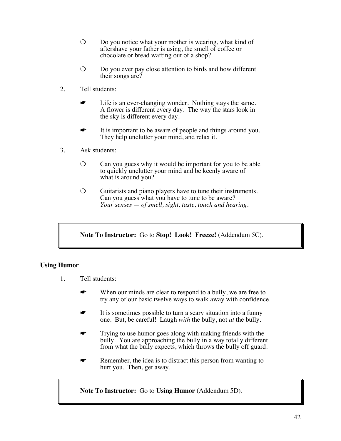- $\bigcirc$  Do you notice what your mother is wearing, what kind of aftershave your father is using, the smell of coffee or chocolate or bread wafting out of a shop?
- $\bigcirc$  Do you ever pay close attention to birds and how different their songs are?
- 2. Tell students:
	- Life is an ever-changing wonder. Nothing stays the same. A flower is different every day. The way the stars look in the sky is different every day.
	- It is important to be aware of people and things around you. They help unclutter your mind, and relax it.
- 3. Ask students:
	- $\Omega$  Can you guess why it would be important for you to be able to quickly unclutter your mind and be keenly aware of what is around you?
	- ! Guitarists and piano players have to tune their instruments. Can you guess what you have to tune to be aware? *Your senses — of smell, sight, taste, touch and hearing.*

## **Note To Instructor:** Go to **Stop! Look! Freeze!** (Addendum 5C).

## **Using Humor**

- 1. Tell students:
	- When our minds are clear to respond to a bully, we are free to try any of our basic twelve ways to walk away with confidence.
	- It is sometimes possible to turn a scary situation into a funny one. But, be careful! Laugh *with* the bully, not *at* the bully.
	- Trying to use humor goes along with making friends with the bully. You are approaching the bully in a way totally different from what the bully expects, which throws the bully off guard.
	- Remember, the idea is to distract this person from wanting to hurt you. Then, get away.

**Note To Instructor:** Go to **Using Humor** (Addendum 5D).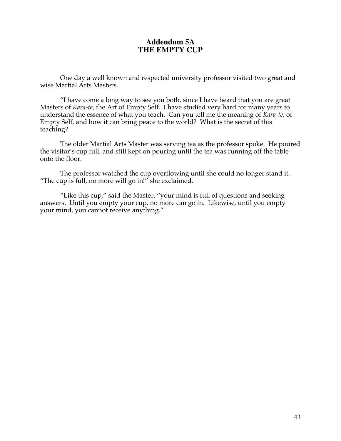## **Addendum 5A THE EMPTY CUP**

One day a well known and respected university professor visited two great and wise Martial Arts Masters.

"I have come a long way to see you both, since I have heard that you are great Masters of *Kara-te,* the Art of Empty Self. I have studied very hard for many years to understand the essence of what you teach. Can you tell me the meaning of *Kara-te*, of Empty Self, and how it can bring peace to the world? What is the secret of this teaching?

The older Martial Arts Master was serving tea as the professor spoke. He poured the visitor's cup full, and still kept on pouring until the tea was running off the table onto the floor.

The professor watched the cup overflowing until she could no longer stand it. "The cup is full, no more will go in!" she exclaimed.

"Like this cup," said the Master, "your mind is full of questions and seeking answers. Until you empty your cup, no more can go in. Likewise, until you empty your mind, you cannot receive anything."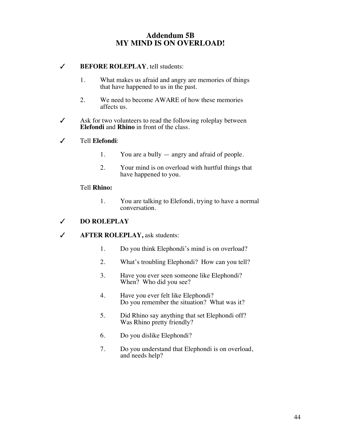## **Addendum 5B MY MIND IS ON OVERLOAD!**

## \$ **BEFORE ROLEPLAY**, tell students:

- 1. What makes us afraid and angry are memories of things that have happened to us in the past.
- 2. We need to become AWARE of how these memories affects us.
- $\checkmark$  Ask for two volunteers to read the following roleplay between **Elefondi** and **Rhino** in front of the class.
- $\checkmark$  Tell **Elefondi**:
	- 1. You are a bully angry and afraid of people.
	- 2. Your mind is on overload with hurtful things that have happened to you.

### Tell **Rhino:**

1. You are talking to Elefondi, trying to have a normal conversation.

## \$ **DO ROLEPLAY**

- $\checkmark$  **AFTER ROLEPLAY, ask students:** 
	- 1. Do you think Elephondi's mind is on overload?
	- 2. What's troubling Elephondi? How can you tell?
	- 3. Have you ever seen someone like Elephondi? When? Who did you see?
	- 4. Have you ever felt like Elephondi? Do you remember the situation? What was it?
	- 5. Did Rhino say anything that set Elephondi off? Was Rhino pretty friendly?
	- 6. Do you dislike Elephondi?
	- 7. Do you understand that Elephondi is on overload, and needs help?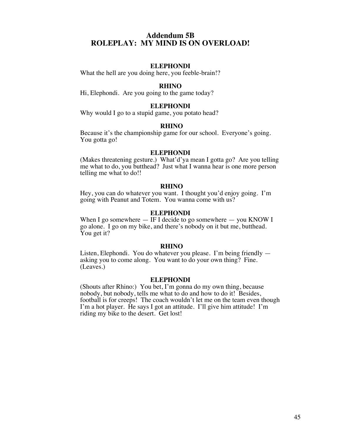### **Addendum 5B ROLEPLAY: MY MIND IS ON OVERLOAD!**

#### **ELEPHONDI**

What the hell are you doing here, you feeble-brain!?

#### **RHINO**

Hi, Elephondi. Are you going to the game today?

### **ELEPHONDI**

Why would I go to a stupid game, you potato head?

### **RHINO**

Because it's the championship game for our school. Everyone's going. You gotta go!

#### **ELEPHONDI**

(Makes threatening gesture.) What'd'ya mean I gotta go? Are you telling me what to do, you butthead? Just what I wanna hear is one more person telling me what to do!!

### **RHINO**

Hey, you can do whatever you want. I thought you'd enjoy going. I'm going with Peanut and Totem. You wanna come with us?

#### **ELEPHONDI**

When I go somewhere  $-$  IF I decide to go somewhere  $-$  you KNOW I go alone. I go on my bike, and there's nobody on it but me, butthead. You get it?

#### **RHINO**

Listen, Elephondi. You do whatever you please. I'm being friendly asking you to come along. You want to do your own thing? Fine. (Leaves.)

#### **ELEPHONDI**

(Shouts after Rhino:) You bet, I'm gonna do my own thing, because nobody, but nobody, tells me what to do and how to do it! Besides, football is for creeps! The coach wouldn't let me on the team even though I'm a hot player. He says I got an attitude. I'll give him attitude! I'm riding my bike to the desert. Get lost!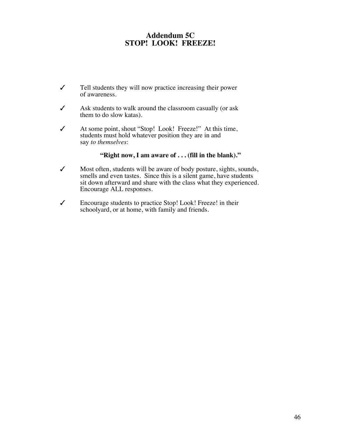## **Addendum 5C STOP! LOOK! FREEZE!**

- $\checkmark$  Tell students they will now practice increasing their power of awareness.
- $\checkmark$  Ask students to walk around the classroom casually (or ask them to do slow katas).
- $\checkmark$  At some point, shout "Stop! Look! Freeze!" At this time, students must hold whatever position they are in and say *to themselves*:

### **"Right now, I am aware of . . . (fill in the blank)."**

- $\checkmark$  Most often, students will be aware of body posture, sights, sounds, smells and even tastes. Since this is a silent game, have students sit down afterward and share with the class what they experienced. Encourage ALL responses.
- $\checkmark$  Encourage students to practice Stop! Look! Freeze! in their schoolyard, or at home, with family and friends.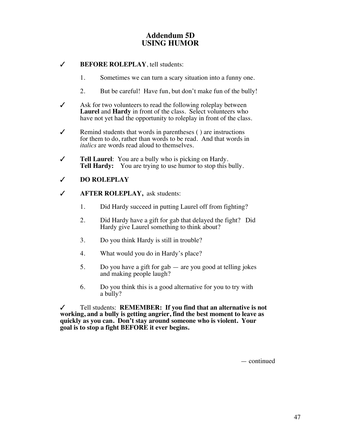## **Addendum 5D USING HUMOR**

## **✓ BEFORE ROLEPLAY**, tell students:

- 1. Sometimes we can turn a scary situation into a funny one.
- 2. But be careful! Have fun, but don't make fun of the bully!
- $\checkmark$  Ask for two volunteers to read the following roleplay between **Laurel** and **Hardy** in front of the class. Select volunteers who have not yet had the opportunity to roleplay in front of the class.
- $\checkmark$  Remind students that words in parentheses () are instructions for them to do, rather than words to be read. And that words in *italics* are words read aloud to themselves.
- $\checkmark$  **Tell Laurel**: You are a bully who is picking on Hardy. **Tell Hardy:** You are trying to use humor to stop this bully.

## \$ **DO ROLEPLAY**

- \$ **AFTER ROLEPLAY,** ask students:
	- 1. Did Hardy succeed in putting Laurel off from fighting?
	- 2. Did Hardy have a gift for gab that delayed the fight? Did Hardy give Laurel something to think about?
	- 3. Do you think Hardy is still in trouble?
	- 4. What would you do in Hardy's place?
	- 5. Do you have a gift for gab are you good at telling jokes and making people laugh?
	- 6. Do you think this is a good alternative for you to try with a bully?

\$ Tell students: **REMEMBER: If you find that an alternative is not working, and a bully is getting angrier, find the best moment to leave as quickly as you can. Don't stay around someone who is violent. Your goal is to stop a fight BEFORE it ever begins.**

— continued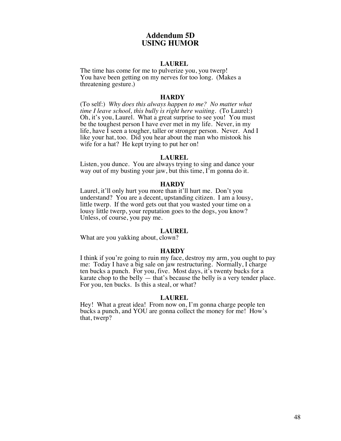## **Addendum 5D USING HUMOR**

### **LAUREL**

The time has come for me to pulverize you, you twerp! You have been getting on my nerves for too long. (Makes a threatening gesture.)

#### **HARDY**

(To self:) *Why does this always happen to me? No matter what time I leave school, this bully is right here waiting.* (To Laurel:) Oh, it's you, Laurel. What a great surprise to see you! You must be the toughest person I have ever met in my life. Never, in my life, have I seen a tougher, taller or stronger person. Never. And I like your hat, too. Did you hear about the man who mistook his wife for a hat? He kept trying to put her on!

#### **LAUREL**

Listen, you dunce. You are always trying to sing and dance your way out of my busting your jaw, but this time, I'm gonna do it.

#### **HARDY**

Laurel, it'll only hurt you more than it'll hurt me. Don't you understand? You are a decent, upstanding citizen. I am a lousy, little twerp. If the word gets out that you wasted your time on a lousy little twerp, your reputation goes to the dogs, you know? Unless, of course, you pay me.

#### **LAUREL**

What are you yakking about, clown?

#### **HARDY**

I think if you're going to ruin my face, destroy my arm, you ought to pay me: Today I have a big sale on jaw restructuring. Normally, I charge ten bucks a punch. For you, five. Most days, it's twenty bucks for a karate chop to the belly  $-$  that's because the belly is a very tender place. For you, ten bucks. Is this a steal, or what?

#### **LAUREL**

Hey! What a great idea! From now on, I'm gonna charge people ten bucks a punch, and YOU are gonna collect the money for me! How's that, twerp?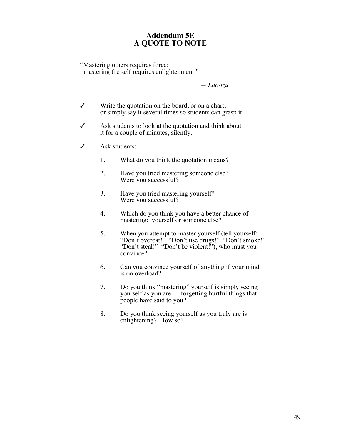## **Addendum 5E A QUOTE TO NOTE**

"Mastering others requires force; mastering the self requires enlightenment."

*— Lao-tzu*

- $\checkmark$  Write the quotation on the board, or on a chart, or simply say it several times so students can grasp it.
- $\checkmark$  Ask students to look at the quotation and think about it for a couple of minutes, silently.
- $\checkmark$  Ask students:
	- 1. What do you think the quotation means?
	- 2. Have you tried mastering someone else? Were you successful?
	- 3. Have you tried mastering yourself? Were you successful?
	- 4. Which do you think you have a better chance of mastering: yourself or someone else?
	- 5. When you attempt to master yourself (tell yourself: "Don't overeat!" "Don't use drugs!" "Don't smoke!" "Don't steal!" "Don't be violent!"), who must you convince?
	- 6. Can you convince yourself of anything if your mind is on overload?
	- 7. Do you think "mastering" yourself is simply seeing yourself as you are — forgetting hurtful things that people have said to you?
	- 8. Do you think seeing yourself as you truly are is enlightening? How so?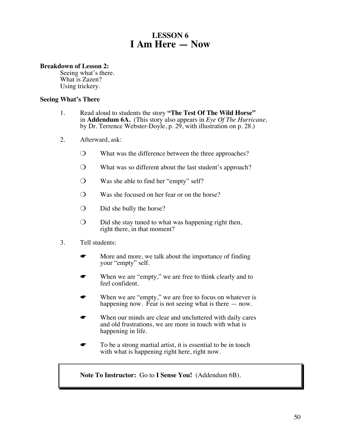# **LESSON 6 I Am Here — Now**

### **Breakdown of Lesson 2:**

Seeing what's there. What is Zazen? Using trickery.

### **Seeing What's There**

- 1. Read aloud to students the story **"The Test Of The Wild Horse"** in **Addendum 6A.** (This story also appears in *Eye Of The Hurricane,* by Dr. Terrence Webster-Doyle, p. 29, with illustration on p. 28.)
- 2. Afterward, ask:
	- ! What was the difference between the three approaches?
	- ! What was so different about the last student's approach?
	- ! Was she able to find her "empty" self?
	- ! Was she focused on her fear or on the horse?
	- O Did she bully the horse?
	- ! Did she stay tuned to what was happening right then, right there, in that moment?
- 3. Tell students:
	- More and more, we talk about the importance of finding your "empty" self.
	- When we are "empty," we are free to think clearly and to feel confident.
	- When we are "empty," we are free to focus on whatever is happening now. Fear is not seeing what is there  $-$  now.
	- When our minds are clear and uncluttered with daily cares and old frustrations, we are more in touch with what is happening in life.
	- To be a strong martial artist, it is essential to be in touch with what is happening right here, right now.

### **Note To Instructor:** Go to **I Sense You!** (Addendum 6B).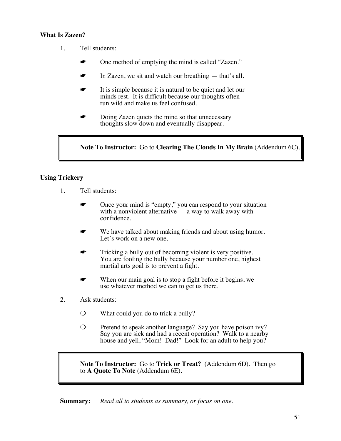## **What Is Zazen?**

- 1. Tell students:
	- One method of emptying the mind is called "Zazen."
	- In Zazen, we sit and watch our breathing  $-$  that's all.
	- It is simple because it is natural to be quiet and let our minds rest. It is difficult because our thoughts often run wild and make us feel confused.
	- Doing Zazen quiets the mind so that unnecessary thoughts slow down and eventually disappear.

**Note To Instructor:** Go to **Clearing The Clouds In My Brain** (Addendum 6C).

## **Using Trickery**

- 1. Tell students:
	- Once your mind is "empty," you can respond to your situation with a nonviolent alternative  $-$  a way to walk away with confidence.
	- We have talked about making friends and about using humor. Let's work on a new one.
	- Tricking a bully out of becoming violent is very positive. You are fooling the bully because your number one, highest martial arts goal is to prevent a fight.
	- When our main goal is to stop a fight before it begins, we use whatever method we can to get us there.
- 2. Ask students:
	- O What could you do to trick a bully?
	- ! Pretend to speak another language? Say you have poison ivy? Say you are sick and had a recent operation? Walk to a nearby house and yell, "Mom! Dad!" Look for an adult to help you?

**Note To Instructor:** Go to **Trick or Treat?** (Addendum 6D). Then go to **A Quote To Note** (Addendum 6E).

**Summary:** *Read all to students as summary, or focus on one.*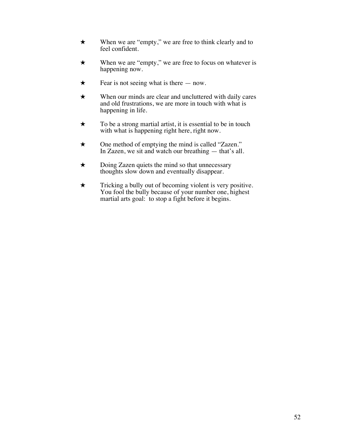- $\star$  When we are "empty," we are free to think clearly and to feel confident.
- $\star$  When we are "empty," we are free to focus on whatever is happening now.
- $\star$  Fear is not seeing what is there  $-$  now.
- $\star$  When our minds are clear and uncluttered with daily cares and old frustrations, we are more in touch with what is happening in life.
- $\star$  To be a strong martial artist, it is essential to be in touch with what is happening right here, right now.
- $\star$  One method of emptying the mind is called "Zazen." In Zazen, we sit and watch our breathing — that's all.
- $\star$  Doing Zazen quiets the mind so that unnecessary thoughts slow down and eventually disappear.
- $\star$  Tricking a bully out of becoming violent is very positive. You fool the bully because of your number one, highest martial arts goal: to stop a fight before it begins.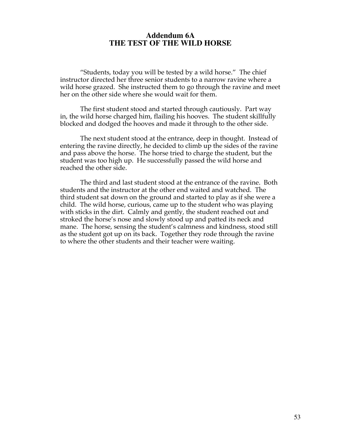### **Addendum 6A THE TEST OF THE WILD HORSE**

"Students, today you will be tested by a wild horse." The chief instructor directed her three senior students to a narrow ravine where a wild horse grazed. She instructed them to go through the ravine and meet her on the other side where she would wait for them.

The first student stood and started through cautiously. Part way in, the wild horse charged him, flailing his hooves. The student skillfully blocked and dodged the hooves and made it through to the other side.

The next student stood at the entrance, deep in thought. Instead of entering the ravine directly, he decided to climb up the sides of the ravine and pass above the horse. The horse tried to charge the student, but the student was too high up. He successfully passed the wild horse and reached the other side.

The third and last student stood at the entrance of the ravine. Both students and the instructor at the other end waited and watched. The third student sat down on the ground and started to play as if she were a child. The wild horse, curious, came up to the student who was playing with sticks in the dirt. Calmly and gently, the student reached out and stroked the horse's nose and slowly stood up and patted its neck and mane. The horse, sensing the student's calmness and kindness, stood still as the student got up on its back. Together they rode through the ravine to where the other students and their teacher were waiting.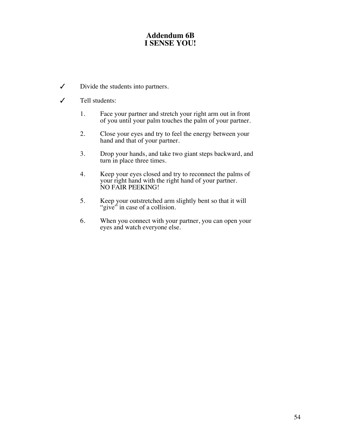## **Addendum 6B I SENSE YOU!**

- $\checkmark$  Divide the students into partners.
- $\checkmark$  Tell students:
	- 1. Face your partner and stretch your right arm out in front of you until your palm touches the palm of your partner.
	- 2. Close your eyes and try to feel the energy between your hand and that of your partner.
	- 3. Drop your hands, and take two giant steps backward, and turn in place three times.
	- 4. Keep your eyes closed and try to reconnect the palms of your right hand with the right hand of your partner. NO FAIR PEEKING!
	- 5. Keep your outstretched arm slightly bent so that it will "give" in case of a collision.
	- 6. When you connect with your partner, you can open your eyes and watch everyone else.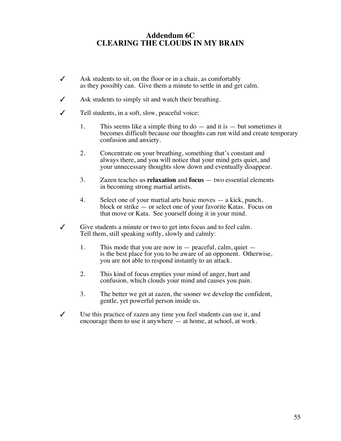## **Addendum 6C CLEARING THE CLOUDS IN MY BRAIN**

- $\checkmark$  Ask students to sit, on the floor or in a chair, as comfortably as they possibly can. Give them a minute to settle in and get calm.
- $\checkmark$  Ask students to simply sit and watch their breathing.
- $\checkmark$  Tell students, in a soft, slow, peaceful voice:
	- 1. This seems like a simple thing to  $d\sigma$  and it is but sometimes it becomes difficult because our thoughts can run wild and create temporary confusion and anxiety.
	- 2. Concentrate on your breathing, something that's constant and always there, and you will notice that your mind gets quiet, and your unnecessary thoughts slow down and eventually disappear.
	- 3. Zazen teaches us **relaxation** and **focus** two essential elements in becoming strong martial artists.
	- 4. Select one of your martial arts basic moves a kick, punch, block or strike — or select one of your favorite Katas. Focus on that move or Kata. See yourself doing it in your mind.
- $\checkmark$  Give students a minute or two to get into focus and to feel calm. Tell them, still speaking softly, slowly and calmly:
	- 1. This mode that you are now in peaceful, calm, quiet is the best place for you to be aware of an opponent. Otherwise, you are not able to respond instantly to an attack.
	- 2. This kind of focus empties your mind of anger, hurt and confusion, which clouds your mind and causes you pain.
	- 3. The better we get at zazen, the sooner we develop the confident, gentle, yet powerful person inside us.
- $\checkmark$  Use this practice of zazen any time you feel students can use it, and encourage them to use it anywhere — at home, at school, at work.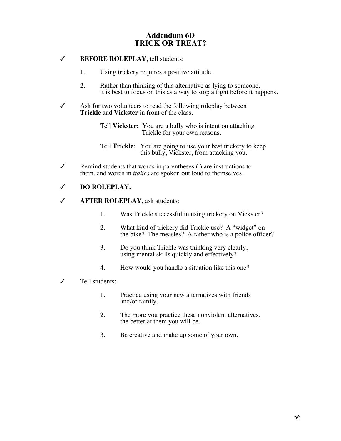## **Addendum 6D TRICK OR TREAT?**

### **SEFORE ROLEPLAY**, tell students:

- 1. Using trickery requires a positive attitude.
- 2. Rather than thinking of this alternative as lying to someone, it is best to focus on this as a way to stop a fight before it happens.
- $\checkmark$  Ask for two volunteers to read the following roleplay between **Trickle** and **Vickster** in front of the class.

Tell **Vickster:** You are a bully who is intent on attacking Trickle for your own reasons.

Tell **Trickle**: You are going to use your best trickery to keep this bully, Vickster, from attacking you.

 $\checkmark$  Remind students that words in parentheses ( ) are instructions to them, and words in *italics* are spoken out loud to themselves.

## $\checkmark$  DO ROLEPLAY.

- $\checkmark$  AFTER ROLEPLAY, ask students:
	- 1. Was Trickle successful in using trickery on Vickster?
	- 2. What kind of trickery did Trickle use? A "widget" on the bike? The measles? A father who is a police officer?
	- 3. Do you think Trickle was thinking very clearly, using mental skills quickly and effectively?
	- 4. How would you handle a situation like this one?
- $\checkmark$  Tell students:
	- 1. Practice using your new alternatives with friends and/or family.
	- 2. The more you practice these nonviolent alternatives, the better at them you will be.
	- 3. Be creative and make up some of your own.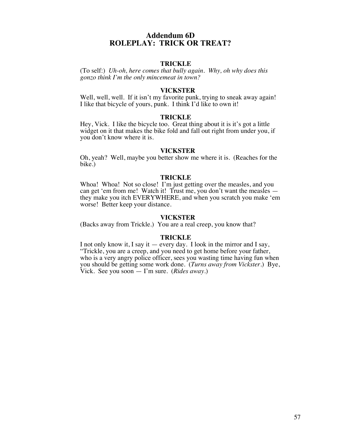## **Addendum 6D ROLEPLAY: TRICK OR TREAT?**

### **TRICKLE**

(To self:) *Uh-oh, here comes that bully again. Why, oh why does this gonzo think I'm the only mincemeat in town?*

#### **VICKSTER**

Well, well, well. If it isn't my favorite punk, trying to sneak away again! I like that bicycle of yours, punk. I think I'd like to own it!

### **TRICKLE**

Hey, Vick. I like the bicycle too. Great thing about it is it's got a little widget on it that makes the bike fold and fall out right from under you, if you don't know where it is.

### **VICKSTER**

Oh, yeah? Well, maybe you better show me where it is. (Reaches for the bike.)

### **TRICKLE**

Whoa! Whoa! Not so close! I'm just getting over the measles, and you can get 'em from me! Watch it! Trust me, you don't want the measles they make you itch EVERYWHERE, and when you scratch you make 'em worse! Better keep your distance.

### **VICKSTER**

(Backs away from Trickle.) You are a real creep, you know that?

### **TRICKLE**

I not only know it, I say it  $-$  every day. I look in the mirror and I say, "Trickle, you are a creep, and you need to get home before your father, who is a very angry police officer, sees you wasting time having fun when you should be getting some work done. (*Turns away from Vickster*.) Bye, Vick. See you soon — I'm sure. (*Rides away*.)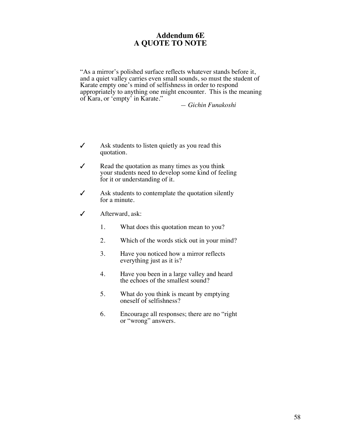## **Addendum 6E A QUOTE TO NOTE**

"As a mirror's polished surface reflects whatever stands before it, and a quiet valley carries even small sounds, so must the student of Karate empty one's mind of selfishness in order to respond appropriately to anything one might encounter. This is the meaning of Kara, or 'empty' in Karate."

*— Gichin Funakoshi*

- $\checkmark$  Ask students to listen quietly as you read this quotation.
- $\checkmark$  Read the quotation as many times as you think your students need to develop some kind of feeling for it or understanding of it.
- $\checkmark$  Ask students to contemplate the quotation silently for a minute.
- $\checkmark$  Afterward, ask:
	- 1. What does this quotation mean to you?
	- 2. Which of the words stick out in your mind?
	- 3. Have you noticed how a mirror reflects everything just as it is?
	- 4. Have you been in a large valley and heard the echoes of the smallest sound?
	- 5. What do you think is meant by emptying oneself of selfishness?
	- 6. Encourage all responses; there are no "right or "wrong" answers.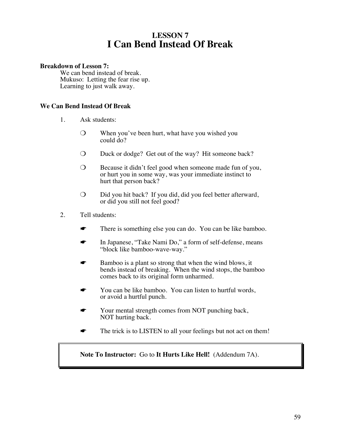# **LESSON 7 I Can Bend Instead Of Break**

### **Breakdown of Lesson 7:**

We can bend instead of break. Mukuso: Letting the fear rise up. Learning to just walk away.

## **We Can Bend Instead Of Break**

- 1. Ask students:
	- ! When you've been hurt, what have you wished you could do?
	- ! Duck or dodge? Get out of the way? Hit someone back?
	- ! Because it didn't feel good when someone made fun of you, or hurt you in some way, was your immediate instinct to hurt that person back?
	- ! Did you hit back? If you did, did you feel better afterward, or did you still not feel good?
- 2. Tell students:
	- There is something else you can do. You can be like bamboo.
	- In Japanese, "Take Nami Do," a form of self-defense, means "block like bamboo-wave-way."
	- Bamboo is a plant so strong that when the wind blows, it bends instead of breaking. When the wind stops, the bamboo comes back to its original form unharmed.
	- You can be like bamboo. You can listen to hurtful words, or avoid a hurtful punch.
	- Your mental strength comes from NOT punching back, NOT hurting back.
	- The trick is to LISTEN to all your feelings but not act on them!

**Note To Instructor:** Go to **It Hurts Like Hell!** (Addendum 7A).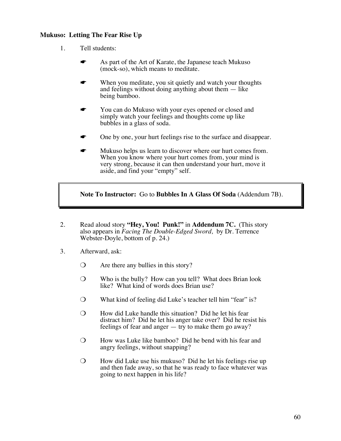### **Mukuso: Letting The Fear Rise Up**

- 1. Tell students:
	- As part of the Art of Karate, the Japanese teach Mukuso (mock-so), which means to meditate.
	- When you meditate, you sit quietly and watch your thoughts and feelings without doing anything about them — like being bamboo.
	- You can do Mukuso with your eyes opened or closed and simply watch your feelings and thoughts come up like bubbles in a glass of soda.
	- One by one, your hurt feelings rise to the surface and disappear.
	- Mukuso helps us learn to discover where our hurt comes from. When you know where your hurt comes from, your mind is very strong, because it can then understand your hurt, move it aside, and find your "empty" self.

**Note To Instructor:** Go to **Bubbles In A Glass Of Soda** (Addendum 7B).

- 2. Read aloud story **"Hey, You! Punk!"** in **Addendum 7C.** (This story also appears in *Facing The Double-Edged Sword,* by Dr. Terrence Webster-Doyle, bottom of p. 24.)
- 3. Afterward, ask:
	- O Are there any bullies in this story?
	- $\bigcirc$  Who is the bully? How can you tell? What does Brian look like? What kind of words does Brian use?
	- O What kind of feeling did Luke's teacher tell him "fear" is?
	- $\bigcirc$  How did Luke handle this situation? Did he let his fear distract him? Did he let his anger take over? Did he resist his feelings of fear and anger — try to make them go away?
	- ! How was Luke like bamboo? Did he bend with his fear and angry feelings, without snapping?
	- $\bigcirc$  How did Luke use his mukuso? Did he let his feelings rise up and then fade away, so that he was ready to face whatever was going to next happen in his life?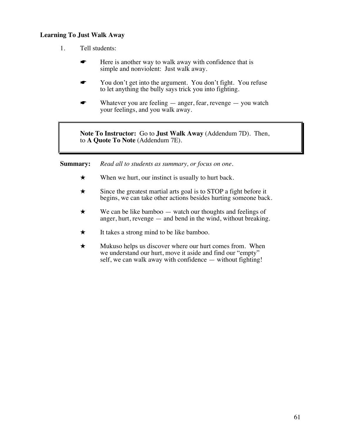## **Learning To Just Walk Away**

- 1. Tell students:
	- Here is another way to walk away with confidence that is simple and nonviolent: Just walk away.
	- You don't get into the argument. You don't fight. You refuse to let anything the bully says trick you into fighting.
	- Whatever you are feeling  $-$  anger, fear, revenge  $-$  you watch your feelings, and you walk away.

**Note To Instructor:** Go to **Just Walk Away** (Addendum 7D). Then, to **A Quote To Note** (Addendum 7E).

**Summary:** *Read all to students as summary, or focus on one.*

- $\star$  When we hurt, our instinct is usually to hurt back.
- $\star$  Since the greatest martial arts goal is to STOP a fight before it begins, we can take other actions besides hurting someone back.
- $\star$  We can be like bamboo watch our thoughts and feelings of anger, hurt, revenge — and bend in the wind, without breaking.
- $\star$  It takes a strong mind to be like bamboo.
- $\star$  Mukuso helps us discover where our hurt comes from. When we understand our hurt, move it aside and find our "empty" self, we can walk away with confidence — without fighting!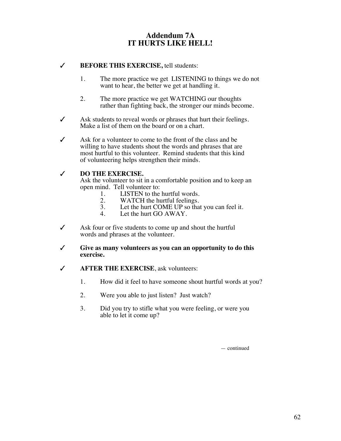## **Addendum 7A IT HURTS LIKE HELL!**

## \$ **BEFORE THIS EXERCISE,** tell students:

- 1. The more practice we get LISTENING to things we do not want to hear, the better we get at handling it.
- 2. The more practice we get WATCHING our thoughts rather than fighting back, the stronger our minds become.
- $\checkmark$  Ask students to reveal words or phrases that hurt their feelings. Make a list of them on the board or on a chart.
- $\checkmark$  Ask for a volunteer to come to the front of the class and be willing to have students shout the words and phrases that are most hurtful to this volunteer. Remind students that this kind of volunteering helps strengthen their minds.

## \$ **DO THE EXERCISE.**

Ask the volunteer to sit in a comfortable position and to keep an open mind. Tell volunteer to:<br>1. LISTEN to the

- 1. LISTEN to the hurtful words.<br>2. WATCH the hurtful feelings.
- 2. WATCH the hurtful feelings.<br>3. Let the hurt COME UP so that
- 3. Let the hurt COME UP so that you can feel it.<br>4. Let the hurt GO AWAY.
- Let the hurt GO AWAY.
- $\checkmark$  Ask four or five students to come up and shout the hurtful words and phrases at the volunteer.
- \$ **Give as many volunteers as you can an opportunity to do this exercise.**
- \$ **AFTER THE EXERCISE**, ask volunteers:
	- 1. How did it feel to have someone shout hurtful words at you?
	- 2. Were you able to just listen? Just watch?
	- 3. Did you try to stifle what you were feeling, or were you able to let it come up?

— continued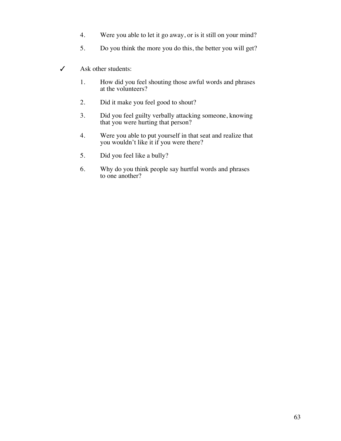- 4. Were you able to let it go away, or is it still on your mind?
- 5. Do you think the more you do this, the better you will get?
- $\checkmark$  Ask other students:
	- 1. How did you feel shouting those awful words and phrases at the volunteers?
	- 2. Did it make you feel good to shout?
	- 3. Did you feel guilty verbally attacking someone, knowing that you were hurting that person?
	- 4. Were you able to put yourself in that seat and realize that you wouldn't like it if you were there?
	- 5. Did you feel like a bully?
	- 6. Why do you think people say hurtful words and phrases to one another?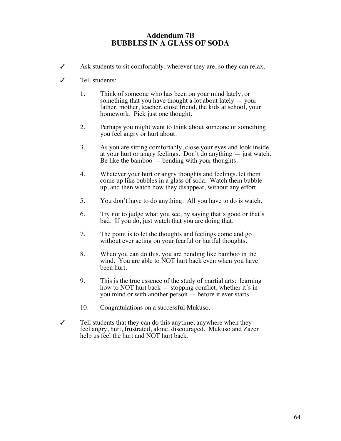## **Addendum 7B BUBBLES IN A GLASS OF SODA**

- $\checkmark$  Ask students to sit comfortably, wherever they are, so they can relax.
- $\checkmark$  Tell students:
	- 1. Think of someone who has been on your mind lately, or something that you have thought a lot about lately — your father, mother, teacher, close friend, the kids at school, your homework. Pick just one thought.
	- 2. Perhaps you might want to think about someone or something you feel angry or hurt about.
	- 3. As you are sitting comfortably, close your eyes and look inside at your hurt or angry feelings. Don't do anything — just watch. Be like the bamboo — bending with your thoughts.
	- 4. Whatever your hurt or angry thoughts and feelings, let them come up like bubbles in a glass of soda. Watch them bubble up, and then watch how they disappear, without any effort.
	- 5. You don't have to do anything. All you have to do is watch.
	- 6. Try not to judge what you see, by saying that's good or that's bad. If you do, just watch that you are doing that.
	- 7. The point is to let the thoughts and feelings come and go without ever acting on your fearful or hurtful thoughts.
	- 8. When you can do this, you are bending like bamboo in the wind. You are able to NOT hurt back even when you have been hurt.
	- 9. This is the true essence of the study of martial arts: learning how to NOT hurt back — stopping conflict, whether it's in you mind or with another person — before it ever starts.
	- 10. Congratulations on a successful Mukuso.
- $\checkmark$  Tell students that they can do this anytime, anywhere when they feel angry, hurt, frustrated, alone, discouraged. Mukuso and Zazen help us feel the hurt and NOT hurt back.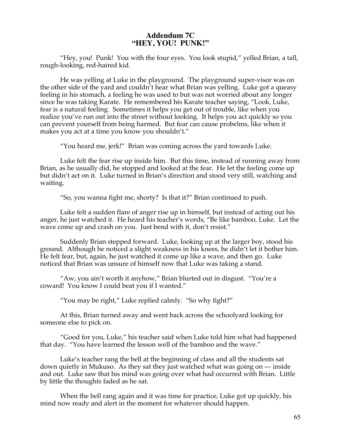### **Addendum 7C "HEY, YOU! PUNK!"**

"Hey, you! Punk! You with the four eyes. You look stupid," yelled Brian, a tall, rough-looking, red-haired kid.

He was yelling at Luke in the playground. The playground super-visor was on the other side of the yard and couldn't hear what Brian was yelling. Luke got a queasy feeling in his stomach, a feeling he was used to but was not worried about any longer since he was taking Karate. He remembered his Karate teacher saying, "Look, Luke, fear is a natural feeling. Sometimes it helps you get out of trouble, like when you realize you've run out into the street without looking. It helps you act quickly so you can prevent yourself from being harmed. But fear can cause probelms, like when it makes you act at a time you know you shouldn't."

"You heard me, jerk!" Brian was coming across the yard towards Luke.

Luke felt the fear rise up inside him. But this time, instead of running away from Brian, as he usually did, he stopped and looked at the fear. He let the feeling come up but didn't act on it. Luke turned in Brian's direction and stood very still, watching and waiting.

"So, you wanna fight me, shorty? Is that it?" Brian continued to push.

Luke felt a sudden flare of anger rise up in himself, but instead of acting out his anger, he just watched it. He heard his teacher's words, "Be like bamboo, Luke. Let the wave come up and crash on you. Just bend with it, don't resist."

Suddenly Brian stepped forward. Luke, looking up at the larger boy, stood his ground. Although he noticed a slight weakness in his knees, he didn't let it bother him. He felt fear, but, again, he just watched it come up like a wave, and then go. Luke noticed that Brian was unsure of himself now that Luke was taking a stand.

"Aw, you ain't worth it anyhow," Brian blurted out in disgust. "You're a coward! You know I could beat you if I wanted."

"You may be right," Luke replied calmly. "So why fight?"

At this, Brian turned away and went back across the schoolyard looking for someone else to pick on.

"Good for you, Luke," his teacher said when Luke told him what had happened that day. "You have learned the lesson well of the bamboo and the wave."

Luke's teacher rang the bell at the beginning of class and all the students sat down quietly in Mukuso. As they sat they just watched what was going on — inside and out. Luke saw that his mind was going over what had occurred with Brian. Little by little the thoughts faded as he sat.

When the bell rang again and it was time for practice, Luke got up quickly, his mind now ready and alert in the moment for whatever should happen.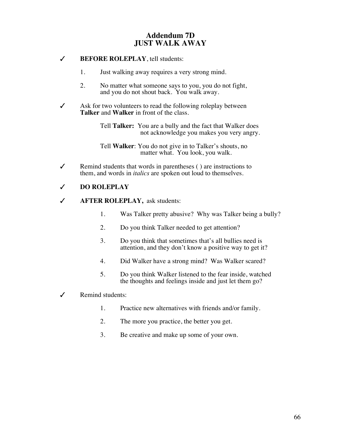## **Addendum 7D JUST WALK AWAY**

### **SEFORE ROLEPLAY**, tell students:

- 1. Just walking away requires a very strong mind.
- 2. No matter what someone says to you, you do not fight, and you do not shout back. You walk away.
- $\checkmark$  Ask for two volunteers to read the following roleplay between **Talker** and **Walker** in front of the class.

Tell **Talker:** You are a bully and the fact that Walker does not acknowledge you makes you very angry.

Tell **Walker**: You do not give in to Talker's shouts, no matter what. You look, you walk.

 $\checkmark$  Remind students that words in parentheses () are instructions to them, and words in *italics* are spoken out loud to themselves.

## \$ **DO ROLEPLAY**

- \$ **AFTER ROLEPLAY,** ask students:
	- 1. Was Talker pretty abusive? Why was Talker being a bully?
	- 2. Do you think Talker needed to get attention?
	- 3. Do you think that sometimes that's all bullies need is attention, and they don't know a positive way to get it?
	- 4. Did Walker have a strong mind? Was Walker scared?
	- 5. Do you think Walker listened to the fear inside, watched the thoughts and feelings inside and just let them go?
- $\checkmark$  Remind students:
	- 1. Practice new alternatives with friends and/or family.
	- 2. The more you practice, the better you get.
	- 3. Be creative and make up some of your own.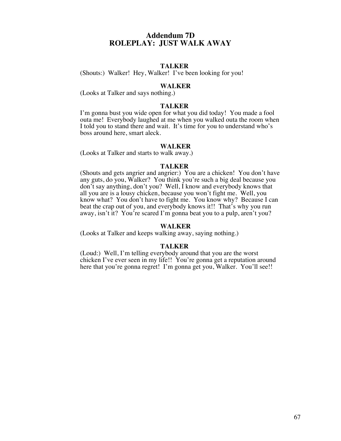### **Addendum 7D ROLEPLAY: JUST WALK AWAY**

### **TALKER**

(Shouts:) Walker! Hey, Walker! I've been looking for you!

### **WALKER**

(Looks at Talker and says nothing.)

#### **TALKER**

I'm gonna bust you wide open for what you did today! You made a fool outa me! Everybody laughed at me when you walked outa the room when I told you to stand there and wait. It's time for you to understand who's boss around here, smart aleck.

### **WALKER**

(Looks at Talker and starts to walk away.)

### **TALKER**

(Shouts and gets angrier and angrier:) You are a chicken! You don't have any guts, do you, Walker? You think you're such a big deal because you don't say anything, don't you? Well, I know and everybody knows that all you are is a lousy chicken, because you won't fight me. Well, you know what? You don't have to fight me. You know why? Because I can beat the crap out of you, and everybody knows it!! That's why you run away, isn't it? You're scared I'm gonna beat you to a pulp, aren't you?

### **WALKER**

(Looks at Talker and keeps walking away, saying nothing.)

#### **TALKER**

(Loud:) Well, I'm telling everybody around that you are the worst chicken I've ever seen in my life!! You're gonna get a reputation around here that you're gonna regret! I'm gonna get you, Walker. You'll see!!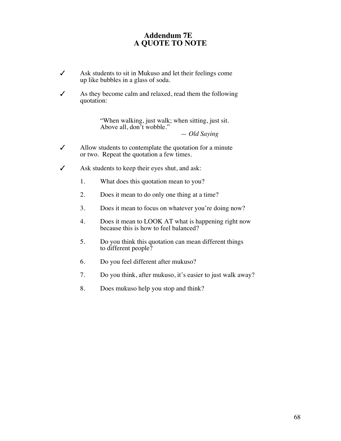# **Addendum 7E A QUOTE TO NOTE**

- $\checkmark$  Ask students to sit in Mukuso and let their feelings come up like bubbles in a glass of soda.
- $\checkmark$  As they become calm and relaxed, read them the following quotation:

"When walking, just walk; when sitting, just sit. Above all, don't wobble."

— *Old Saying*

- $\checkmark$  Allow students to contemplate the quotation for a minute or two. Repeat the quotation a few times.
- $\checkmark$  Ask students to keep their eyes shut, and ask:
	- 1. What does this quotation mean to you?
	- 2. Does it mean to do only one thing at a time?
	- 3. Does it mean to focus on whatever you're doing now?
	- 4. Does it mean to LOOK AT what is happening right now because this is how to feel balanced?
	- 5. Do you think this quotation can mean different things to different people?
	- 6. Do you feel different after mukuso?
	- 7. Do you think, after mukuso, it's easier to just walk away?
	- 8. Does mukuso help you stop and think?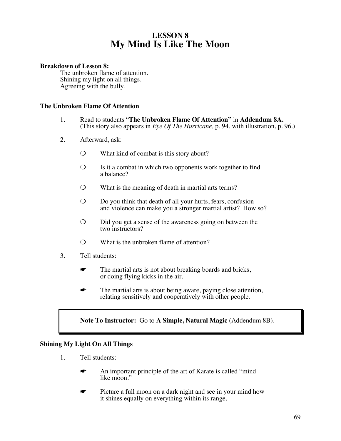# **LESSON 8 My Mind Is Like The Moon**

### **Breakdown of Lesson 8:**

The unbroken flame of attention. Shining my light on all things. Agreeing with the bully.

### **The Unbroken Flame Of Attention**

- 1. Read to students "**The Unbroken Flame Of Attention"** in **Addendum 8A.**  (This story also appears in *Eye Of The Hurricane,* p. 94, with illustration, p. 96.)
- 2. Afterward, ask:
	- ! What kind of combat is this story about?
	- $\bigcirc$  Is it a combat in which two opponents work together to find a balance?
	- ! What is the meaning of death in martial arts terms?
	- ! Do you think that death of all your hurts, fears, confusion and violence can make you a stronger martial artist? How so?
	- ! Did you get a sense of the awareness going on between the two instructors?
	- ! What is the unbroken flame of attention?
- 3. Tell students:
	- The martial arts is not about breaking boards and bricks, or doing flying kicks in the air.
	- The martial arts is about being aware, paying close attention, relating sensitively and cooperatively with other people.

## **Note To Instructor:** Go to **A Simple, Natural Magic** (Addendum 8B).

### **Shining My Light On All Things**

- 1. Tell students:
	- An important principle of the art of Karate is called "mind" like moon."
	- Picture a full moon on a dark night and see in your mind how it shines equally on everything within its range.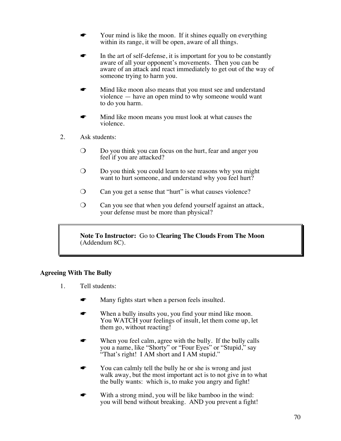- Your mind is like the moon. If it shines equally on everything within its range, it will be open, aware of all things.
- In the art of self-defense, it is important for you to be constantly aware of all your opponent's movements. Then you can be aware of an attack and react immediately to get out of the way of someone trying to harm you.
- Mind like moon also means that you must see and understand violence — have an open mind to why someone would want to do you harm.
- Mind like moon means you must look at what causes the violence.
- 2. Ask students:
	- $\bigcirc$  Do you think you can focus on the hurt, fear and anger you feel if you are attacked?
	- $\bigcirc$  Do you think you could learn to see reasons why you might want to hurt someone, and understand why you feel hurt?
	- ! Can you get a sense that "hurt" is what causes violence?
	- ! Can you see that when you defend yourself against an attack, your defense must be more than physical?

# **Note To Instructor:** Go to **Clearing The Clouds From The Moon** (Addendum 8C).

# **Agreeing With The Bully**

- 1. Tell students:
	- Many fights start when a person feels insulted.
	- When a bully insults you, you find your mind like moon. You WATCH your feelings of insult, let them come up, let them go, without reacting!
	- When you feel calm, agree with the bully. If the bully calls you a name, like "Shorty" or "Four Eyes" or "Stupid," say "That's right! I AM short and I AM stupid."
	- You can calmly tell the bully he or she is wrong and just walk away, but the most important act is to not give in to what the bully wants: which is, to make you angry and fight!
	- With a strong mind, you will be like bamboo in the wind: you will bend without breaking. AND you prevent a fight!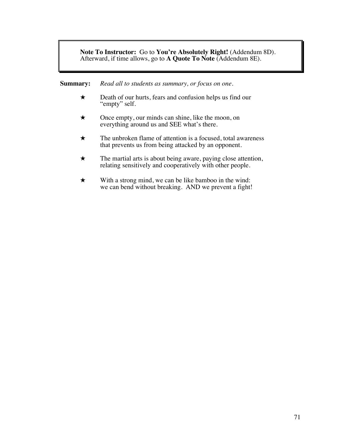### **Note To Instructor:** Go to **You're Absolutely Right!** (Addendum 8D). Afterward, if time allows, go to **A Quote To Note** (Addendum 8E).

### **Summary:** *Read all to students as summary, or focus on one.*

- $\star$  Death of our hurts, fears and confusion helps us find our "empty" self.
- $\star$  Once empty, our minds can shine, like the moon, on everything around us and SEE what's there.
- $\star$  The unbroken flame of attention is a focused, total awareness that prevents us from being attacked by an opponent.
- $\star$  The martial arts is about being aware, paying close attention, relating sensitively and cooperatively with other people.
- $\star$  With a strong mind, we can be like bamboo in the wind: we can bend without breaking. AND we prevent a fight!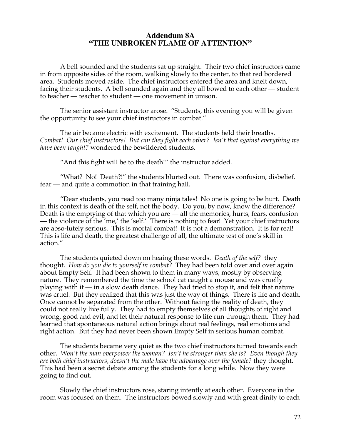## **Addendum 8A "THE UNBROKEN FLAME OF ATTENTION"**

A bell sounded and the students sat up straight. Their two chief instructors came in from opposite sides of the room, walking slowly to the center, to that red bordered area. Students moved aside. The chief instructors entered the area and knelt down, facing their students. A bell sounded again and they all bowed to each other — student to teacher — teacher to student — one movement in unison.

The senior assistant instructor arose. "Students, this evening you will be given the opportunity to see your chief instructors in combat."

The air became electric with excitement. The students held their breaths. *Combat! Our chief instructors! But can they fight each other? Isn't that against everything we have been taught?* wondered the bewildered students.

"And this fight will be to the death!" the instructor added.

"What? No! Death?!" the students blurted out. There was confusion, disbelief, fear — and quite a commotion in that training hall.

"Dear students, you read too many ninja tales! No one is going to be hurt. Death in this context is death of the self, not the body. Do you, by now, know the difference? Death is the emptying of that which you are — all the memories, hurts, fears, confusion — the violence of the 'me,' the 'self.' There is nothing to fear! Yet your chief instructors are abso-lutely serious. This is mortal combat! It is not a demonstration. It is for real! This is life and death, the greatest challenge of all, the ultimate test of one's skill in action."

The students quieted down on heaing these words. *Death of the self?* they thought. *How do you die to yourself in combat?* They had been told over and over again about Empty Self. It had been shown to them in many ways, mostly by observing nature. They remembered the time the school cat caught a mouse and was cruelly playing with it — in a slow death dance. They had tried to stop it, and felt that nature was cruel. But they realized that this was just the way of things. There is life and death. Once cannot be separated from the other. Without facing the reality of death, they could not really live fully. They had to empty themselves of all thoughts of right and wrong, good and evil, and let their natural response to life run through them. They had learned that spontaneous natural action brings about real feelings, real emotions and right action. But they had never been shown Empty Self in serious human combat.

The students became very quiet as the two chief instructors turned towards each other. *Won't the man overpower the woman? Isn't he stronger than she is? Even though they are both chief instructors, doesn't the male have the advantage over the female?* they thought. This had been a secret debate among the students for a long while. Now they were going to find out.

Slowly the chief instructors rose, staring intently at each other. Everyone in the room was focused on them. The instructors bowed slowly and with great dinity to each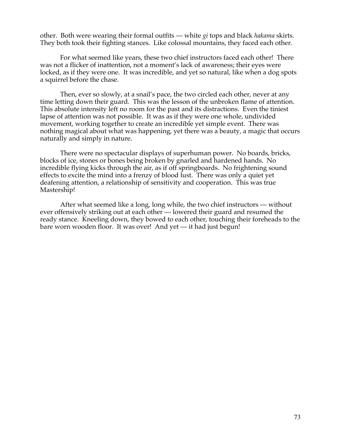other. Both were wearing their formal outfits — white *gi* tops and black *hakama* skirts. They both took their fighting stances. Like colossal mountains, they faced each other.

For what seemed like years, these two chief instructors faced each other! There was not a flicker of inattention, not a moment's lack of awareness; their eyes were locked, as if they were one. It was incredible, and yet so natural, like when a dog spots a squirrel before the chase.

Then, ever so slowly, at a snail's pace, the two circled each other, never at any time letting down their guard. This was the lesson of the unbroken flame of attention. This absolute intensity left no room for the past and its distractions. Even the tiniest lapse of attention was not possible. It was as if they were one whole, undivided movement, working together to create an incredible yet simple event. There was nothing magical about what was happening, yet there was a beauty, a magic that occurs naturally and simply in nature.

There were no spectacular displays of superhuman power. No boards, bricks, blocks of ice, stones or bones being broken by gnarled and hardened hands. No incredible flying kicks through the air, as if off springboards. No frightening sound effects to excite the mind into a frenzy of blood lust. There was only a quiet yet deafening attention, a relationship of sensitivity and cooperation. This was true Mastership!

After what seemed like a long, long while, the two chief instructors — without ever offensively striking out at each other — lowered their guard and resumed the ready stance. Kneeling down, they bowed to each other, touching their foreheads to the bare worn wooden floor. It was over! And yet — it had just begun!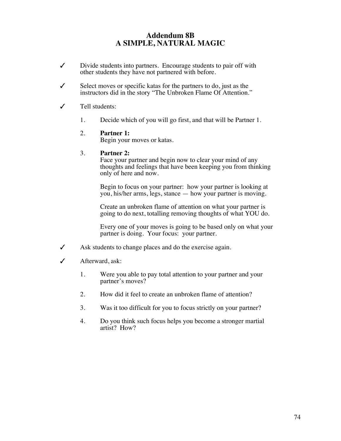# **Addendum 8B A SIMPLE, NATURAL MAGIC**

- $\checkmark$  Divide students into partners. Encourage students to pair off with other students they have not partnered with before.
- $\checkmark$  Select moves or specific katas for the partners to do, just as the instructors did in the story "The Unbroken Flame Of Attention."
- $\checkmark$  Tell students:
	- 1. Decide which of you will go first, and that will be Partner 1.
	- 2. **Partner 1:** Begin your moves or katas.
	- 3. **Partner 2:**

Face your partner and begin now to clear your mind of any thoughts and feelings that have been keeping you from thinking only of here and now.

Begin to focus on your partner: how your partner is looking at you, his/her arms, legs, stance — how your partner is moving.

Create an unbroken flame of attention on what your partner is going to do next, totalling removing thoughts of what YOU do.

Every one of your moves is going to be based only on what your partner is doing. Your focus: your partner.

- $\checkmark$  Ask students to change places and do the exercise again.
- $\checkmark$  Afterward, ask:
	- 1. Were you able to pay total attention to your partner and your partner's moves?
	- 2. How did it feel to create an unbroken flame of attention?
	- 3. Was it too difficult for you to focus strictly on your partner?
	- 4. Do you think such focus helps you become a stronger martial artist? How?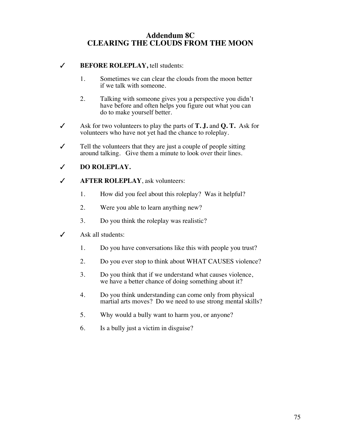# **Addendum 8C CLEARING THE CLOUDS FROM THE MOON**

# **SEFORE ROLEPLAY, tell students:**

- 1. Sometimes we can clear the clouds from the moon better if we talk with someone.
- 2. Talking with someone gives you a perspective you didn't have before and often helps you figure out what you can do to make yourself better.
- $\checkmark$  Ask for two volunteers to play the parts of **T. J.** and **Q. T.** Ask for volunteers who have not yet had the chance to roleplay.
- $\checkmark$  Tell the volunteers that they are just a couple of people sitting around talking. Give them a minute to look over their lines.

# \$ **DO ROLEPLAY.**

- $\checkmark$  **AFTER ROLEPLAY**, ask volunteers:
	- 1. How did you feel about this roleplay? Was it helpful?
	- 2. Were you able to learn anything new?
	- 3. Do you think the roleplay was realistic?
- $\checkmark$  Ask all students:
	- 1. Do you have conversations like this with people you trust?
	- 2. Do you ever stop to think about WHAT CAUSES violence?
	- 3. Do you think that if we understand what causes violence, we have a better chance of doing something about it?
	- 4. Do you think understanding can come only from physical martial arts moves? Do we need to use strong mental skills?
	- 5. Why would a bully want to harm you, or anyone?
	- 6. Is a bully just a victim in disguise?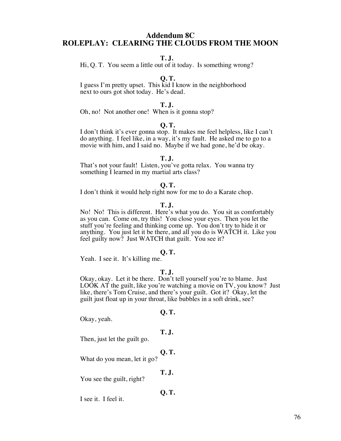# **Addendum 8C ROLEPLAY: CLEARING THE CLOUDS FROM THE MOON**

### **T. J.**

Hi, Q. T. You seem a little out of it today. Is something wrong?

### **Q. T.**

I guess I'm pretty upset. This kid I know in the neighborhood next to ours got shot today. He's dead.

#### **T. J.**

Oh, no! Not another one! When is it gonna stop?

### **Q. T.**

I don't think it's ever gonna stop. It makes me feel helpless, like I can't do anything. I feel like, in a way, it's my fault. He asked me to go to a movie with him, and I said no. Maybe if we had gone, he'd be okay.

#### **T. J.**

That's not your fault! Listen, you've gotta relax. You wanna try something I learned in my martial arts class?

#### **Q. T.**

I don't think it would help right now for me to do a Karate chop.

#### **T. J.**

No! No! This is different. Here's what you do. You sit as comfortably as you can. Come on, try this! You close your eyes. Then you let the stuff you're feeling and thinking come up. You don't try to hide it or anything. You just let it be there, and all you do is WATCH it. Like you feel guilty now? Just WATCH that guilt. You see it?

### **Q. T.**

Yeah. I see it. It's killing me.

#### **T. J.**

Okay, okay. Let it be there. Don't tell yourself you're to blame. Just LOOK AT the guilt, like you're watching a movie on TV, you know? Just like, there's Tom Cruise, and there's your guilt. Got it? Okay, let the guilt just float up in your throat, like bubbles in a soft drink, see?

Okay, yeah.

#### **T. J.**

**Q. T.**

Then, just let the guilt go.

# **Q. T.**

What do you mean, let it go?

#### **T. J.**

You see the guilt, right?

#### **Q. T.**

I see it. I feel it.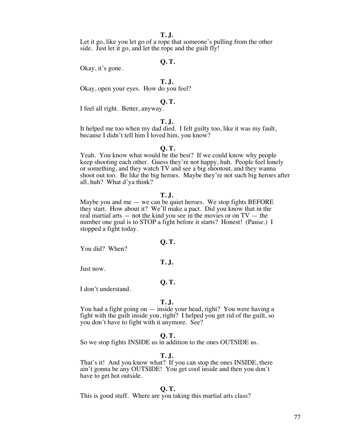**T. J.**

Let it go, like you let go of a rope that someone's pulling from the other side. Just let it go, and let the rope and the guilt fly!

### **Q. T.**

Okay, it's gone.

#### **T. J.**

Okay, open your eyes. How do you feel?

#### **Q. T.**

I feel all right. Better, anyway.

#### **T. J.**

It helped me too when my dad died. I felt guilty too, like it was my fault, because I didn't tell him I loved him, you know?

#### **Q. T.**

Yeah. You know what would be the best? If we could know why people keep shooting each other. Guess they're not happy, huh. People feel lonely or something, and they watch TV and see a big shootout, and they wanna shoot out too. Be like the big heroes. Maybe they're not such big heroes after all, huh? What d'ya think?

#### **T. J.**

Maybe you and me  $-$  we can be quiet heroes. We stop fights  $BEFORE$ they start. How about it? We'll make a pact. Did you know that in the real martial arts  $-$  not the kind you see in the movies or on  $TV -$  the number one goal is to STOP a fight before it starts? Honest! (Pause.) I stopped a fight today.

You did? When?

#### **T. J.**

Just now.

#### **Q. T.**

**Q. T.**

I don't understand.

#### **T. J.**

You had a fight going on — inside your head, right? You were having a fight with the guilt inside you, right? I helped you get rid of the guilt, so you don't have to fight with it anymore. See?

#### **Q. T.**

So we stop fights INSIDE us in addition to the ones OUTSIDE us.

#### **T. J.**

That's it! And you know what? If you can stop the ones INSIDE, there ain't gonna be any OUTSIDE! You get cool inside and then you don't have to get hot outside.

#### **Q. T.**

This is good stuff. Where are you taking this martial arts class?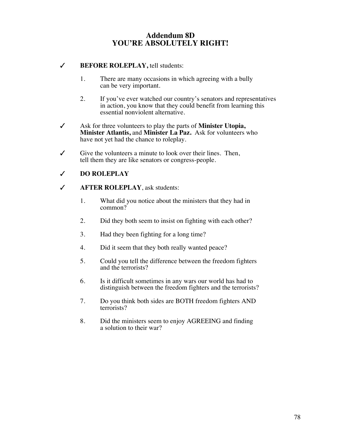# **Addendum 8D YOU'RE ABSOLUTELY RIGHT!**

# **SEFORE ROLEPLAY, tell students:**

- 1. There are many occasions in which agreeing with a bully can be very important.
- 2. If you've ever watched our country's senators and representatives in action, you know that they could benefit from learning this essential nonviolent alternative.
- $\checkmark$  Ask for three volunteers to play the parts of **Minister Utopia**, **Minister Atlantis,** and **Minister La Paz.** Ask for volunteers who have not yet had the chance to roleplay.
- $\checkmark$  Give the volunteers a minute to look over their lines. Then, tell them they are like senators or congress-people.

# \$ **DO ROLEPLAY**

# \$ **AFTER ROLEPLAY**, ask students:

- 1. What did you notice about the ministers that they had in common?
- 2. Did they both seem to insist on fighting with each other?
- 3. Had they been fighting for a long time?
- 4. Did it seem that they both really wanted peace?
- 5. Could you tell the difference between the freedom fighters and the terrorists?
- 6. Is it difficult sometimes in any wars our world has had to distinguish between the freedom fighters and the terrorists?
- 7. Do you think both sides are BOTH freedom fighters AND terrorists?
- 8. Did the ministers seem to enjoy AGREEING and finding a solution to their war?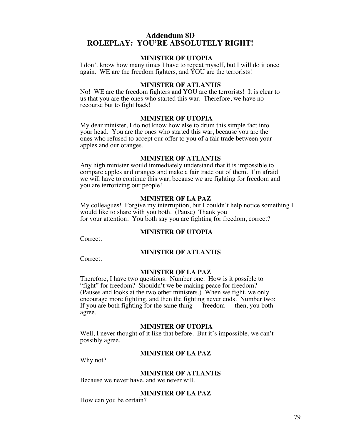# **Addendum 8D ROLEPLAY: YOU'RE ABSOLUTELY RIGHT!**

### **MINISTER OF UTOPIA**

I don't know how many times I have to repeat myself, but I will do it once again. WE are the freedom fighters, and YOU are the terrorists!

#### **MINISTER OF ATLANTIS**

No! WE are the freedom fighters and YOU are the terrorists! It is clear to us that you are the ones who started this war. Therefore, we have no recourse but to fight back!

### **MINISTER OF UTOPIA**

My dear minister, I do not know how else to drum this simple fact into your head. You are the ones who started this war, because you are the ones who refused to accept our offer to you of a fair trade between your apples and our oranges.

#### **MINISTER OF ATLANTIS**

Any high minister would immediately understand that it is impossible to compare apples and oranges and make a fair trade out of them. I'm afraid we will have to continue this war, because we are fighting for freedom and you are terrorizing our people!

### **MINISTER OF LA PAZ**

My colleagues! Forgive my interruption, but I couldn't help notice something I would like to share with you both. (Pause) Thank you for your attention. You both say you are fighting for freedom, correct?

### **MINISTER OF UTOPIA**

Correct.

### **MINISTER OF ATLANTIS**

Correct.

#### **MINISTER OF LA PAZ**

Therefore, I have two questions. Number one: How is it possible to "fight" for freedom? Shouldn't we be making peace for freedom? (Pauses and looks at the two other ministers.) When we fight, we only encourage more fighting, and then the fighting never ends. Number two: If you are both fighting for the same thing  $-$  freedom  $-$  then, you both agree.

#### **MINISTER OF UTOPIA**

Well, I never thought of it like that before. But it's impossible, we can't possibly agree.

### **MINISTER OF LA PAZ**

Why not?

#### **MINISTER OF ATLANTIS**

Because we never have, and we never will.

#### **MINISTER OF LA PAZ**

How can you be certain?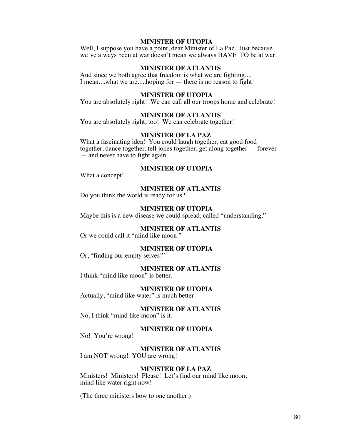#### **MINISTER OF UTOPIA**

Well, I suppose you have a point, dear Minister of La Paz. Just because we've always been at war doesn't mean we always HAVE TO be at war.

#### **MINISTER OF ATLANTIS**

And since we both agree that freedom is what we are fighting.... I mean....what we are.....hoping for — there is no reason to fight!

### **MINISTER OF UTOPIA**

You are absolutely right! We can call all our troops home and celebrate!

#### **MINISTER OF ATLANTIS**

You are absolutely right, too! We can celebrate together!

#### **MINISTER OF LA PAZ**

What a fascinating idea! You could laugh together, eat good food together, dance together, tell jokes together, get along together — forever — and never have to fight again.

### **MINISTER OF UTOPIA**

What a concept!

#### **MINISTER OF ATLANTIS**

Do you think the world is ready for us?

#### **MINISTER OF UTOPIA**

Maybe this is a new disease we could spread, called "understanding."

#### **MINISTER OF ATLANTIS**

Or we could call it "mind like moon."

### **MINISTER OF UTOPIA**

Or, "finding our empty selves!"

#### **MINISTER OF ATLANTIS**

I think "mind like moon" is better.

**MINISTER OF UTOPIA**

Actually, "mind like water" is much better.

**MINISTER OF ATLANTIS**

No, I think "mind like moon" is it.

#### **MINISTER OF UTOPIA**

No! You're wrong!

#### **MINISTER OF ATLANTIS**

I am NOT wrong! YOU are wrong!

#### **MINISTER OF LA PAZ**

Ministers! Ministers! Please! Let's find our mind like moon, mind like water right now!

(The three ministers bow to one another.)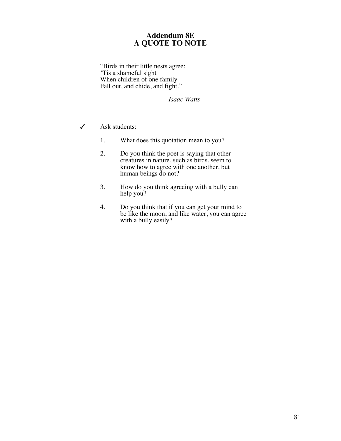# **Addendum 8E A QUOTE TO NOTE**

"Birds in their little nests agree: 'Tis a shameful sight When children of one family Fall out, and chide, and fight."

— *Isaac Watts*

- $\angle$  Ask students:
	- 1. What does this quotation mean to you?
	- 2. Do you think the poet is saying that other creatures in nature, such as birds, seem to know how to agree with one another, but human beings do not?
	- 3. How do you think agreeing with a bully can help you?
	- 4. Do you think that if you can get your mind to be like the moon, and like water, you can agree with a bully easily?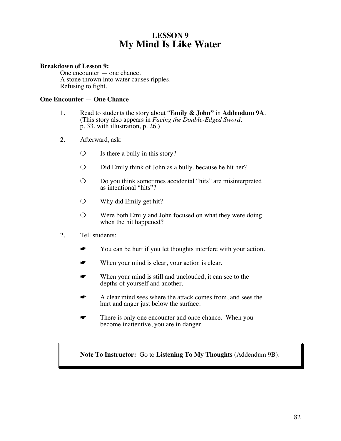# **LESSON 9 My Mind Is Like Water**

### **Breakdown of Lesson 9:**

One encounter — one chance. A stone thrown into water causes ripples. Refusing to fight.

### **One Encounter — One Chance**

- 1. Read to students the story about "**Emily & John"** in **Addendum 9A**. (This story also appears in *Facing the Double-Edged Sword,*  p. 33, with illustration, p. 26.)
- 2. Afterward, ask:
	- $\bigcirc$  Is there a bully in this story?
	- ! Did Emily think of John as a bully, because he hit her?
	- ! Do you think sometimes accidental "hits" are misinterpreted as intentional "hits"?
	- $\bigcirc$  Why did Emily get hit?
	- ! Were both Emily and John focused on what they were doing when the hit happened?
- 2. Tell students:
	- You can be hurt if you let thoughts interfere with your action.
	- When your mind is clear, your action is clear.
	- When your mind is still and unclouded, it can see to the depths of yourself and another.
	- A clear mind sees where the attack comes from, and sees the hurt and anger just below the surface.
	- There is only one encounter and once chance. When you become inattentive, you are in danger.

**Note To Instructor:** Go to **Listening To My Thoughts** (Addendum 9B).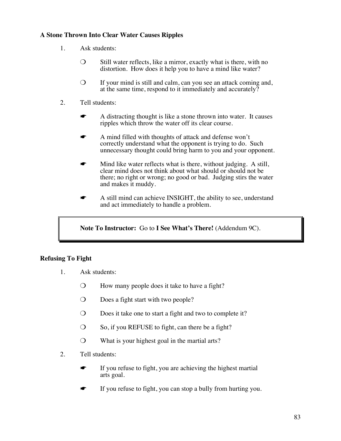# **A Stone Thrown Into Clear Water Causes Ripples**

- 1. Ask students:
	- $\bigcirc$  Still water reflects, like a mirror, exactly what is there, with no distortion. How does it help you to have a mind like water?
	- ! If your mind is still and calm, can you see an attack coming and, at the same time, respond to it immediately and accurately?
- 2. Tell students:
	- A distracting thought is like a stone thrown into water. It causes ripples which throw the water off its clear course.
	- A mind filled with thoughts of attack and defense won't correctly understand what the opponent is trying to do. Such unnecessary thought could bring harm to you and your opponent.
	- Mind like water reflects what is there, without judging. A still, clear mind does not think about what should or should not be there; no right or wrong; no good or bad. Judging stirs the water and makes it muddy.
	- A still mind can achieve INSIGHT, the ability to see, understand and act immediately to handle a problem.

# **Note To Instructor:** Go to **I See What's There!** (Addendum 9C).

## **Refusing To Fight**

- 1. Ask students:
	- ! How many people does it take to have a fight?
	- ! Does a fight start with two people?
	- ! Does it take one to start a fight and two to complete it?
	- O So, if you REFUSE to fight, can there be a fight?
	- ! What is your highest goal in the martial arts?
- 2. Tell students:
	- If you refuse to fight, you are achieving the highest martial arts goal.
	- If you refuse to fight, you can stop a bully from hurting you.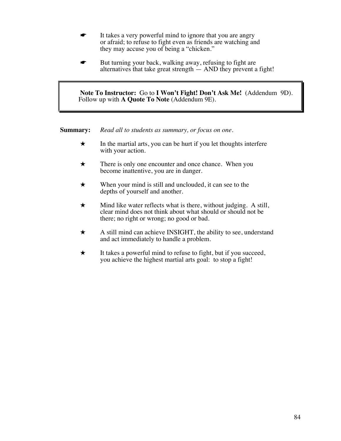- It takes a very powerful mind to ignore that you are angry or afraid; to refuse to fight even as friends are watching and they may accuse you of being a "chicken."
- $\bullet$  But turning your back, walking away, refusing to fight are alternatives that take great strength  $-$  AND they prevent a fight!

**Note To Instructor:** Go to **I Won't Fight! Don't Ask Me!** (Addendum 9D). Follow up with **A Quote To Note** (Addendum 9E).

**Summary:** *Read all to students as summary, or focus on one.*

- $\star$  In the martial arts, you can be hurt if you let thoughts interfere with your action.
- $\star$  There is only one encounter and once chance. When you become inattentive, you are in danger.
- $\star$  When your mind is still and unclouded, it can see to the depths of yourself and another.
- $\star$  Mind like water reflects what is there, without judging. A still, clear mind does not think about what should or should not be there; no right or wrong; no good or bad.
- $\star$  A still mind can achieve INSIGHT, the ability to see, understand and act immediately to handle a problem.
- $\star$  It takes a powerful mind to refuse to fight, but if you succeed, you achieve the highest martial arts goal: to stop a fight!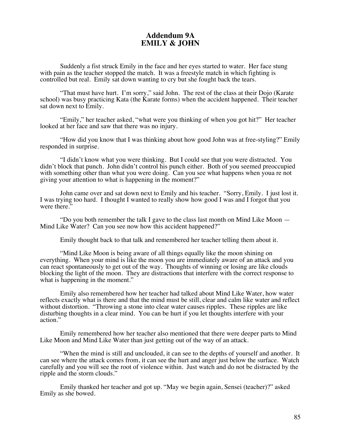# **Addendum 9A EMILY & JOHN**

Suddenly a fist struck Emily in the face and her eyes started to water. Her face stung with pain as the teacher stopped the match. It was a freestyle match in which fighting is controlled but real. Emily sat down wanting to cry but she fought back the tears.

"That must have hurt. I'm sorry," said John. The rest of the class at their Dojo (Karate school) was busy practicing Kata (the Karate forms) when the accident happened. Their teacher sat down next to Emily.

"Emily," her teacher asked, "what were you thinking of when you got hit?" Her teacher looked at her face and saw that there was no injury.

"How did you know that I was thinking about how good John was at free-styling?" Emily responded in surprise.

"I didn't know what you were thinking. But I could see that you were distracted. You didn't block that punch. John didn't control his punch either. Both of you seemed preoccupied with something other than what you were doing. Can you see what happens when youa re not giving your attention to what is happening in the moment?"

John came over and sat down next to Emily and his teacher. "Sorry, Emily. I just lost it. I was trying too hard. I thought I wanted to really show how good I was and I forgot that you were there."

"Do you both remember the talk I gave to the class last month on Mind Like Moon — Mind Like Water? Can you see now how this accident happened?"

Emily thought back to that talk and remembered her teacher telling them about it.

"Mind Like Moon is being aware of all things equally like the moon shining on everything. When your mind is like the moon you are immediately aware of an attack and you can react spontaneously to get out of the way. Thoughts of winning or losing are like clouds blocking the light of the moon. They are distractions that interfere with the correct response to what is happening in the moment."

Emily also remembered how her teacher had talked about Mind Like Water, how water reflects exactly what is there and that the mind must be still, clear and calm like water and reflect without distortion. "Throwing a stone into clear water causes ripples. These ripples are like disturbing thoughts in a clear mind. You can be hurt if you let thoughts interfere with your action."

Emily remembered how her teacher also mentioned that there were deeper parts to Mind Like Moon and Mind Like Water than just getting out of the way of an attack.

"When the mind is still and unclouded, it can see to the depths of yourself and another. It can see where the attack comes from, it can see the hurt and anger just below the surface. Watch carefully and you will see the root of violence within. Just watch and do not be distracted by the ripple and the storm clouds."

Emily thanked her teacher and got up. "May we begin again, Sensei (teacher)?" asked Emily as she bowed.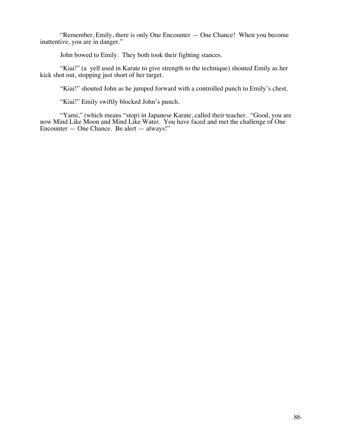"Remember, Emily, there is only One Encounter — One Chance! When you become inattentive, you are in danger."

John bowed to Emily. They both took their fighting stances.

"Kiai!" (a yell used in Karate to give strength to the technique) shouted Emily as her kick shot out, stopping just short of her target.

"Kiai!" shouted John as he jumped forward with a controlled punch to Emily's chest.

"Kiai!" Emily swiftly blocked John's punch.

"Yami," (which means "stop) in Japanese Karate, called their teacher. "Good, you are now Mind Like Moon and Mind Like Water. You have faced and met the challenge of One Encounter — One Chance. Be alert — always!"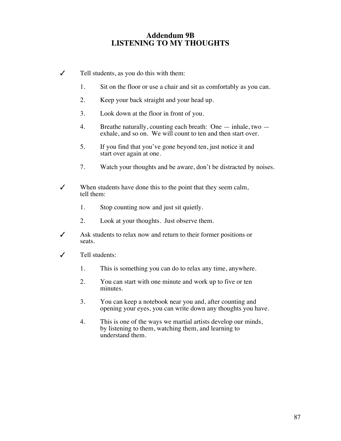# **Addendum 9B LISTENING TO MY THOUGHTS**

- $\checkmark$  Tell students, as you do this with them:
	- 1. Sit on the floor or use a chair and sit as comfortably as you can.
	- 2. Keep your back straight and your head up.
	- 3. Look down at the floor in front of you.
	- 4. Breathe naturally, counting each breath: One inhale, two exhale, and so on. We will count to ten and then start over.
	- 5. If you find that you've gone beyond ten, just notice it and start over again at one.
	- 7. Watch your thoughts and be aware, don't be distracted by noises.
- $\checkmark$  When students have done this to the point that they seem calm, tell them:
	- 1. Stop counting now and just sit quietly.
	- 2. Look at your thoughts. Just observe them.
- $\checkmark$  Ask students to relax now and return to their former positions or seats.
- $\checkmark$  Tell students:
	- 1. This is something you can do to relax any time, anywhere.
	- 2. You can start with one minute and work up to five or ten minutes.
	- 3. You can keep a notebook near you and, after counting and opening your eyes, you can write down any thoughts you have.
	- 4. This is one of the ways we martial artists develop our minds, by listening to them, watching them, and learning to understand them.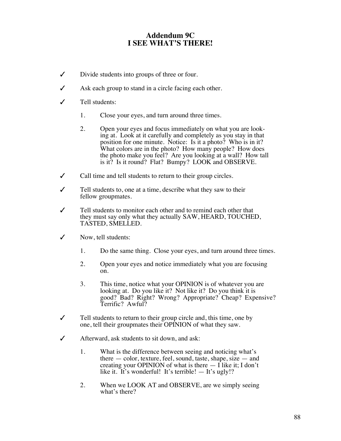# **Addendum 9C I SEE WHAT'S THERE!**

- $\checkmark$  Divide students into groups of three or four.
- $\checkmark$  Ask each group to stand in a circle facing each other.
- $\checkmark$  Tell students:
	- 1. Close your eyes, and turn around three times.
	- 2. Open your eyes and focus immediately on what you are looking at. Look at it carefully and completely as you stay in that position for one minute. Notice: Is it a photo? Who is in it? What colors are in the photo? How many people? How does the photo make you feel? Are you looking at a wall? How tall is it? Is it round? Flat? Bumpy? LOOK and OBSERVE.
- $\checkmark$  Call time and tell students to return to their group circles.
- $\checkmark$  Tell students to, one at a time, describe what they saw to their fellow groupmates.
- $\checkmark$  Tell students to monitor each other and to remind each other that they must say only what they actually SAW, HEARD, TOUCHED, TASTED, SMELLED.
- $\checkmark$  Now, tell students:
	- 1. Do the same thing. Close your eyes, and turn around three times.
	- 2. Open your eyes and notice immediately what you are focusing on.
	- 3. This time, notice what your OPINION is of whatever you are looking at. Do you like it? Not like it? Do you think it is good? Bad? Right? Wrong? Appropriate? Cheap? Expensive? Terrific? Awful?
- $\checkmark$  Tell students to return to their group circle and, this time, one by one, tell their groupmates their OPINION of what they saw.
- $\checkmark$  Afterward, ask students to sit down, and ask:
	- 1. What is the difference between seeing and noticing what's there  $-$  color, texture, feel, sound, taste, shape, size  $-$  and creating your OPINION of what is there  $\overline{\phantom{a}}$  like it; I don't like it. It's wonderful! It's terrible! — It's ugly!?
	- 2. When we LOOK AT and OBSERVE, are we simply seeing what's there?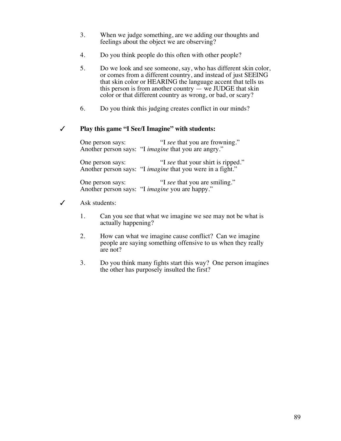- 3. When we judge something, are we adding our thoughts and feelings about the object we are observing?
- 4. Do you think people do this often with other people?
- 5. Do we look and see someone, say, who has different skin color, or comes from a different country, and instead of just SEEING that skin color or HEARING the language accent that tells us this person is from another country  $-$  we JUDGE that skin color or that different country as wrong, or bad, or scary?
- 6. Do you think this judging creates conflict in our minds?

# \$ **Play this game "I See/I Imagine" with students:**

One person says: "I *see* that you are frowning." Another person says: "I *imagine* that you are angry."

One person says: "I *see* that your shirt is ripped." Another person says: "I *imagine* that you were in a fight."

One person says: "I *see* that you are smiling." Another person says: "I *imagine* you are happy."

### $\checkmark$  Ask students:

- 1. Can you see that what we imagine we see may not be what is actually happening?
- 2. How can what we imagine cause conflict? Can we imagine people are saying something offensive to us when they really are not?
- 3. Do you think many fights start this way? One person imagines the other has purposely insulted the first?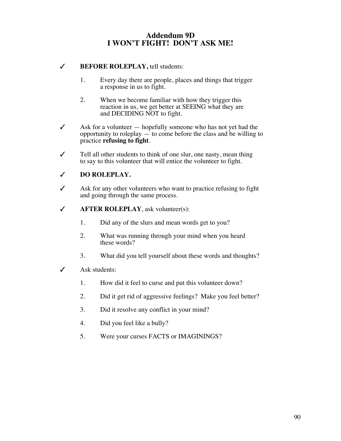# **Addendum 9D I WON'T FIGHT! DON'T ASK ME!**

# $\checkmark$  **BEFORE ROLEPLAY, tell students:**

- 1. Every day there are people, places and things that trigger a response in us to fight.
- 2. When we become familiar with how they trigger this reaction in us, we get better at SEEING what they are and DECIDING NOT to fight.
- $\checkmark$  Ask for a volunteer hopefully someone who has not yet had the opportunity to roleplay — to come before the class and be willing to practice **refusing to fight**.
- $\checkmark$  Tell all other students to think of one slur, one nasty, mean thing to say to this volunteer that will entice the volunteer to fight.

# $\checkmark$  DO ROLEPLAY.

 $\checkmark$  Ask for any other volunteers who want to practice refusing to fight and going through the same process.

## $\checkmark$  **AFTER ROLEPLAY**, ask volunteer(s):

- 1. Did any of the slurs and mean words get to you?
- 2. What was running through your mind when you heard these words?
- 3. What did you tell yourself about these words and thoughts?
- $\checkmark$  Ask students:
	- 1. How did it feel to curse and put this volunteer down?
	- 2. Did it get rid of aggressive feelings? Make you feel better?
	- 3. Did it resolve any conflict in your mind?
	- 4. Did you feel like a bully?
	- 5. Were your curses FACTS or IMAGININGS?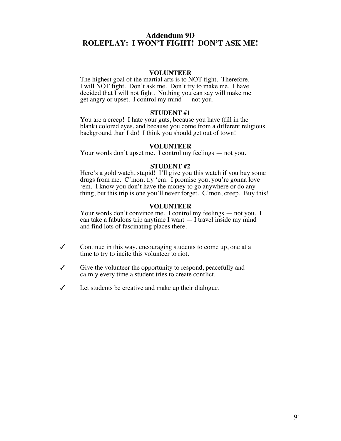# **Addendum 9D ROLEPLAY: I WON'T FIGHT! DON'T ASK ME!**

#### **VOLUNTEER**

The highest goal of the martial arts is to NOT fight. Therefore, I will NOT fight. Don't ask me. Don't try to make me. I have decided that I will not fight. Nothing you can say will make me get angry or upset. I control my mind — not you.

### **STUDENT #1**

You are a creep! I hate your guts, because you have (fill in the blank) colored eyes, and because you come from a different religious background than I do! I think you should get out of town!

### **VOLUNTEER**

Your words don't upset me. I control my feelings — not you.

### **STUDENT #2**

Here's a gold watch, stupid! I'll give you this watch if you buy some drugs from me. C'mon, try 'em. I promise you, you're gonna love 'em. I know you don't have the money to go anywhere or do anything, but this trip is one you'll never forget. C'mon, creep. Buy this!

### **VOLUNTEER**

Your words don't convince me. I control my feelings — not you. I can take a fabulous trip anytime I want — I travel inside my mind and find lots of fascinating places there.

- $\checkmark$  Continue in this way, encouraging students to come up, one at a time to try to incite this volunteer to riot.
- $\checkmark$  Give the volunteer the opportunity to respond, peacefully and calmly every time a student tries to create conflict.
- $\checkmark$  Let students be creative and make up their dialogue.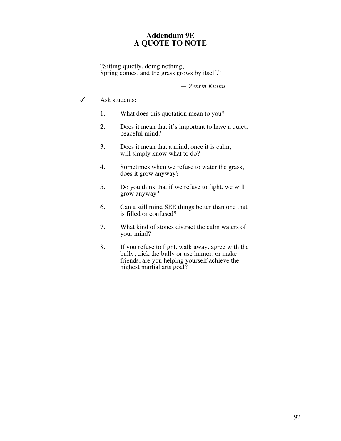# **Addendum 9E A QUOTE TO NOTE**

"Sitting quietly, doing nothing, Spring comes, and the grass grows by itself."

— *Zenrin Kushu*

- $\angle$  Ask students:
	- 1. What does this quotation mean to you?
	- 2. Does it mean that it's important to have a quiet, peaceful mind?
	- 3. Does it mean that a mind, once it is calm, will simply know what to do?
	- 4. Sometimes when we refuse to water the grass, does it grow anyway?
	- 5. Do you think that if we refuse to fight, we will grow anyway?
	- 6. Can a still mind SEE things better than one that is filled or confused?
	- 7. What kind of stones distract the calm waters of your mind?
	- 8. If you refuse to fight, walk away, agree with the bully, trick the bully or use humor, or make friends, are you helping yourself achieve the highest martial arts goal?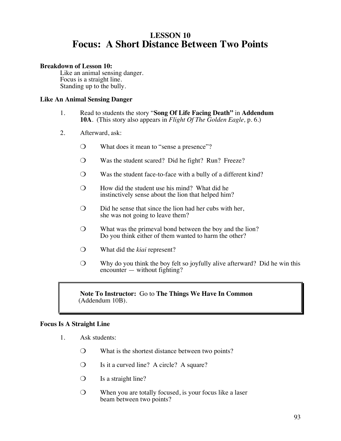# **LESSON 10 Focus: A Short Distance Between Two Points**

### **Breakdown of Lesson 10:**

Like an animal sensing danger. Focus is a straight line. Standing up to the bully.

### **Like An Animal Sensing Danger**

- 1. Read to students the story "**Song Of Life Facing Death"** in **Addendum 10A**. (This story also appears in *Flight Of The Golden Eagle,* p. 6.)
- 2. Afterward, ask:
	- O What does it mean to "sense a presence"?
	- ! Was the student scared? Did he fight? Run? Freeze?
	- ! Was the student face-to-face with a bully of a different kind?
	- $\bigcirc$  How did the student use his mind? What did he instinctively sense about the lion that helped him?
	- ! Did he sense that since the lion had her cubs with her, she was not going to leave them?
	- ! What was the primeval bond between the boy and the lion? Do you think either of them wanted to harm the other?
	- ! What did the *kiai* represent?
	- $\bullet$  Why do you think the boy felt so joyfully alive afterward? Did he win this encounter — without fighting?

**Note To Instructor:** Go to **The Things We Have In Common** (Addendum 10B).

## **Focus Is A Straight Line**

- 1. Ask students:
	- ! What is the shortest distance between two points?
	- ! Is it a curved line? A circle? A square?
	- $\bigcirc$  Is a straight line?
	- $\bigcirc$  When you are totally focused, is your focus like a laser beam between two points?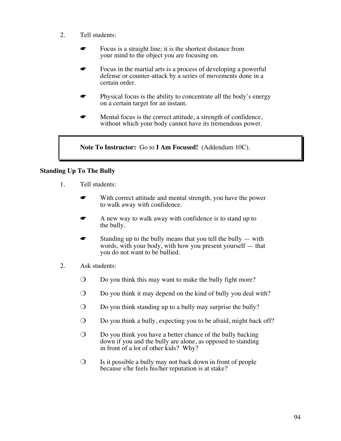- 2. Tell students:
	- Focus is a straight line; it is the shortest distance from your mind to the object you are focusing on.
	- Focus in the martial arts is a process of developing a powerful defense or counter-attack by a series of movements done in a certain order.
	- Physical focus is the ability to concentrate all the body's energy on a certain target for an instant.
	- Mental focus is the correct attitude, a strength of confidence, without which your body cannot have its tremendous power.

**Note To Instructor:** Go to **I Am Focused!** (Addendum 10C).

## **Standing Up To The Bully**

- 1. Tell students:
	- With correct attitude and mental strength, you have the power to walk away with confidence.
	- " A new way to walk away with confidence is to stand up to the bully.
	- $\blacktriangleright$  Standing up to the bully means that you tell the bully  $-$  with words, with your body, with how you present yourself — that you do not want to be bullied.
- 2. Ask students:
	- $\bigcirc$  Do you think this may want to make the bully fight more?
	- ! Do you think it may depend on the kind of bully you deal with?
	- $\bigcirc$  Do you think standing up to a bully may surprise the bully?
	- ! Do you think a bully, expecting you to be afraid, might back off?
	- $\bigcirc$  Do you think you have a better chance of the bully backing down if you and the bully are alone, as opposed to standing in front of a lot of other kids? Why?
	- $\bigcirc$  Is it possible a bully may not back down in front of people because s/he feels his/her reputation is at stake?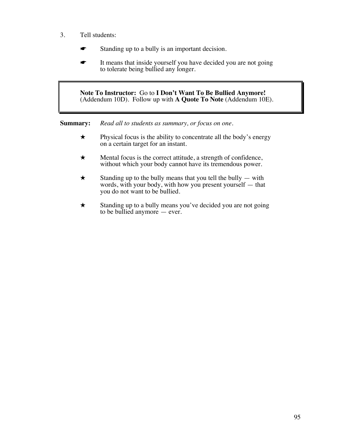- 3. Tell students:
	- Standing up to a bully is an important decision.
	- It means that inside yourself you have decided you are not going to tolerate being bullied any longer.

**Note To Instructor:** Go to **I Don't Want To Be Bullied Anymore!**  (Addendum 10D). Follow up with **A Quote To Note** (Addendum 10E).

**Summary:** *Read all to students as summary, or focus on one.*

- $\star$  Physical focus is the ability to concentrate all the body's energy on a certain target for an instant.
- $\star$  Mental focus is the correct attitude, a strength of confidence, without which your body cannot have its tremendous power.
- $\star$  Standing up to the bully means that you tell the bully with words, with your body, with how you present yourself — that you do not want to be bullied.
- $\star$  Standing up to a bully means you've decided you are not going to be bullied anymore — ever.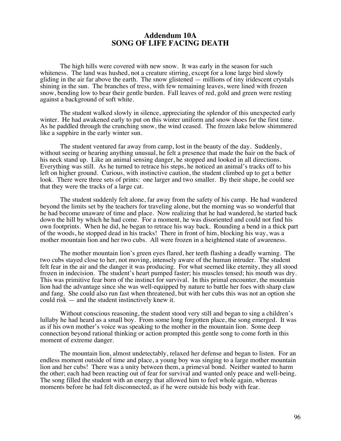# **Addendum 10A SONG OF LIFE FACING DEATH**

The high hills were covered with new snow. It was early in the season for such whiteness. The land was hushed, not a creature stirring, except for a lone large bird slowly gliding in the air far above the earth. The snow glistened — millions of tiny iridescent crystals shining in the sun. The branches of tress, with few remaining leaves, were lined with frozen snow, bending low to bear their gentle burden. Fall leaves of red, gold and green were resting against a background of soft white.

The student walked slowly in silence, appreciating the splendor of this unexpected early winter. He had awakened early to put on this winter uniform and snow shoes for the first time. As he paddled through the crunching snow, the wind ceased. The frozen lake below shimmered like a sapphire in the early winter sun.

The student ventured far away from camp, lost in the beauty of the day. Suddenly, without seeing or hearing anything unusual, he felt a presence that made the hair on the back of his neck stand up. Like an animal sensing danger, he stopped and looked in all directions. Everything was still. As he turned to retrace his steps, he noticed an animal's tracks off to his left on higher ground. Curious, with instinctive caution, the student climbed up to get a better look. There were three sets of prints: one larger and two smaller. By their shape, he could see that they were the tracks of a large cat.

The student suddenly felt alone, far away from the safety of his camp. He had wandered beyond the limits set by the teachers for traveling alone, but the morning was so wonderful that he had become unaware of time and place. Now realizing that he had wandered, he started back down the hill by which he had come. For a moment, he was disoriented and could not find his own footprints. When he did, he began to retrace his way back. Rounding a bend in a thick part of the woods, he stopped dead in his tracks! There in front of him, blocking his way, was a mother mountain lion and her two cubs. All were frozen in a heightened state of awareness.

The mother mountain lion's green eyes flared, her teeth flashing a deadly warning. The two cubs stayed close to her, not moving, intensely aware of the human intruder. The student felt fear in the air and the danger it was producing. For what seemed like eternity, they all stood frozen in indecision. The student's heart pumped faster; his muscles tensed; his mouth was dry. This was primitive fear born of the instinct for survival. In this primal encounter, the mountain lion had the advantage since she was well-equipped by nature to battle her foes with sharp claw and fang. She could also run fast when threatened, but with her cubs this was not an option she could risk — and the student instinctively knew it.

Without conscious reasoning, the student stood very still and began to sing a children's lullaby he had heard as a small boy. From some long forgotten place, the song emerged. It was as if his own mother's voice was speaking to the mother in the mountain lion. Some deep connection beyond rational thinking or action prompted this gentle song to come forth in this moment of extreme danger.

The mountain lion, almost undetectably, relaxed her defense and began to listen. For an endless moment outside of time and place, a young boy was singing to a large mother mountain lion and her cubs! There was a unity between them, a primeval bond. Neither wanted to harm the other; each had been reacting out of fear for survival and wanted only peace and well-being. The song filled the student with an energy that allowed him to feel whole again, whereas moments before he had felt disconnected, as if he were outside his body with fear.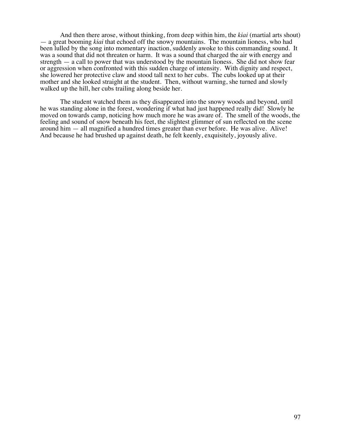And then there arose, without thinking, from deep within him, the *kiai* (martial arts shout) — a great booming *kiai* that echoed off the snowy mountains. The mountain lioness, who had been lulled by the song into momentary inaction, suddenly awoke to this commanding sound. It was a sound that did not threaten or harm. It was a sound that charged the air with energy and strength  $-$  a call to power that was understood by the mountain lioness. She did not show fear or aggression when confronted with this sudden charge of intensity. With dignity and respect, she lowered her protective claw and stood tall next to her cubs. The cubs looked up at their mother and she looked straight at the student. Then, without warning, she turned and slowly walked up the hill, her cubs trailing along beside her.

The student watched them as they disappeared into the snowy woods and beyond, until he was standing alone in the forest, wondering if what had just happened really did! Slowly he moved on towards camp, noticing how much more he was aware of. The smell of the woods, the feeling and sound of snow beneath his feet, the slightest glimmer of sun reflected on the scene around him — all magnified a hundred times greater than ever before. He was alive. Alive! And because he had brushed up against death, he felt keenly, exquisitely, joyously alive.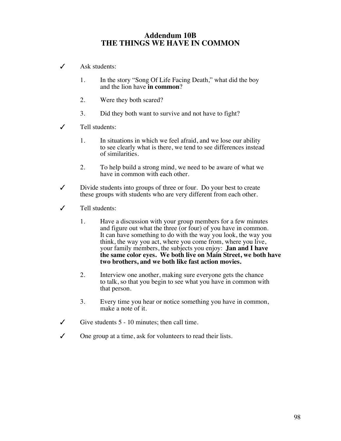# **Addendum 10B THE THINGS WE HAVE IN COMMON**

- $\checkmark$  Ask students:
	- 1. In the story "Song Of Life Facing Death," what did the boy and the lion have **in common**?
	- 2. Were they both scared?
	- 3. Did they both want to survive and not have to fight?
- $\checkmark$  Tell students:
	- 1. In situations in which we feel afraid, and we lose our ability to see clearly what is there, we tend to see differences instead of similarities.
	- 2. To help build a strong mind, we need to be aware of what we have in common with each other.
- $\checkmark$  Divide students into groups of three or four. Do your best to create these groups with students who are very different from each other.
- $\checkmark$  Tell students:
	- 1. Have a discussion with your group members for a few minutes and figure out what the three (or four) of you have in common. It can have something to do with the way you look, the way you think, the way you act, where you come from, where you live, your family members, the subjects you enjoy: **Jan and I have the same color eyes. We both live on Main Street, we both have two brothers, and we both like fast action movies.**
	- 2. Interview one another, making sure everyone gets the chance to talk, so that you begin to see what you have in common with that person.
	- 3. Every time you hear or notice something you have in common, make a note of it.
- $\checkmark$  Give students 5 10 minutes; then call time.
- $\checkmark$  One group at a time, ask for volunteers to read their lists.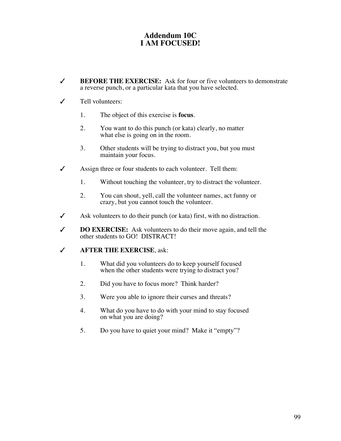# **Addendum 10C I AM FOCUSED!**

- **EXECUTE:** Ask for four or five volunteers to demonstrate a reverse punch, or a particular kata that you have selected.
- $\checkmark$  Tell volunteers:
	- 1. The object of this exercise is **focus**.
	- 2. You want to do this punch (or kata) clearly, no matter what else is going on in the room.
	- 3. Other students will be trying to distract you, but you must maintain your focus.
- $\checkmark$  Assign three or four students to each volunteer. Tell them:
	- 1. Without touching the volunteer, try to distract the volunteer.
	- 2. You can shout, yell, call the volunteer names, act funny or crazy, but you cannot touch the volunteer.
- $\checkmark$  Ask volunteers to do their punch (or kata) first, with no distraction.
- **The DO EXERCISE:** Ask volunteers to do their move again, and tell the other students to GO! DISTRACT!

## \$ **AFTER THE EXERCISE**, ask:

- 1. What did you volunteers do to keep yourself focused when the other students were trying to distract you?
- 2. Did you have to focus more? Think harder?
- 3. Were you able to ignore their curses and threats?
- 4. What do you have to do with your mind to stay focused on what you are doing?
- 5. Do you have to quiet your mind? Make it "empty"?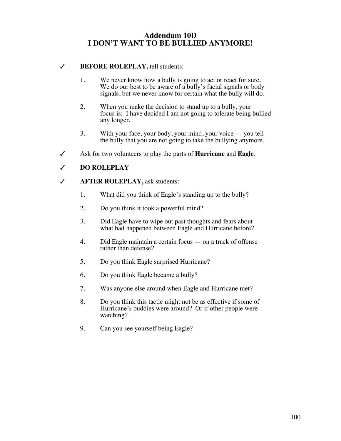# **Addendum 10D I DON'T WANT TO BE BULLIED ANYMORE!**

# **SEFORE ROLEPLAY, tell students:**

- 1. We never know how a bully is going to act or react for sure. We do our best to be aware of a bully's facial signals or body signals, but we never know for certain what the bully will do.
- 2. When you make the decision to stand up to a bully, your focus is: I have decided I am not going to tolerate being bullied any longer.
- 3. With your face, your body, your mind, your voice you tell the bully that you are not going to take the bullying anymore.
- $\checkmark$  Ask for two volunteers to play the parts of **Hurricane** and **Eagle**.

# **DO ROLEPLAY**

- $\checkmark$  **AFTER ROLEPLAY, ask students:** 
	- 1. What did you think of Eagle's standing up to the bully?
	- 2. Do you think it took a powerful mind?
	- 3. Did Eagle have to wipe out past thoughts and fears about what had happened between Eagle and Hurricane before?
	- 4. Did Eagle maintain a certain focus on a track of offense rather than defense?
	- 5. Do you think Eagle surprised Hurricane?
	- 6. Do you think Eagle became a bully?
	- 7. Was anyone else around when Eagle and Hurricane met?
	- 8. Do you think this tactic might not be as effective if some of Hurricane's buddies were around? Or if other people were watching?
	- 9. Can you see yourself being Eagle?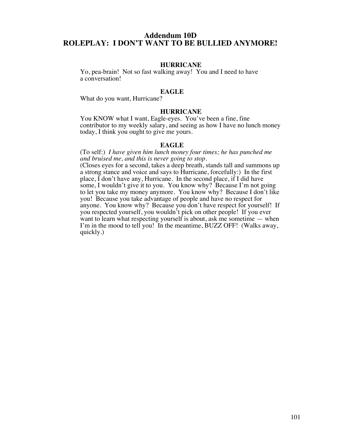# **Addendum 10D ROLEPLAY: I DON'T WANT TO BE BULLIED ANYMORE!**

#### **HURRICANE**

Yo, pea-brain! Not so fast walking away! You and I need to have a conversation!

### **EAGLE**

What do you want, Hurricane?

#### **HURRICANE**

You KNOW what I want, Eagle-eyes. You've been a fine, fine contributor to my weekly salary, and seeing as how I have no lunch money today, I think you ought to give me yours.

#### **EAGLE**

(To self:) *I have given him lunch money four times; he has punched me and bruised me, and this is never going to stop.*  (Closes eyes for a second, takes a deep breath, stands tall and summons up a strong stance and voice and says to Hurricane, forcefully:) In the first place, I don't have any, Hurricane. In the second place, if I did have some, I wouldn't give it to you. You know why? Because I'm not going to let you take my money anymore. You know why? Because I don't like you! Because you take advantage of people and have no respect for anyone. You know why? Because you don't have respect for yourself! If you respected yourself, you wouldn't pick on other people! If you ever want to learn what respecting yourself is about, ask me sometime — when I'm in the mood to tell you! In the meantime, BUZZ OFF! (Walks away, quickly.)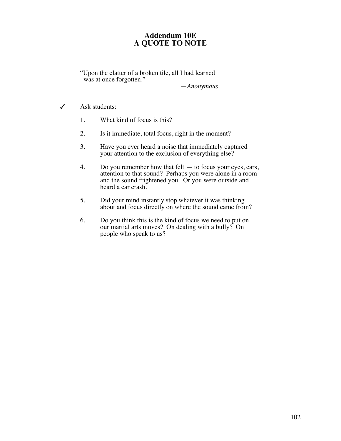# **Addendum 10E A QUOTE TO NOTE**

"Upon the clatter of a broken tile, all I had learned was at once forgotten."

—*Anonymous*

- $\checkmark$  Ask students:
	- 1. What kind of focus is this?
	- 2. Is it immediate, total focus, right in the moment?
	- 3. Have you ever heard a noise that immediately captured your attention to the exclusion of everything else?
	- 4. Do you remember how that felt to focus your eyes, ears, attention to that sound? Perhaps you were alone in a room and the sound frightened you. Or you were outside and heard a car crash.
	- 5. Did your mind instantly stop whatever it was thinking about and focus directly on where the sound came from?
	- 6. Do you think this is the kind of focus we need to put on our martial arts moves? On dealing with a bully? On people who speak to us?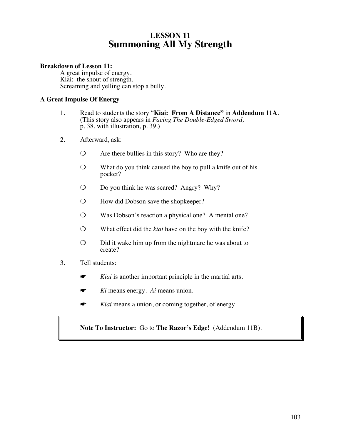# **LESSON 11 Summoning All My Strength**

### **Breakdown of Lesson 11:**

A great impulse of energy. Kiai: the shout of strength. Screaming and yelling can stop a bully.

### **A Great Impulse Of Energy**

- 1. Read to students the story "**Kiai: From A Distance"** in **Addendum 11A**. (This story also appears in *Facing The Double-Edged Sword,*  p. 38, with illustration, p. 39.)
- 2. Afterward, ask:
	- ! Are there bullies in this story? Who are they?
	- $\bigcirc$  What do you think caused the boy to pull a knife out of his pocket?
	- ! Do you think he was scared? Angry? Why?
	- ! How did Dobson save the shopkeeper?
	- ! Was Dobson's reaction a physical one? A mental one?
	- ! What effect did the *kiai* have on the boy with the knife?
	- $\bigcirc$  Did it wake him up from the nightmare he was about to create?
- 3. Tell students:
	- Kiai is another important principle in the martial arts.
	- Ki means energy. Ai means union.
	- Kiai means a union, or coming together, of energy.

# **Note To Instructor:** Go to **The Razor's Edge!** (Addendum 11B).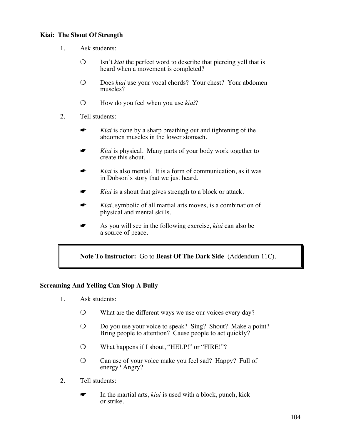## **Kiai: The Shout Of Strength**

- 1. Ask students:
	- ! Isn't *kiai* the perfect word to describe that piercing yell that is heard when a movement is completed?
	- ! Does *kiai* use your vocal chords? Your chest? Your abdomen muscles?
	- ! How do you feel when you use *kiai*?
- 2. Tell students:
	- **Kiai** is done by a sharp breathing out and tightening of the abdomen muscles in the lower stomach.
	- Kiai is physical. Many parts of your body work together to create this shout.
	- Kiai is also mental. It is a form of communication, as it was in Dobson's story that we just heard.
	- *Kiai* is a shout that gives strength to a block or attack.
	- Kiai, symbolic of all martial arts moves, is a combination of physical and mental skills.
	- As you will see in the following exercise, *kiai* can also be a source of peace.

**Note To Instructor:** Go to **Beast Of The Dark Side** (Addendum 11C).

## **Screaming And Yelling Can Stop A Bully**

- 1. Ask students:
	- ! What are the different ways we use our voices every day?
	- ! Do you use your voice to speak? Sing? Shout? Make a point? Bring people to attention? Cause people to act quickly?
	- ! What happens if I shout, "HELP!" or "FIRE!"?
	- ! Can use of your voice make you feel sad? Happy? Full of energy? Angry?
- 2. Tell students:
	- In the martial arts, *kiai* is used with a block, punch, kick or strike.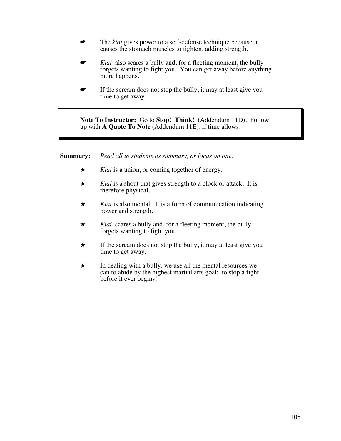- The *kiai* gives power to a self-defense technique because it causes the stomach muscles to tighten, adding strength.
- Kiai also scares a bully and, for a fleeting moment, the bully forgets wanting to fight you. You can get away before anything more happens.
- If the scream does not stop the bully, it may at least give you time to get away.

**Note To Instructor:** Go to **Stop! Think!** (Addendum 11D). Follow up with **A Quote To Note** (Addendum 11E), if time allows.

**Summary:** *Read all to students as summary, or focus on one.*

- **★** *Kiai* is a union, or coming together of energy.
- $\star$  *Kiai* is a shout that gives strength to a block or attack. It is therefore physical.
- $\star$  *Kiai* is also mental. It is a form of communication indicating power and strength.
- \* *Kiai* scares a bully and, for a fleeting moment, the bully forgets wanting to fight you.
- $\star$  If the scream does not stop the bully, it may at least give you time to get away.
- $\star$  In dealing with a bully, we use all the mental resources we can to abide by the highest martial arts goal: to stop a fight before it ever begins!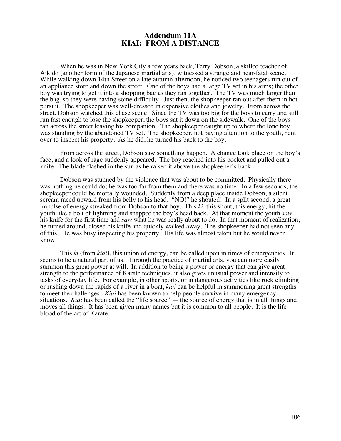## **Addendum 11A KIAI: FROM A DISTANCE**

When he was in New York City a few years back, Terry Dobson, a skilled teacher of Aikido (another form of the Japanese martial arts), witnessed a strange and near-fatal scene. While walking down 14th Street on a late autumn afternoon, he noticed two teenagers run out of an appliance store and down the street. One of the boys had a large TV set in his arms; the other boy was trying to get it into a shopping bag as they ran together. The TV was much larger than the bag, so they were having some difficulty. Just then, the shopkeeper ran out after them in hot pursuit. The shopkeeper was well-dressed in expensive clothes and jewelry. From across the street, Dobson watched this chase scene. Since the TV was too big for the boys to carry and still run fast enough to lose the shopkeeper, the boys sat it down on the sidewalk. One of the boys ran across the street leaving his companion. The shopkeeper caught up to where the lone boy was standing by the abandoned TV set. The shopkeeper, not paying attention to the youth, bent over to inspect his property. As he did, he turned his back to the boy.

From across the street, Dobson saw something happen. A change took place on the boy's face, and a look of rage suddenly appeared. The boy reached into his pocket and pulled out a knife. The blade flashed in the sun as he raised it above the shopkeeper's back.

Dobson was stunned by the violence that was about to be committed. Physically there was nothing he could do; he was too far from them and there was no time. In a few seconds, the shopkeeper could be mortally wounded. Suddenly from a deep place inside Dobson, a silent scream raced upward from his belly to his head. "NO!" he shouted! In a split second, a great impulse of energy streaked from Dobson to that boy. This *ki,* this shout, this energy, hit the youth like a bolt of lightning and snapped the boy's head back. At that moment the youth *saw* his knife for the first time and *saw* what he was really about to do. In that moment of realization, he turned around, closed his knife and quickly walked away. The shopkeeper had not seen any of this. He was busy inspecting his property. His life was almost taken but he would never know.

This *ki* (from *kiai)*, this union of energy, can be called upon in times of emergencies. It seems to be a natural part of us. Through the practice of martial arts, you can more easily summon this great power at will. In addition to being a power or energy that can give great strength to the performance of Karate techniques, it also gives unusual power and intensity to tasks of everyday life. For example, in other sports, or in dangerous activities like rock climbing or rushing down the rapids of a river in a boat, *kiai* can be helpful in summoning great strengths to meet the challenges. *Kiai* has been known to help people survive in many emergency situations. *Kiai* has been called the "life source" — the source of energy that is in all things and moves all things. It has been given many names but it is common to all people. It is the life blood of the art of Karate.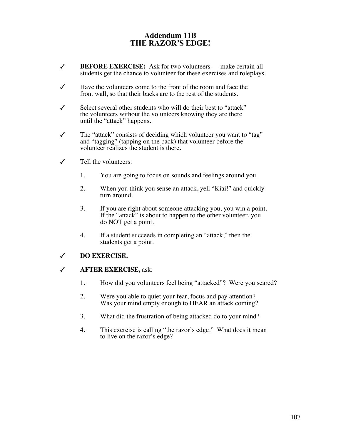## **Addendum 11B THE RAZOR'S EDGE!**

- **The FORE EXERCISE:** Ask for two volunteers make certain all students get the chance to volunteer for these exercises and roleplays.
- $\checkmark$  Have the volunteers come to the front of the room and face the front wall, so that their backs are to the rest of the students.
- $\checkmark$  Select several other students who will do their best to "attack" the volunteers without the volunteers knowing they are there until the "attack" happens.
- $\checkmark$  The "attack" consists of deciding which volunteer you want to "tag" and "tagging" (tapping on the back) that volunteer before the volunteer realizes the student is there.
- $\checkmark$  Tell the volunteers:
	- 1. You are going to focus on sounds and feelings around you.
	- 2. When you think you sense an attack, yell "Kiai!" and quickly turn around.
	- 3. If you are right about someone attacking you, you win a point. If the "attack" is about to happen to the other volunteer, you do NOT get a point.
	- 4. If a student succeeds in completing an "attack," then the students get a point.

## $\sqrt{}$  DO EXERCISE.

## \$ **AFTER EXERCISE,** ask:

- 1. How did you volunteers feel being "attacked"? Were you scared?
- 2. Were you able to quiet your fear, focus and pay attention? Was your mind empty enough to HEAR an attack coming?
- 3. What did the frustration of being attacked do to your mind?
- 4. This exercise is calling "the razor's edge." What does it mean to live on the razor's edge?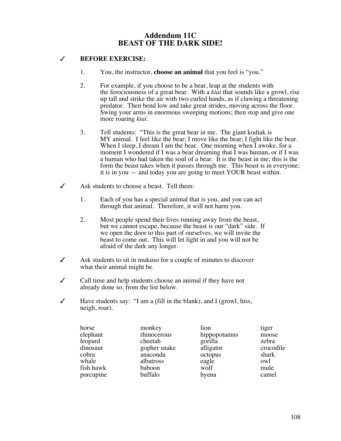## **Addendum 11C BEAST OF THE DARK SIDE!**

## \$ **BEFORE EXERCISE:**

- 1. You, the instructor, **choose an animal** that you feel is "you."
- 2. For example, if you choose to be a bear, leap at the students with the ferociousness of a great bear. With a *kiai* that sounds like a growl, rise up tall and strike the air with two curled hands, as if clawing a threatening predator. Then bend low and take great strides, moving across the floor. Swing your arms in enormous sweeping motions; then stop and give one more roaring *kiai.*
- 3. Tell students: "This is the great bear in me. The giant kodiak is MY animal. I feel like the bear; I move like the bear; I fight like the bear. When I sleep, I dream I am the bear. One morning when I awoke, for a moment I wondered if I was a bear dreaming that  $\overline{I}$  was human, or if I was a human who had taken the soul of a bear. It is the beast in me; this is the form the beast takes when it passes through me. This beast is in everyone; it is in you — and today you are going to meet YOUR beast within.
- $\checkmark$  Ask students to choose a beast. Tell them:
	- 1. Each of you has a special animal that is you, and you can act through that animal. Therefore, it will not harm you.
	- 2. Most people spend their lives running away from the beast, but we cannot escape, because the beast is our "dark" side. If we open the door to this part of ourselves, we will invite the beast to come out. This will let light in and you will not be afraid of the dark any longer.
- $\checkmark$  Ask students to sit in mukuso for a couple of minutes to discover what their animal might be.
- $\checkmark$  Call time and help students choose an animal if they have not already done so, from the list below.
- $\checkmark$  Have students say: "I am a (fill in the blank), and I (growl, hiss, neigh, roar).

| horse     | monkey       | lion         | tiger     |
|-----------|--------------|--------------|-----------|
| elephant  | rhinocerous  | hippopotamus | moose     |
| leopard   | cheetah      | gorilla      | zebra     |
| dinosaur  | gopher snake | alligator    | crocodile |
| cobra     | anaconda     | octopus      | shark     |
| whale     | albatross    | eagle        | owl       |
| fish hawk | baboon       | wolf         | mule      |
| porcupine | buffalo      | hyena        | camel     |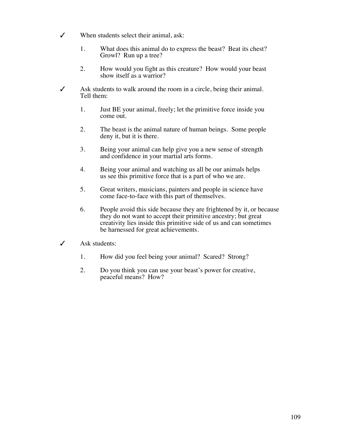- $\checkmark$  When students select their animal, ask:
	- 1. What does this animal do to express the beast? Beat its chest? Growl? Run up a tree?
	- 2. How would you fight as this creature? How would your beast show itself as a warrior?
- $\checkmark$  Ask students to walk around the room in a circle, being their animal. Tell them:
	- 1. Just BE your animal, freely; let the primitive force inside you come out.
	- 2. The beast is the animal nature of human beings. Some people deny it, but it is there.
	- 3. Being your animal can help give you a new sense of strength and confidence in your martial arts forms.
	- 4. Being your animal and watching us all be our animals helps us see this primitive force that is a part of who we are.
	- 5. Great writers, musicians, painters and people in science have come face-to-face with this part of themselves.
	- 6. People avoid this side because they are frightened by it, or because they do not want to accept their primitive ancestry; but great creativity lies inside this primitive side of us and can sometimes be harnessed for great achievements.
- $\checkmark$  Ask students:
	- 1. How did you feel being your animal? Scared? Strong?
	- 2. Do you think you can use your beast's power for creative, peaceful means? How?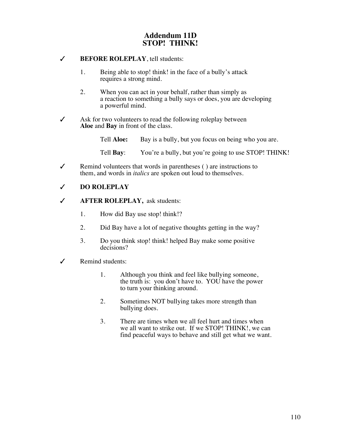## **Addendum 11D STOP! THINK!**

## **SEFORE ROLEPLAY**, tell students:

- 1. Being able to stop! think! in the face of a bully's attack requires a strong mind.
- 2. When you can act in your behalf, rather than simply as a reaction to something a bully says or does, you are developing a powerful mind.
- $\checkmark$  Ask for two volunteers to read the following roleplay between **Aloe** and **Bay** in front of the class.

Tell **Aloe:** Bay is a bully, but you focus on being who you are.

- Tell **Bay**: You're a bully, but you're going to use STOP! THINK!
- $\checkmark$  Remind volunteers that words in parentheses () are instructions to them, and words in *italics* are spoken out loud to themselves.

## \$ **DO ROLEPLAY**

- \$ **AFTER ROLEPLAY,** ask students:
	- 1. How did Bay use stop! think!?
	- 2. Did Bay have a lot of negative thoughts getting in the way?
	- 3. Do you think stop! think! helped Bay make some positive decisions?
- $\checkmark$  Remind students:
	- 1. Although you think and feel like bullying someone, the truth is: you don't have to. YOU have the power to turn your thinking around.
	- 2. Sometimes NOT bullying takes more strength than bullying does.
	- 3. There are times when we all feel hurt and times when we all want to strike out. If we STOP! THINK!, we can find peaceful ways to behave and still get what we want.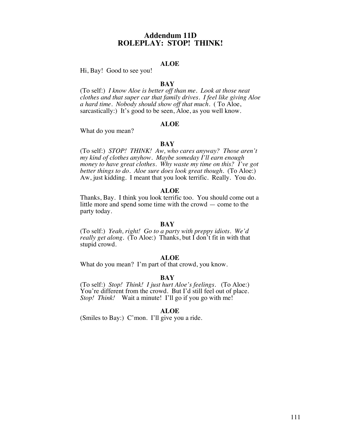### **Addendum 11D ROLEPLAY: STOP! THINK!**

### **ALOE**

Hi, Bay! Good to see you!

#### **BAY**

(To self:) *I know Aloe is better off than me. Look at those neat clothes and that super car that family drives. I feel like giving Aloe a hard time. Nobody should show off that much.* ( To Aloe, sarcastically:) It's good to be seen, Aloe, as you well know.

#### **ALOE**

What do you mean?

#### **BAY**

(To self:) *STOP! THINK! Aw, who cares anyway? Those aren't my kind of clothes anyhow. Maybe someday I'll earn enough money to have great clothes. Why waste my time on this? I've got better things to do. Aloe sure does look great though.* (To Aloe:) Aw, just kidding. I meant that you look terrific. Really. You do.

#### **ALOE**

Thanks, Bay. I think you look terrific too. You should come out a little more and spend some time with the crowd — come to the party today.

#### **BAY**

(To self:) *Yeah, right! Go to a party with preppy idiots. We'd really get along.* (To Aloe:) Thanks, but I don't fit in with that stupid crowd.

#### **ALOE**

What do you mean? I'm part of that crowd, you know.

#### **BAY**

(To self:) *Stop! Think! I just hurt Aloe's feelings.* (To Aloe:) You're different from the crowd. But I'd still feel out of place. *Stop! Think!* Wait a minute! I'll go if you go with me!

#### **ALOE**

(Smiles to Bay:) C'mon. I'll give you a ride.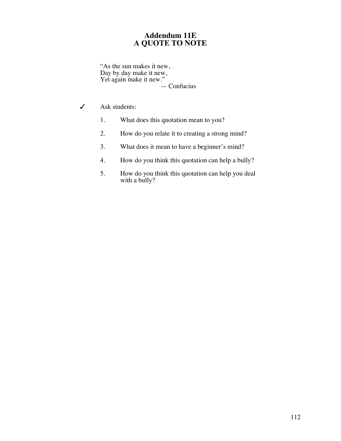## **Addendum 11E A QUOTE TO NOTE**

"As the sun makes it new, Day by day make it new, Yet again make it new." — Confucius

- $\checkmark$  Ask students:
	- 1. What does this quotation mean to you?
	- 2. How do you relate it to creating a strong mind?
	- 3. What does it mean to have a beginner's mind?
	- 4. How do you think this quotation can help a bully?
	- 5. How do you think this quotation can help you deal with a bully?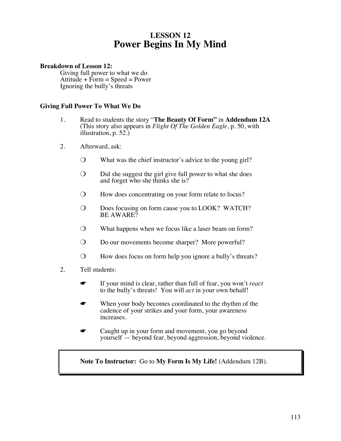# **LESSON 12 Power Begins In My Mind**

### **Breakdown of Lesson 12:**

Giving full power to what we do Attitude +  $\vec{F}$ orm = Speed = Power Ignoring the bully's threats

## **Giving Full Power To What We Do**

- 1. Read to students the story "**The Beauty Of Form"** in **Addendum 12A** (This story also appears in *Flight Of The Golden Eagle,* p. 50, with illustration, p. 52.)
- 2. Afterward, ask:
	- $\bigcirc$  What was the chief instructor's advice to the young girl?
	- $\bigcirc$  Did she suggest the girl give full power to what she does and forget who she thinks she is?
	- ! How does concentrating on your form relate to focus?
	- ! Does focusing on form cause you to LOOK? WATCH? BE AWARE?
	- O What happens when we focus like a laser beam on form?
	- ! Do our movements become sharper? More powerful?
	- ! How does focus on form help you ignore a bully's threats?
- 2. Tell students:
	- If your mind is clear, rather than full of fear, you won't *react* to the bully's threats! You will *act* in your own behalf!
	- When your body becomes coordinated to the rhythm of the cadence of your strikes and your form, your awareness increases.
	- Caught up in your form and movement, you go beyond yourself — beyond fear, beyond aggression, beyond violence.

**Note To Instructor:** Go to **My Form Is My Life!** (Addendum 12B).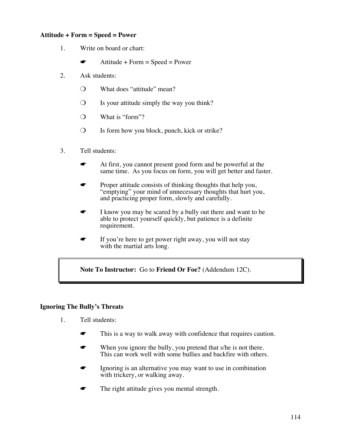### **Attitude + Form = Speed = Power**

- 1. Write on board or chart:
	- Attitude + Form =  $Speed = Power$
- 2. Ask students:
	- O What does "attitude" mean?
	- $\bigcirc$  Is your attitude simply the way you think?
	- O What is "form"?
	- ! Is form how you block, punch, kick or strike?
- 3. Tell students:
	- At first, you cannot present good form and be powerful at the same time. As you focus on form, you will get better and faster.
	- Proper attitude consists of thinking thoughts that help you, "emptying" your mind of unnecessary thoughts that hurt you, and practicing proper form, slowly and carefully.
	- I know you may be scared by a bully out there and want to be able to protect yourself quickly, but patience is a definite requirement.
	- If you're here to get power right away, you will not stay with the martial arts long.

**Note To Instructor:** Go to **Friend Or Foe?** (Addendum 12C).

### **Ignoring The Bully's Threats**

- 1. Tell students:
	- This is a way to walk away with confidence that requires caution.
	- When you ignore the bully, you pretend that s/he is not there. This can work well with some bullies and backfire with others.
	- Ignoring is an alternative you may want to use in combination with trickery, or walking away.
	- The right attitude gives you mental strength.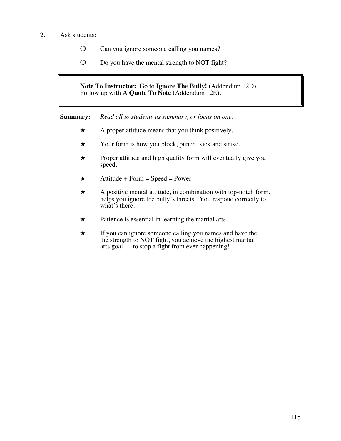## 2. Ask students:

- O Can you ignore someone calling you names?
- ! Do you have the mental strength to NOT fight?

**Note To Instructor:** Go to **Ignore The Bully!** (Addendum 12D). Follow up with **A Quote To Note** (Addendum 12E).

**Summary:** *Read all to students as summary, or focus on one.*

- $\star$  A proper attitude means that you think positively.
- $\star$  Your form is how you block, punch, kick and strike.
- $\star$  Proper attitude and high quality form will eventually give you speed.
- $\star$  Attitude + Form = Speed = Power
- $\star$  A positive mental attitude, in combination with top-notch form, helps you ignore the bully's threats. You respond correctly to what's there.
- $\star$  Patience is essential in learning the martial arts.
- $\star$  If you can ignore someone calling you names and have the the strength to NOT fight, you achieve the highest martial arts goal — to stop a fight from ever happening!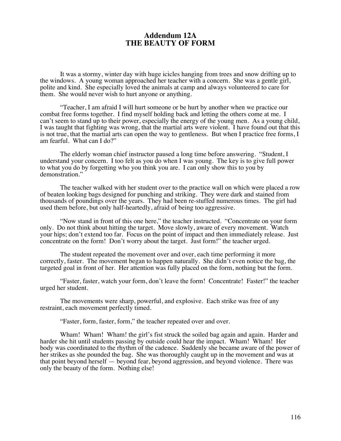## **Addendum 12A THE BEAUTY OF FORM**

It was a stormy, winter day with huge icicles hanging from trees and snow drifting up to the windows. A young woman approached her teacher with a concern. She was a gentle girl, polite and kind. She especially loved the animals at camp and always volunteered to care for them. She would never wish to hurt anyone or anything.

"Teacher, I am afraid I will hurt someone or be hurt by another when we practice our combat free forms together. I find myself holding back and letting the others come at me. I can't seem to stand up to their power, especially the energy of the young men. As a young child, I was taught that fighting was wrong, that the martial arts were violent. I have found out that this is not true, that the martial arts can open the way to gentleness. But when I practice free forms, I am fearful. What can I do?"

The elderly woman chief instructor paused a long time before answering. "Student, I understand your concern. I too felt as you do when I was young. The key is to give full power to what you do by forgetting who you think you are. I can only show this to you by demonstration."

The teacher walked with her student over to the practice wall on which were placed a row of beaten looking bags designed for punching and striking. They were dark and stained from thousands of poundings over the years. They had been re-stuffed numerous times. The girl had used them before, but only half-heartedly, afraid of being too aggressive.

"Now stand in front of this one here," the teacher instructed. "Concentrate on your form only. Do not think about hitting the target. Move slowly, aware of every movement. Watch your hips; don't extend too far. Focus on the point of impact and then immediately release. Just concentrate on the form! Don't worry about the target. Just form!" the teacher urged.

The student repeated the movement over and over, each time performing it more correctly, faster. The movement began to happen naturally. She didn't even notice the bag, the targeted goal in front of her. Her attention was fully placed on the form, nothing but the form.

"Faster, faster, watch your form, don't leave the form! Concentrate! Faster!" the teacher urged her student.

The movements were sharp, powerful, and explosive. Each strike was free of any restraint, each movement perfectly timed.

"Faster, form, faster, form," the teacher repeated over and over.

Wham! Wham! Wham! the girl's fist struck the soiled bag again and again. Harder and harder she hit until students passing by outside could hear the impact. Wham! Wham! Her body was coordinated to the rhythm of the cadence. Suddenly she became aware of the power of her strikes as she pounded the bag. She was thoroughly caught up in the movement and was at that point beyond herself — beyond fear, beyond aggression, and beyond violence. There was only the beauty of the form. Nothing else!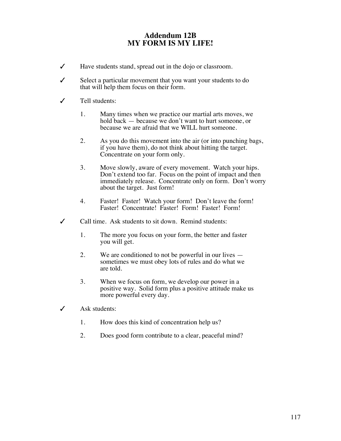## **Addendum 12B MY FORM IS MY LIFE!**

- $\checkmark$  Have students stand, spread out in the dojo or classroom.
- $\checkmark$  Select a particular movement that you want your students to do that will help them focus on their form.
- $\checkmark$  Tell students:
	- 1. Many times when we practice our martial arts moves, we hold back — because we don't want to hurt someone, or because we are afraid that we WILL hurt someone.
	- 2. As you do this movement into the air (or into punching bags, if you have them), do not think about hitting the target. Concentrate on your form only.
	- 3. Move slowly, aware of every movement. Watch your hips. Don't extend too far. Focus on the point of impact and then immediately release. Concentrate only on form. Don't worry about the target. Just form!
	- 4. Faster! Faster! Watch your form! Don't leave the form! Faster! Concentrate! Faster! Form! Faster! Form!
- $\checkmark$  Call time. Ask students to sit down. Remind students:
	- 1. The more you focus on your form, the better and faster you will get.
	- 2. We are conditioned to not be powerful in our lives sometimes we must obey lots of rules and do what we are told.
	- 3. When we focus on form, we develop our power in a positive way. Solid form plus a positive attitude make us more powerful every day.
- $\checkmark$  Ask students:
	- 1. How does this kind of concentration help us?
	- 2. Does good form contribute to a clear, peaceful mind?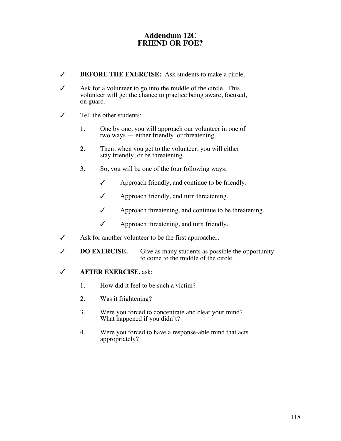## **Addendum 12C FRIEND OR FOE?**

- **EXERCISE:** Ask students to make a circle.
- $\checkmark$  Ask for a volunteer to go into the middle of the circle. This volunteer will get the chance to practice being aware, focused, on guard.
- $\checkmark$  Tell the other students:
	- 1. One by one, you will approach our volunteer in one of two ways — either friendly, or threatening.
	- 2. Then, when you get to the volunteer, you will either stay friendly, or be threatening.
	- 3. So, you will be one of the four following ways:
		- $\checkmark$  Approach friendly, and continue to be friendly.
		- $\checkmark$  Approach friendly, and turn threatening.
		- $\checkmark$  Approach threatening, and continue to be threatening.
		- $\checkmark$  Approach threatening, and turn friendly.
- $\checkmark$  Ask for another volunteer to be the first approacher.
- $\checkmark$  **DO EXERCISE.** Give as many students as possible the opportunity to come to the middle of the circle.
- \$ **AFTER EXERCISE,** ask:
	- 1. How did it feel to be such a victim?
	- 2. Was it frightening?
	- 3. Were you forced to concentrate and clear your mind? What happened if you didn't?
	- 4. Were you forced to have a response-able mind that acts appropriately?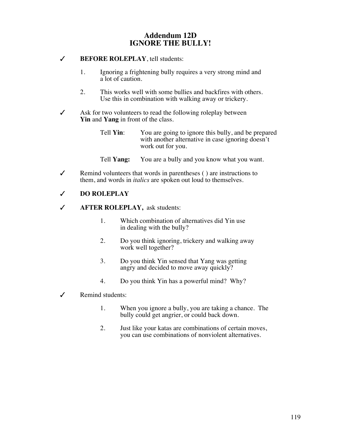## **Addendum 12D IGNORE THE BULLY!**

## **SEFORE ROLEPLAY**, tell students:

- 1. Ignoring a frightening bully requires a very strong mind and a lot of caution.
- 2. This works well with some bullies and backfires with others. Use this in combination with walking away or trickery.
- $\checkmark$  Ask for two volunteers to read the following roleplay between **Yin** and **Yang** in front of the class.
	- Tell **Yin**: You are going to ignore this bully, and be prepared with another alternative in case ignoring doesn't work out for you.
	- Tell **Yang:** You are a bully and you know what you want.
- $\checkmark$  Remind volunteers that words in parentheses () are instructions to them, and words in *italics* are spoken out loud to themselves.

## \$ **DO ROLEPLAY**

- $\checkmark$  **AFTER ROLEPLAY, ask students:** 
	- 1. Which combination of alternatives did Yin use in dealing with the bully?
	- 2. Do you think ignoring, trickery and walking away work well together?
	- 3. Do you think Yin sensed that Yang was getting angry and decided to move away quickly?
	- 4. Do you think Yin has a powerful mind? Why?
- $\checkmark$  Remind students:
	- 1. When you ignore a bully, you are taking a chance. The bully could get angrier, or could back down.
	- 2. Just like your katas are combinations of certain moves, you can use combinations of nonviolent alternatives.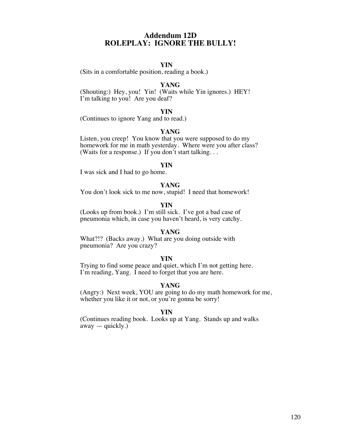### **Addendum 12D ROLEPLAY: IGNORE THE BULLY!**

#### **YIN**

(Sits in a comfortable position, reading a book.)

#### **YANG**

(Shouting:) Hey, you! Yin! (Waits while Yin ignores.) HEY! I'm talking to you! Are you deaf?

#### **YIN**

(Continues to ignore Yang and to read.)

#### **YANG**

Listen, you creep! You know that you were supposed to do my homework for me in math yesterday. Where were you after class? (Waits for a response.) If you don't start talking. . .

#### **YIN**

I was sick and I had to go home.

#### **YANG**

You don't look sick to me now, stupid! I need that homework!

#### **YIN**

(Looks up from book.) I'm still sick. I've got a bad case of pneumonia which, in case you haven't heard, is very catchy.

#### **YANG**

What?!? (Backs away.) What are you doing outside with pneumonia? Are you crazy?

#### **YIN**

Trying to find some peace and quiet, which I'm not getting here. I'm reading, Yang. I need to forget that you are here.

#### **YANG**

(Angry:) Next week, YOU are going to do my math homework for me, whether you like it or not, or you're gonna be sorry!

#### **YIN**

(Continues reading book. Looks up at Yang. Stands up and walks  $away - quickly.$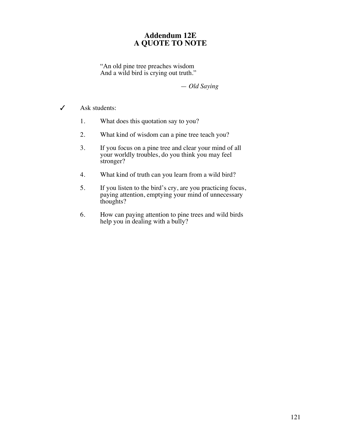## **Addendum 12E A QUOTE TO NOTE**

"An old pine tree preaches wisdom And a wild bird is crying out truth."

— *Old Saying*

- $\checkmark$  Ask students:
	- 1. What does this quotation say to you?
	- 2. What kind of wisdom can a pine tree teach you?
	- 3. If you focus on a pine tree and clear your mind of all your worldly troubles, do you think you may feel stronger?
	- 4. What kind of truth can you learn from a wild bird?
	- 5. If you listen to the bird's cry, are you practicing focus, paying attention, emptying your mind of unnecessary thoughts?
	- 6. How can paying attention to pine trees and wild birds help you in dealing with a bully?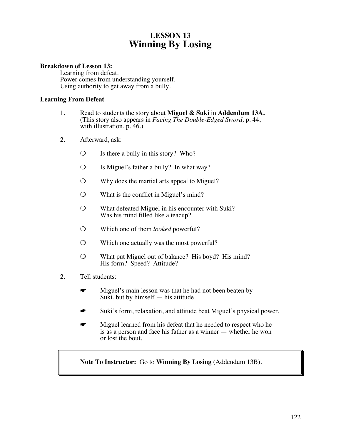# **LESSON 13 Winning By Losing**

### **Breakdown of Lesson 13:**

Learning from defeat. Power comes from understanding yourself. Using authority to get away from a bully.

### **Learning From Defeat**

- 1. Read to students the story about **Miguel & Suki** in **Addendum 13A.**  (This story also appears in *Facing The Double-Edged Sword,* p. 44, with illustration, p. 46.)
- 2. Afterward, ask:
	- O Is there a bully in this story? Who?
	- $\bigcirc$  Is Miguel's father a bully? In what way?
	- ! Why does the martial arts appeal to Miguel?
	- ! What is the conflict in Miguel's mind?
	- O What defeated Miguel in his encounter with Suki? Was his mind filled like a teacup?
	- ! Which one of them *looked* powerful?
	- ! Which one actually was the most powerful?
	- ! What put Miguel out of balance? His boyd? His mind? His form? Speed? Attitude?
- 2. Tell students:
	- Miguel's main lesson was that he had not been beaten by Suki, but by himself  $-$  his attitude.
	- Suki's form, relaxation, and attitude beat Miguel's physical power.
	- Miguel learned from his defeat that he needed to respect who he is as a person and face his father as a winner — whether he won or lost the bout.

**Note To Instructor:** Go to **Winning By Losing** (Addendum 13B).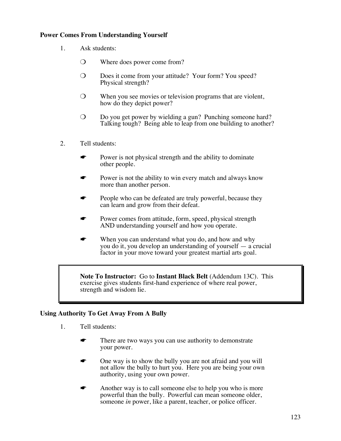## **Power Comes From Understanding Yourself**

- 1. Ask students:
	- O Where does power come from?
	- O Does it come from your attitude? Your form? You speed? Physical strength?
	- ! When you see movies or television programs that are violent, how do they depict power?
	- ! Do you get power by wielding a gun? Punching someone hard? Talking tough? Being able to leap from one building to another?
- 2. Tell students:
	- Power is not physical strength and the ability to dominate other people.
	- Power is not the ability to win every match and always know more than another person.
	- People who can be defeated are truly powerful, because they can learn and grow from their defeat.
	- Power comes from attitude, form, speed, physical strength AND understanding yourself and how you operate.
	- When you can understand what you do, and how and why you do it, you develop an understanding of yourself — a crucial factor in your move toward your greatest martial arts goal.

**Note To Instructor:** Go to **Instant Black Belt** (Addendum 13C). This exercise gives students first-hand experience of where real power, strength and wisdom lie.

## **Using Authority To Get Away From A Bully**

- 1. Tell students:
	- There are two ways you can use authority to demonstrate your power.
	- One way is to show the bully you are not afraid and you will not allow the bully to hurt you. Here you are being your own authority, using your own power.
	- Another way is to call someone else to help you who is more powerful than the bully. Powerful can mean someone older, someone *in* power, like a parent, teacher, or police officer.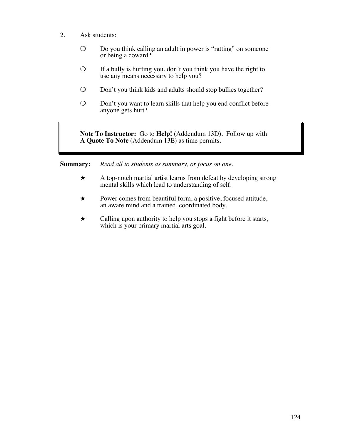- 2. Ask students:
	- ! Do you think calling an adult in power is "ratting" on someone or being a coward?
	- $\bigcirc$  If a bully is hurting you, don't you think you have the right to use any means necessary to help you?
	- ! Don't you think kids and adults should stop bullies together?
	- ! Don't you want to learn skills that help you end conflict before anyone gets hurt?

**Note To Instructor:** Go to **Help!** (Addendum 13D). Follow up with **A Quote To Note** (Addendum 13E) as time permits.

**Summary:** *Read all to students as summary, or focus on one.*

- $\star$  A top-notch martial artist learns from defeat by developing strong mental skills which lead to understanding of self.
- $\star$  Power comes from beautiful form, a positive, focused attitude, an aware mind and a trained, coordinated body.
- $\star$  Calling upon authority to help you stops a fight before it starts, which is your primary martial arts goal.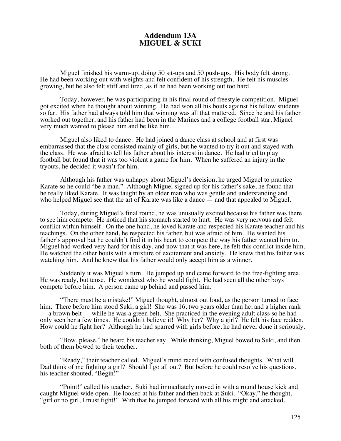## **Addendum 13A MIGUEL & SUKI**

Miguel finished his warm-up, doing 50 sit-ups and 50 push-ups. His body felt strong. He had been working out with weights and felt confident of his strength. He felt his muscles growing, but he also felt stiff and tired, as if he had been working out too hard.

Today, however, he was participating in his final round of freestyle competition. Miguel got excited when he thought about winning. He had won all his bouts against his fellow students so far. His father had always told him that winning was all that mattered. Since he and his father worked out together, and his father had been in the Marines and a college football star, Miguel very much wanted to please him and be like him.

Miguel also liked to dance. He had joined a dance class at school and at first was embarrassed that the class consisted mainly of girls, but he wanted to try it out and stayed with the class. He was afraid to tell his father about his interest in dance. He had tried to play football but found that it was too violent a game for him. When he suffered an injury in the tryouts, he decided it wasn't for him.

Although his father was unhappy about Miguel's decision, he urged Miguel to practice Karate so he could "be a man." Although Miguel signed up for his father's sake, he found that he really liked Karate. It was taught by an older man who was gentle and understanding and who helped Miguel see that the art of Karate was like a dance — and that appealed to Miguel.

Today, during Miguel's final round, he was unusually excited because his father was there to see him compete. He noticed that his stomach started to hurt. He was very nervous and felt conflict within himself. On the one hand, he loved Karate and respected his Karate teacher and his teachings. On the other hand, he respected his father, but was afraid of him. He wanted his father's approval but he couldn't find it in his heart to compete the way his father wanted him to. Miguel had worked very hard for this day, and now that it was here, he felt this conflict inside him. He watched the other bouts with a mixture of excitement and anxiety. He knew that his father was watching him. And he knew that his father would only accept him as a winner.

Suddenly it was Miguel's turn. He jumped up and came forward to the free-fighting area. He was ready, but tense. He wondered who he would fight. He had seen all the other boys compete before him. A person came up behind and passed him.

"There must be a mistake!" Miguel thought, almost out loud, as the person turned to face him. There before him stood Suki, a girl! She was 16, two years older than he, and a higher rank — a brown belt — while he was a green belt. She practiced in the evening adult class so he had only seen her a few times. He couldn't believe it! Why her? Why a girl? He felt his face redden. How could he fight her? Although he had sparred with girls before, he had never done it seriously.

"Bow, please," he heard his teacher say. While thinking, Miguel bowed to Suki, and then both of them bowed to their teacher.

"Ready," their teacher called. Miguel's mind raced with confused thoughts. What will Dad think of me fighting a girl? Should I go all out? But before he could resolve his questions, his teacher shouted, "Begin!"

"Point!" called his teacher. Suki had immediately moved in with a round house kick and caught Miguel wide open. He looked at his father and then back at Suki. "Okay," he thought, "girl or no girl, I must fight!" With that he jumped forward with all his might and attacked.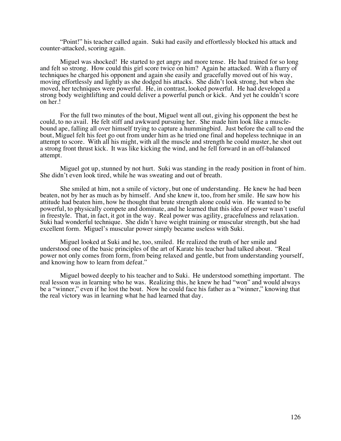"Point!" his teacher called again. Suki had easily and effortlessly blocked his attack and counter-attacked, scoring again.

Miguel was shocked! He started to get angry and more tense. He had trained for so long and felt so strong. How could this girl score twice on him? Again he attacked. With a flurry of techniques he charged his opponent and again she easily and gracefully moved out of his way, moving effortlessly and lightly as she dodged his attacks. She didn't look strong, but when she moved, her techniques were powerful. He, in contrast, looked powerful. He had developed a strong body weightlifting and could deliver a powerful punch or kick. And yet he couldn't score on her.!

For the full two minutes of the bout, Miguel went all out, giving his opponent the best he could, to no avail. He felt stiff and awkward pursuing her. She made him look like a musclebound ape, falling all over himself trying to capture a hummingbird. Just before the call to end the bout, Miguel felt his feet go out from under him as he tried one final and hopeless technique in an attempt to score. With all his might, with all the muscle and strength he could muster, he shot out a strong front thrust kick. It was like kicking the wind, and he fell forward in an off-balanced attempt.

Miguel got up, stunned by not hurt. Suki was standing in the ready position in front of him. She didn't even look tired, while he was sweating and out of breath.

She smiled at him, not a smile of victory, but one of understanding. He knew he had been beaten, not by her as much as by himself. And she knew it, too, from her smile. He saw how his attitude had beaten him, how he thought that brute strength alone could win. He wanted to be powerful, to physically compete and dominate, and he learned that this idea of power wasn't useful in freestyle. That, in fact, it got in the way. Real power was agility, gracefulness and relaxation. Suki had wonderful technique. She didn't have weight training or muscular strength, but she had excellent form. Miguel's muscular power simply became useless with Suki.

Miguel looked at Suki and he, too, smiled. He realized the truth of her smile and understood one of the basic principles of the art of Karate his teacher had talked about. "Real power not only comes from form, from being relaxed and gentle, but from understanding yourself, and knowing how to learn from defeat."

Miguel bowed deeply to his teacher and to Suki. He understood something important. The real lesson was in learning who he was. Realizing this, he knew he had "won" and would always be a "winner," even if he lost the bout. Now he could face his father as a "winner," knowing that the real victory was in learning what he had learned that day.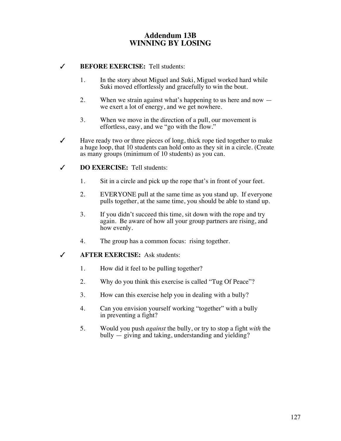## **Addendum 13B WINNING BY LOSING**

## **SEFORE EXERCISE:** Tell students:

- 1. In the story about Miguel and Suki, Miguel worked hard while Suki moved effortlessly and gracefully to win the bout.
- 2. When we strain against what's happening to us here and now we exert a lot of energy, and we get nowhere.
- 3. When we move in the direction of a pull, our movement is effortless, easy, and we "go with the flow."
- $\checkmark$  Have ready two or three pieces of long, thick rope tied together to make a huge loop, that 10 students can hold onto as they sit in a circle. (Create as many groups (minimum of 10 students) as you can.
- \$ **DO EXERCISE:** Tell students:
	- 1. Sit in a circle and pick up the rope that's in front of your feet.
	- 2. EVERYONE pull at the same time as you stand up. If everyone pulls together, at the same time, you should be able to stand up.
	- 3. If you didn't succeed this time, sit down with the rope and try again. Be aware of how all your group partners are rising, and how evenly.
	- 4. The group has a common focus: rising together.

## \$ **AFTER EXERCISE:** Ask students:

- 1. How did it feel to be pulling together?
- 2. Why do you think this exercise is called "Tug Of Peace"?
- 3. How can this exercise help you in dealing with a bully?
- 4. Can you envision yourself working "together" with a bully in preventing a fight?
- 5. Would you push *against* the bully, or try to stop a fight *with* the bully — giving and taking, understanding and yielding?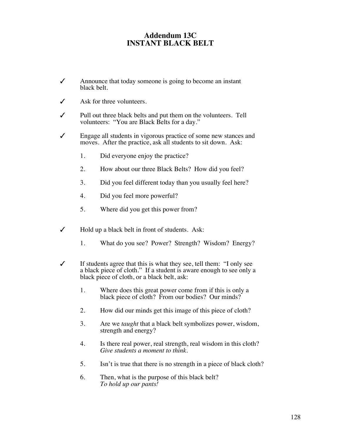## **Addendum 13C INSTANT BLACK BELT**

- $\checkmark$  Announce that today someone is going to become an instant black belt.
- Ask for three volunteers.
- Pull out three black belts and put them on the volunteers. Tell volunteers: "You are Black Belts for a day."
- $\checkmark$  Engage all students in vigorous practice of some new stances and moves. After the practice, ask all students to sit down. Ask:
	- 1. Did everyone enjoy the practice?
	- 2. How about our three Black Belts? How did you feel?
	- 3. Did you feel different today than you usually feel here?
	- 4. Did you feel more powerful?
	- 5. Where did you get this power from?
- $\checkmark$  Hold up a black belt in front of students. Ask:
	- 1. What do you see? Power? Strength? Wisdom? Energy?
- $\checkmark$  If students agree that this is what they see, tell them: "I only see a black piece of cloth." If a student is aware enough to see only a black piece of cloth, or a black belt, ask:
	- 1. Where does this great power come from if this is only a black piece of cloth? From our bodies? Our minds?
	- 2. How did our minds get this image of this piece of cloth?
	- 3. Are we *taught* that a black belt symbolizes power, wisdom, strength and energy?
	- 4. Is there real power, real strength, real wisdom in this cloth? *Give students a moment to think.*
	- 5. Isn't is true that there is no strength in a piece of black cloth?
	- 6. Then, what is the purpose of this black belt? *To hold up our pants!*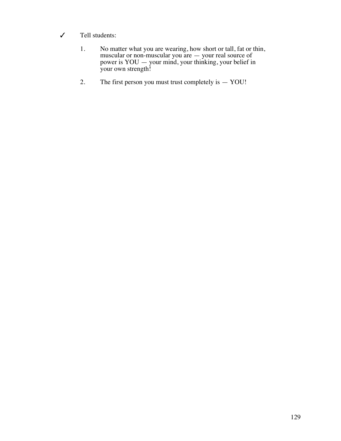- $\checkmark$  Tell students:
	- 1. No matter what you are wearing, how short or tall, fat or thin, muscular or non-muscular you are — your real source of power is YOU — your mind, your thinking, your belief in your own strength!
	- 2. The first person you must trust completely is YOU!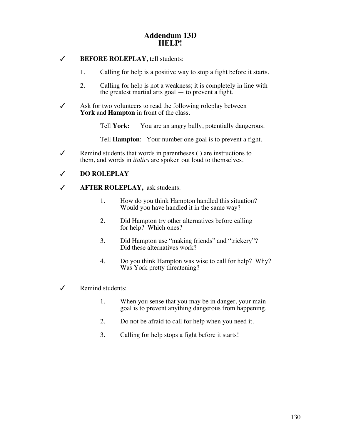## **Addendum 13D HELP!**

## **✓ BEFORE ROLEPLAY**, tell students:

- 1. Calling for help is a positive way to stop a fight before it starts.
- 2. Calling for help is not a weakness; it is completely in line with the greatest martial arts goal — to prevent a fight.
- $\checkmark$  Ask for two volunteers to read the following roleplay between **York** and **Hampton** in front of the class.
	- Tell **York:** You are an angry bully, potentially dangerous.

Tell **Hampton**: Your number one goal is to prevent a fight.

 $\checkmark$  Remind students that words in parentheses () are instructions to them, and words in *italics* are spoken out loud to themselves.

## \$ **DO ROLEPLAY**

### \$ **AFTER ROLEPLAY,** ask students:

- 1. How do you think Hampton handled this situation? Would you have handled it in the same way?
- 2. Did Hampton try other alternatives before calling for help? Which ones?
- 3. Did Hampton use "making friends" and "trickery"? Did these alternatives work?
- 4. Do you think Hampton was wise to call for help? Why? Was York pretty threatening?

## $\checkmark$  Remind students:

- 1. When you sense that you may be in danger, your main goal is to prevent anything dangerous from happening.
- 2. Do not be afraid to call for help when you need it.
- 3. Calling for help stops a fight before it starts!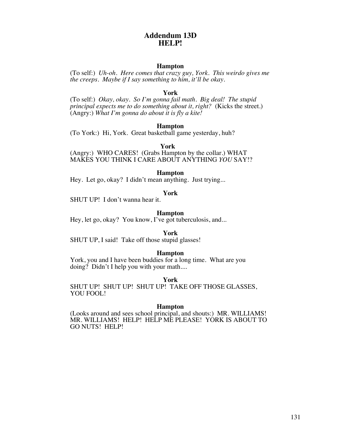## **Addendum 13D HELP!**

#### **Hampton**

(To self:) *Uh-oh. Here comes that crazy guy, York. This weirdo gives me the creeps. Maybe if I say something to him, it'll be okay.*

#### **York**

(To self:) *Okay, okay. So I'm gonna fail math. Big deal! The stupid principal expects me to do something about it, right?* (Kicks the street.) (Angry:) *What I'm gonna do about it is fly a kite!*

#### **Hampton**

(To York:) Hi, York. Great basketball game yesterday, huh?

#### **York**

(Angry:) WHO CARES! (Grabs Hampton by the collar.) WHAT MAKES YOU THINK I CARE ABOUT ANYTHING *YOU* SAY!?

#### **Hampton**

Hey. Let go, okay? I didn't mean anything. Just trying...

#### **York**

SHUT UP! I don't wanna hear it.

#### **Hampton**

Hey, let go, okay? You know, I've got tuberculosis, and...

#### **York**

SHUT UP, I said! Take off those stupid glasses!

#### **Hampton**

York, you and I have been buddies for a long time. What are you doing? Didn't I help you with your math....

#### **York**

SHUT UP! SHUT UP! SHUT UP! TAKE OFF THOSE GLASSES, YOU FOOL!

#### **Hampton**

(Looks around and sees school principal, and shouts:) MR. WILLIAMS! MR. WILLIAMS! HELP! HELP ME PLEASE! YORK IS ABOUT TO GO NUTS! HELP!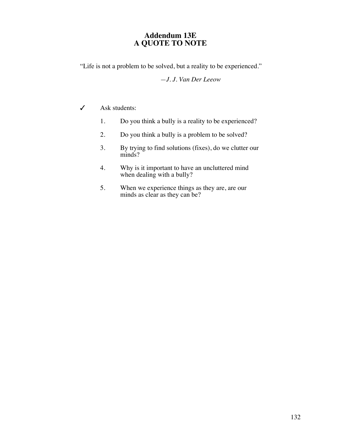## **Addendum 13E A QUOTE TO NOTE**

"Life is not a problem to be solved, but a reality to be experienced."

*—J. J. Van Der Leeow*

- $\checkmark$  Ask students:
	- 1. Do you think a bully is a reality to be experienced?
	- 2. Do you think a bully is a problem to be solved?
	- 3. By trying to find solutions (fixes), do we clutter our minds?
	- 4. Why is it important to have an uncluttered mind when dealing with a bully?
	- 5. When we experience things as they are, are our minds as clear as they can be?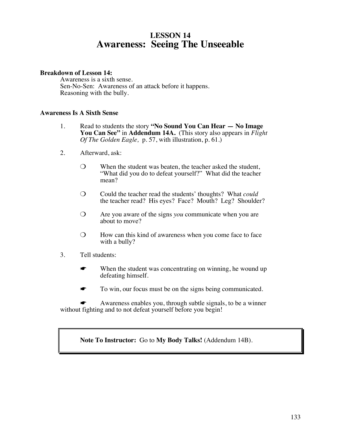# **LESSON 14 Awareness: Seeing The Unseeable**

### **Breakdown of Lesson 14:**

Awareness is a sixth sense. Sen-No-Sen: Awareness of an attack before it happens. Reasoning with the bully.

### **Awareness Is A Sixth Sense**

- 1. Read to students the story **"No Sound You Can Hear — No Image You Can See"** in **Addendum 14A.** (This story also appears in *Flight Of The Golden Eagle,* p. 57, with illustration, p. 61.)
- 2. Afterward, ask:
	- ! When the student was beaten, the teacher asked the student, "What did you do to defeat yourself?" What did the teacher mean?
	- ! Could the teacher read the students' thoughts? What *could* the teacher read? His eyes? Face? Mouth? Leg? Shoulder?
	- ! Are you aware of the signs *you* communicate when you are about to move?
	- ! How can this kind of awareness when you come face to face with a bully?
- 3. Tell students:
	- When the student was concentrating on winning, he wound up defeating himself.
	- To win, our focus must be on the signs being communicated.

Awareness enables you, through subtle signals, to be a winner without fighting and to not defeat yourself before you begin!

**Note To Instructor:** Go to **My Body Talks!** (Addendum 14B).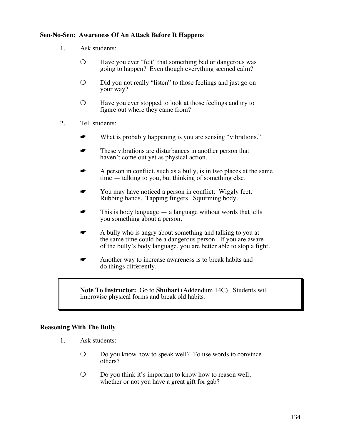## **Sen-No-Sen: Awareness Of An Attack Before It Happens**

- 1. Ask students:
	- ! Have you ever "felt" that something bad or dangerous was going to happen? Even though everything seemed calm?
	- ! Did you not really "listen" to those feelings and just go on your way?
	- ! Have you ever stopped to look at those feelings and try to figure out where they came from?
- 2. Tell students:
	- What is probably happening is you are sensing "vibrations."
	- These vibrations are disturbances in another person that haven't come out yet as physical action.
	- A person in conflict, such as a bully, is in two places at the same time — talking to you, but thinking of something else.
	- You may have noticed a person in conflict: Wiggly feet. Rubbing hands. Tapping fingers. Squirming body.
	- This is body language  $-$  a language without words that tells you something about a person.
	- " A bully who is angry about something and talking to you at the same time could be a dangerous person. If you are aware of the bully's body language, you are better able to stop a fight.
	- Another way to increase awareness is to break habits and do things differently.

**Note To Instructor:** Go to **Shuhari** (Addendum 14C). Students will improvise physical forms and break old habits.

## **Reasoning With The Bully**

- 1. Ask students:
	- ! Do you know how to speak well? To use words to convince others?
	- ! Do you think it's important to know how to reason well, whether or not you have a great gift for gab?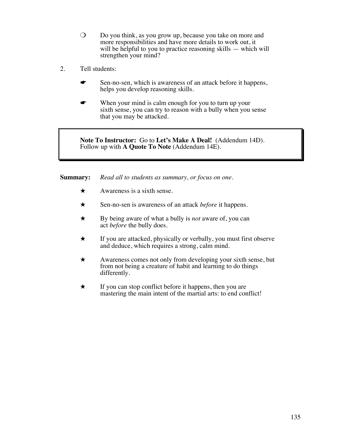- ! Do you think, as you grow up, because you take on more and more responsibilities and have more details to work out, it will be helpful to you to practice reasoning skills — which will strengthen your mind?
- 2. Tell students:
	- Sen-no-sen, which is awareness of an attack before it happens, helps you develop reasoning skills.
	- When your mind is calm enough for you to turn up your sixth sense, you can try to reason with a bully when you sense that you may be attacked.

**Note To Instructor:** Go to **Let's Make A Deal!** (Addendum 14D). Follow up with **A Quote To Note** (Addendum 14E).

**Summary:** *Read all to students as summary, or focus on one.*

- $\star$  Awareness is a sixth sense.
- **★** Sen-no-sen is awareness of an attack *before* it happens.
- ★ By being aware of what a bully is *not* aware of, you can act *before* the bully does.
- $\star$  If you are attacked, physically or verbally, you must first observe and deduce, which requires a strong, calm mind.
- $\star$  Awareness comes not only from developing your sixth sense, but from not being a creature of habit and learning to do things differently.
- $\star$  If you can stop conflict before it happens, then you are mastering the main intent of the martial arts: to end conflict!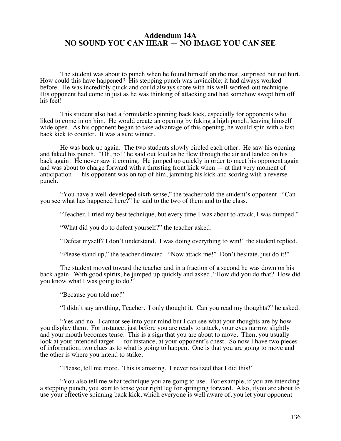## **Addendum 14A NO SOUND YOU CAN HEAR — NO IMAGE YOU CAN SEE**

The student was about to punch when he found himself on the mat, surprised but not hurt. How could this have happened? His stepping punch was invincible; it had always worked before. He was incredibly quick and could always score with his well-worked-out technique. His opponent had come in just as he was thinking of attacking and had somehow swept him off his feet!

This student also had a formidable spinning back kick, especially for opponents who liked to come in on him. He would create an opening by faking a high punch, leaving himself wide open. As his opponent began to take advantage of this opening, he would spin with a fast back kick to counter. It was a sure winner.

He was back up again. The two students slowly circled each other. He saw his opening and faked his punch. "Oh, no!" he said out loud as he flew through the air and landed on his back again! He never saw it coming. He jumped up quickly in order to meet his opponent again and was about to charge forward with a thrusting front kick when  $-$  at that very moment of anticipation — his opponent was on top of him, jamming his kick and scoring with a reverse punch.

"You have a well-developed sixth sense," the teacher told the student's opponent. "Can you see what has happened here?" he said to the two of them and to the class.

"Teacher, I tried my best technique, but every time I was about to attack, I was dumped."

"What did you do to defeat yourself?" the teacher asked.

"Defeat myself? I don't understand. I was doing everything to win!" the student replied.

"Please stand up," the teacher directed. "Now attack me!" Don't hesitate, just do it!"

The student moved toward the teacher and in a fraction of a second he was down on his back again. With good spirits, he jumped up quickly and asked, "How did you do that? How did you know what I was going to do?"

"Because you told me!"

"I didn't say anything, Teacher. I only thought it. Can you read my thoughts?" he asked.

"Yes and no. I cannot see into your mind but I can see what your thoughts are by how you display them. For instance, just before you are ready to attack, your eyes narrow slightly and your mouth becomes tense. This is a sign that you are about to move. Then, you usually look at your intended target — for instance, at your opponent's chest. So now I have two pieces of information, two clues as to what is going to happen. One is that you are going to move and the other is where you intend to strike.

"Please, tell me more. This is amazing. I never realized that I did this!"

"You also tell me what technique you are going to use. For example, if you are intending a stepping punch, you start to tense your right leg for springing forward. Also, ifyou are about to use your effective spinning back kick, which everyone is well aware of, you let your opponent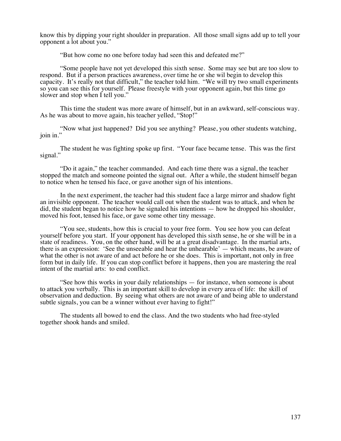know this by dipping your right shoulder in preparation. All those small signs add up to tell your opponent a lot about you."

"But how come no one before today had seen this and defeated me?"

"Some people have not yet developed this sixth sense. Some may see but are too slow to respond. But if a person practices awareness, over time he or she wil begin to develop this capacity. It's really not that difficult," the teacher told him. "We will try two small experiments so you can see this for yourself. Please freestyle with your opponent again, but this time go slower and stop when I tell you."

This time the student was more aware of himself, but in an awkward, self-conscious way. As he was about to move again, his teacher yelled, "Stop!"

"Now what just happened? Did you see anything? Please, you other students watching, join in."

The student he was fighting spoke up first. "Your face became tense. This was the first signal."

"Do it again," the teacher commanded. And each time there was a signal, the teacher stopped the match and someone pointed the signal out. After a while, the student himself began to notice when he tensed his face, or gave another sign of his intentions.

In the next experiment, the teacher had this student face a large mirror and shadow fight an invisible opponent. The teacher would call out when the student was to attack, and when he did, the student began to notice how he signaled his intentions — how he dropped his shoulder, moved his foot, tensed his face, or gave some other tiny message.

"You see, students, how this is crucial to your free form. You see how you can defeat yourself before you start. If your opponent has developed this sixth sense, he or she will be in a state of readiness. You, on the other hand, will be at a great disadvantage. In the martial arts, there is an expression: 'See the unseeable and hear the unhearable' — which means, be aware of what the other is not aware of and act before he or she does. This is important, not only in free form but in daily life. If you can stop conflict before it happens, then you are mastering the real intent of the martial arts: to end conflict.

"See how this works in your daily relationships — for instance, when someone is about to attack you verbally. This is an important skill to develop in every area of life: the skill of observation and deduction. By seeing what others are not aware of and being able to understand subtle signals, you can be a winner without ever having to fight!"

The students all bowed to end the class. And the two students who had free-styled together shook hands and smiled.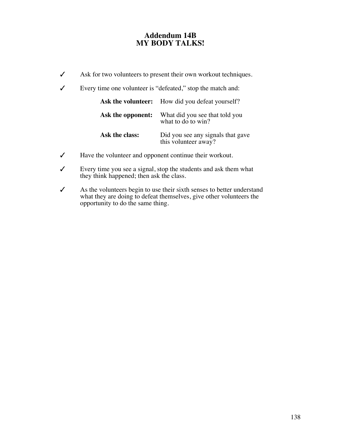## **Addendum 14B MY BODY TALKS!**

- $\checkmark$  Ask for two volunteers to present their own workout techniques.
- $\checkmark$  Every time one volunteer is "defeated," stop the match and:

|                   | <b>Ask the volunteer:</b> How did you defeat yourself?    |
|-------------------|-----------------------------------------------------------|
| Ask the opponent: | What did you see that told you<br>what to do to win?      |
| Ask the class:    | Did you see any signals that gave<br>this volunteer away? |

- $\checkmark$  Have the volunteer and opponent continue their workout.
- $\checkmark$  Every time you see a signal, stop the students and ask them what they think happened; then ask the class.
- $\checkmark$  As the volunteers begin to use their sixth senses to better understand what they are doing to defeat themselves, give other volunteers the opportunity to do the same thing.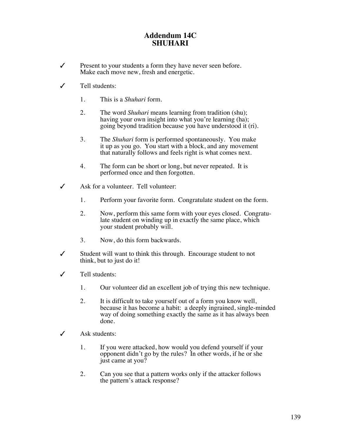## **Addendum 14C SHUHARI**

- $\checkmark$  Present to your students a form they have never seen before. Make each move new, fresh and energetic.
- $\checkmark$  Tell students:
	- 1. This is a *Shuhari* form.
	- 2. The word *Shuhari* means learning from tradition (shu); having your own insight into what you're learning (ha); going beyond tradition because you have understood it (ri).
	- 3. The *Shuhari* form is performed spontaneously. You make it up as you go. You start with a block, and any movement that naturally follows and feels right is what comes next.
	- 4. The form can be short or long, but never repeated. It is performed once and then forgotten.
- $\checkmark$  Ask for a volunteer. Tell volunteer:
	- 1. Perform your favorite form. Congratulate student on the form.
	- 2. Now, perform this same form with your eyes closed. Congratulate student on winding up in exactly the same place, which your student probably will.
	- 3. Now, do this form backwards.
- $\checkmark$  Student will want to think this through. Encourage student to not think, but to just do it!
- $\checkmark$  Tell students:
	- 1. Our volunteer did an excellent job of trying this new technique.
	- 2. It is difficult to take yourself out of a form you know well, because it has become a habit: a deeply ingrained, single-minded way of doing something exactly the same as it has always been done.
- $\checkmark$  Ask students:
	- 1. If you were attacked, how would you defend yourself if your opponent didn't go by the rules? In other words, if he or she just came at you?
	- 2. Can you see that a pattern works only if the attacker follows the pattern's attack response?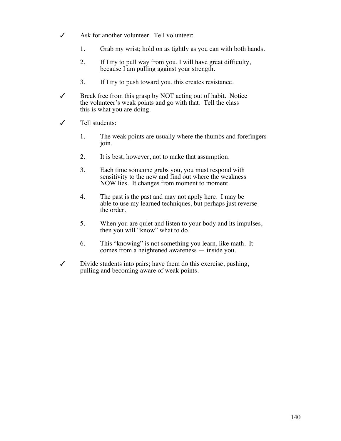- $\checkmark$  Ask for another volunteer. Tell volunteer:
	- 1. Grab my wrist; hold on as tightly as you can with both hands.
	- 2. If I try to pull way from you, I will have great difficulty, because I am pulling against your strength.
	- 3. If I try to push toward you, this creates resistance.
- $\checkmark$  Break free from this grasp by NOT acting out of habit. Notice the volunteer's weak points and go with that. Tell the class this is what you are doing.
- $\checkmark$  Tell students:
	- 1. The weak points are usually where the thumbs and forefingers join.
	- 2. It is best, however, not to make that assumption.
	- 3. Each time someone grabs you, you must respond with sensitivity to the new and find out where the weakness NOW lies. It changes from moment to moment.
	- 4. The past is the past and may not apply here. I may be able to use my learned techniques, but perhaps just reverse the order.
	- 5. When you are quiet and listen to your body and its impulses, then you will "know" what to do.
	- 6. This "knowing" is not something you learn, like math. It comes from a heightened awareness — inside you.
- $\checkmark$  Divide students into pairs; have them do this exercise, pushing, pulling and becoming aware of weak points.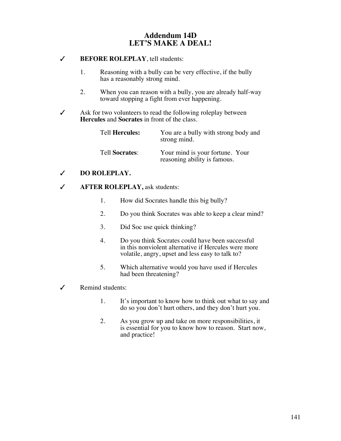## **Addendum 14D LET'S MAKE A DEAL!**

## **SEFORE ROLEPLAY**, tell students:

- 1. Reasoning with a bully can be very effective, if the bully has a reasonably strong mind.
- 2. When you can reason with a bully, you are already half-way toward stopping a fight from ever happening.
- $\checkmark$  Ask for two volunteers to read the following roleplay between **Hercules** and **Socrates** in front of the class.

| Tell <b>Hercules:</b> | You are a bully with strong body and<br>strong mind.            |
|-----------------------|-----------------------------------------------------------------|
| Tell Socrates:        | Your mind is your fortune. Your<br>reasoning ability is famous. |

## $\checkmark$  DO ROLEPLAY.

- $\checkmark$  AFTER ROLEPLAY, ask students:
	- 1. How did Socrates handle this big bully?
	- 2. Do you think Socrates was able to keep a clear mind?
	- 3. Did Soc use quick thinking?
	- 4. Do you think Socrates could have been successful in this nonviolent alternative if Hercules were more volatile, angry, upset and less easy to talk to?
	- 5. Which alternative would you have used if Hercules had been threatening?
- $\checkmark$  Remind students:
	- 1. It's important to know how to think out what to say and do so you don't hurt others, and they don't hurt you.
	- 2. As you grow up and take on more responsibilities, it is essential for you to know how to reason. Start now, and practice!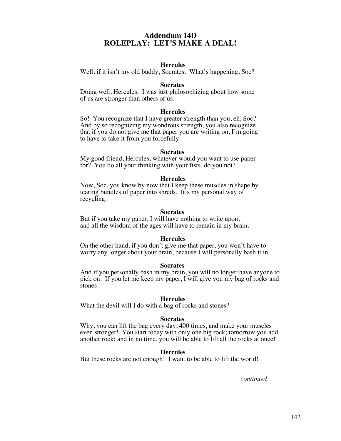## **Addendum 14D ROLEPLAY: LET'S MAKE A DEAL!**

#### **Hercules**

Well, if it isn't my old buddy, Socrates. What's happening, Soc?

#### **Socrates**

Doing well, Hercules. I was just philosophizing about how some of us are stronger than others of us.

#### **Hercules**

So! You recognize that I have greater strength than you, eh, Soc? And by so recognizing my wondrous strength, you also recognize that if you do not give me that paper you are writing on, I'm going to have to take it from you forcefully.

#### **Socrates**

My good friend, Hercules, whatever would you want to use paper for? You do all your thinking with your fists, do you not?

#### **Hercules**

Now, Soc, you know by now that I keep these muscles in shape by tearing bundles of paper into shreds. It's my personal way of recycling.

#### **Socrates**

But if you take my paper, I will have nothing to write upon, and all the wisdom of the ages will have to remain in my brain.

#### **Hercules**

On the other hand, if you don't give me that paper, you won't have to worry any longer about your brain, because  $\overline{I}$  will personally bash it in.

#### **Socrates**

And if you personally bash in my brain, you will no longer have anyone to pick on. If you let me keep my paper, I will give you my bag of rocks and stones.

#### **Hercules**

What the devil will I do with a bag of rocks and stones?

#### **Socrates**

Why, you can lift the bag every day, 400 times, and make your muscles even stronger! You start today with only one big rock; tomorrow you add another rock; and in no time, you will be able to lift all the rocks at once!

#### **Hercules**

But these rocks are not enough! I want to be able to lift the world!

*continued*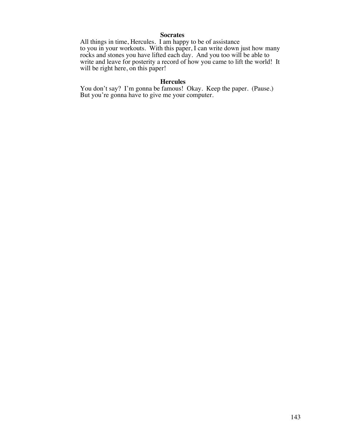## **Socrates**

All things in time, Hercules. I am happy to be of assistance to you in your workouts. With this paper, I can write down just how many rocks and stones you have lifted each day. And you too will be able to write and leave for posterity a record of how you came to lift the world! It will be right here, on this paper!

#### **Hercules**

You don't say? I'm gonna be famous! Okay. Keep the paper. (Pause.) But you're gonna have to give me your computer.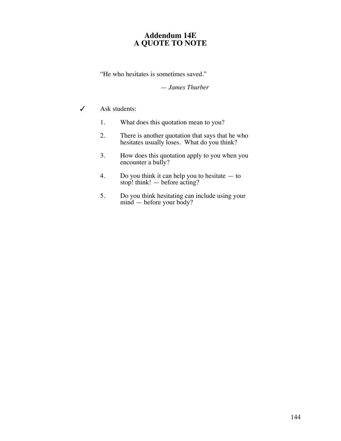## **Addendum 14E A QUOTE TO NOTE**

"He who hesitates is sometimes saved."

— *James Thurber*

- $\checkmark$  Ask students:
	- 1. What does this quotation mean to you?
	- 2. There is another quotation that says that he who hesitates usually loses. What do you think?
	- 3. How does this quotation apply to you when you encounter a bully?
	- 4. Do you think it can help you to hesitate to stop! think! — before acting?
	- 5. Do you think hesitating can include using your mind — before your body?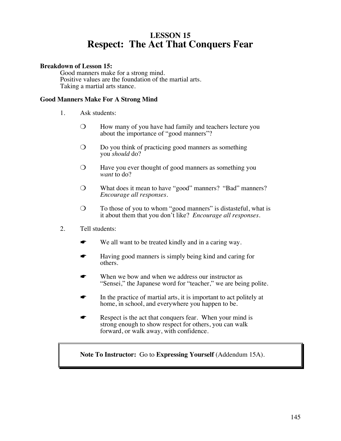# **LESSON 15 Respect: The Act That Conquers Fear**

#### **Breakdown of Lesson 15:**

Good manners make for a strong mind. Positive values are the foundation of the martial arts. Taking a martial arts stance.

#### **Good Manners Make For A Strong Mind**

- 1. Ask students:
	- ! How many of you have had family and teachers lecture you about the importance of "good manners"?
	- $\bigcirc$  Do you think of practicing good manners as something you *should* do?
	- ! Have you ever thought of good manners as something you *want* to do?
	- ! What does it mean to have "good" manners? "Bad" manners? *Encourage all responses.*
	- ! To those of you to whom "good manners" is distasteful, what is it about them that you don't like? *Encourage all responses.*
- 2. Tell students:
	- We all want to be treated kindly and in a caring way.
	- Having good manners is simply being kind and caring for others.
	- When we bow and when we address our instructor as "Sensei," the Japanese word for "teacher," we are being polite.
	- In the practice of martial arts, it is important to act politely at home, in school, and everywhere you happen to be.
	- Respect is the act that conquers fear. When your mind is strong enough to show respect for others, you can walk forward, or walk away, with confidence.

Note To Instructor: Go to Expressing Yourself (Addendum 15A).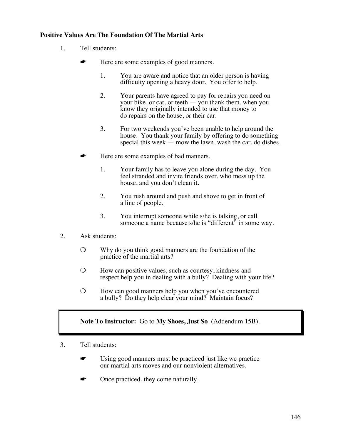## **Positive Values Are The Foundation Of The Martial Arts**

- 1. Tell students:
	- Here are some examples of good manners.
		- 1. You are aware and notice that an older person is having difficulty opening a heavy door. You offer to help.
		- 2. Your parents have agreed to pay for repairs you need on your bike, or car, or teeth — you thank them, when you know they originally intended to use that money to do repairs on the house, or their car.
		- 3. For two weekends you've been unable to help around the house. You thank your family by offering to do something special this week — mow the lawn, wash the car, do dishes.
	- Here are some examples of bad manners.
		- 1. Your family has to leave you alone during the day. You feel stranded and invite friends over, who mess up the house, and you don't clean it.
		- 2. You rush around and push and shove to get in front of a line of people.
		- 3. You interrupt someone while s/he is talking, or call someone a name because s/he is "different" in some way.
- 2. Ask students:
	- $\bigcirc$  Why do you think good manners are the foundation of the practice of the martial arts?
	- ! How can positive values, such as courtesy, kindness and respect help you in dealing with a bully? Dealing with your life?
	- ! How can good manners help you when you've encountered a bully? Do they help clear your mind? Maintain focus?

#### **Note To Instructor:** Go to **My Shoes, Just So** (Addendum 15B).

- 3. Tell students:
	- Using good manners must be practiced just like we practice our martial arts moves and our nonviolent alternatives.
	- Once practiced, they come naturally.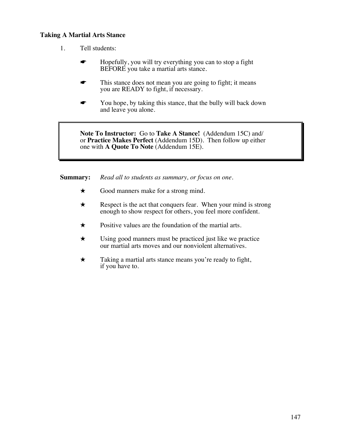## **Taking A Martial Arts Stance**

- 1. Tell students:
	- $\bullet$  Hopefully, you will try everything you can to stop a fight BEFORE you take a martial arts stance.
	- This stance does not mean you are going to fight; it means you are READY to fight, if necessary.
	- You hope, by taking this stance, that the bully will back down and leave you alone.

**Note To Instructor:** Go to **Take A Stance!** (Addendum 15C) and/ or **Practice Makes Perfect** (Addendum 15D). Then follow up either one with **A Quote To Note** (Addendum 15E).

**Summary:** *Read all to students as summary, or focus on one.*

- $\star$  Good manners make for a strong mind.
- $\star$  Respect is the act that conquers fear. When your mind is strong enough to show respect for others, you feel more confident.
- $\star$  Positive values are the foundation of the martial arts.
- $\star$  Using good manners must be practiced just like we practice our martial arts moves and our nonviolent alternatives.
- Taking a martial arts stance means you're ready to fight, if you have to.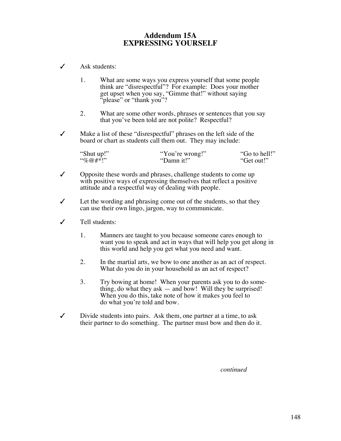## **Addendum 15A EXPRESSING YOURSELF**

- $\checkmark$  Ask students:
	- 1. What are some ways you express yourself that some people think are "disrespectful"? For example: Does your mother get upset when you say, "Gimme that!" without saying "please" or "thank you"?
	- 2. What are some other words, phrases or sentences that you say that you've been told are not polite? Respectful?
- $\checkmark$  Make a list of these "disrespectful" phrases on the left side of the board or chart as students call them out. They may include:

| "Shut up!"   | "You're wrong!" | "Go to hell!" |
|--------------|-----------------|---------------|
| $``\%$ @#*!" | "Damn it!"      | "Get out!"    |

- $\checkmark$  Opposite these words and phrases, challenge students to come up with positive ways of expressing themselves that reflect a positive attitude and a respectful way of dealing with people.
- $\checkmark$  Let the wording and phrasing come out of the students, so that they can use their own lingo, jargon, way to communicate.
- $\checkmark$  Tell students:
	- 1. Manners are taught to you because someone cares enough to want you to speak and act in ways that will help you get along in this world and help you get what you need and want.
	- 2. In the martial arts, we bow to one another as an act of respect. What do you do in your household as an act of respect?
	- 3. Try bowing at home! When your parents ask you to do something, do what they ask  $-$  and bow! Will they be surprised! When you do this, take note of how it makes you feel to do what you're told and bow.
- $\checkmark$  Divide students into pairs. Ask them, one partner at a time, to ask their partner to do something. The partner must bow and then do it.

*continued*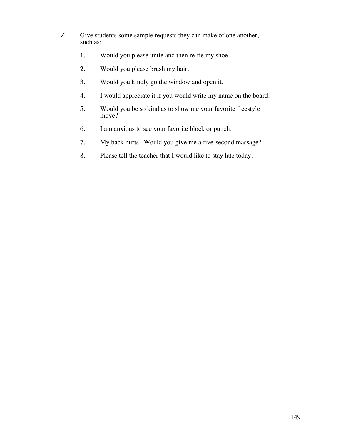- $\checkmark$  Give students some sample requests they can make of one another, such as:
	- 1. Would you please untie and then re-tie my shoe.
	- 2. Would you please brush my hair.
	- 3. Would you kindly go the window and open it.
	- 4. I would appreciate it if you would write my name on the board.
	- 5. Would you be so kind as to show me your favorite freestyle move?
	- 6. I am anxious to see your favorite block or punch.
	- 7. My back hurts. Would you give me a five-second massage?
	- 8. Please tell the teacher that I would like to stay late today.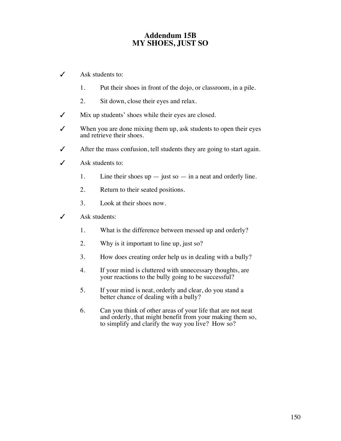## **Addendum 15B MY SHOES, JUST SO**

- $\angle$  Ask students to:
	- 1. Put their shoes in front of the dojo, or classroom, in a pile.
	- 2. Sit down, close their eyes and relax.
- $\checkmark$  Mix up students' shoes while their eyes are closed.
- $\checkmark$  When you are done mixing them up, ask students to open their eyes and retrieve their shoes.
- $\checkmark$  After the mass confusion, tell students they are going to start again.
- $\checkmark$  Ask students to:
	- 1. Line their shoes  $up$  just so in a neat and orderly line.
	- 2. Return to their seated positions.
	- 3. Look at their shoes now.
- $\checkmark$  Ask students:
	- 1. What is the difference between messed up and orderly?
	- 2. Why is it important to line up, just so?
	- 3. How does creating order help us in dealing with a bully?
	- 4. If your mind is cluttered with unnecessary thoughts, are your reactions to the bully going to be successful?
	- 5. If your mind is neat, orderly and clear, do you stand a better chance of dealing with a bully?
	- 6. Can you think of other areas of your life that are not neat and orderly, that might benefit from your making them so, to simplify and clarify the way you live? How so?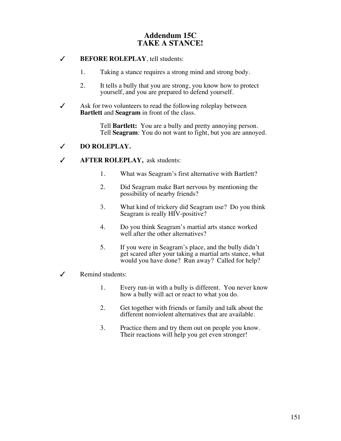## **Addendum 15C TAKE A STANCE!**

## **SEFORE ROLEPLAY**, tell students:

- 1. Taking a stance requires a strong mind and strong body.
- 2. It tells a bully that you are strong, you know how to protect yourself, and you are prepared to defend yourself.
- $\checkmark$  Ask for two volunteers to read the following roleplay between **Bartlett** and **Seagram** in front of the class.

Tell **Bartlett:** You are a bully and pretty annoying person. Tell **Seagram**: You do not want to fight, but you are annoyed.

## $\checkmark$  DO ROLEPLAY.

- \$ **AFTER ROLEPLAY,** ask students:
	- 1. What was Seagram's first alternative with Bartlett?
	- 2. Did Seagram make Bart nervous by mentioning the possibility of nearby friends?
	- 3. What kind of trickery did Seagram use? Do you think Seagram is really HIV-positive?
	- 4. Do you think Seagram's martial arts stance worked well after the other alternatives?
	- 5. If you were in Seagram's place, and the bully didn't get scared after your taking a martial arts stance, what would you have done? Run away? Called for help?
- $\checkmark$  Remind students:
	- 1. Every run-in with a bully is different. You never know how a bully will act or react to what you do.
	- 2. Get together with friends or family and talk about the different nonviolent alternatives that are available.
	- 3. Practice them and try them out on people you know. Their reactions will help you get even stronger!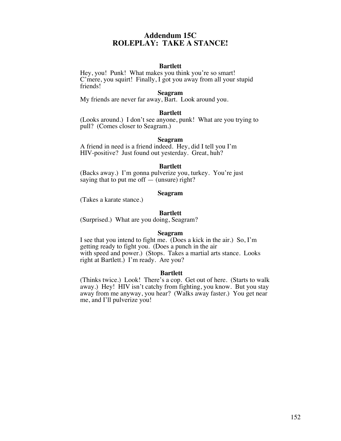## **Addendum 15C ROLEPLAY: TAKE A STANCE!**

#### **Bartlett**

Hey, you! Punk! What makes you think you're so smart! C'mere, you squirt! Finally, I got you away from all your stupid friends!

#### **Seagram**

My friends are never far away, Bart. Look around you.

#### **Bartlett**

(Looks around.) I don't see anyone, punk! What are you trying to pull? (Comes closer to Seagram.)

#### **Seagram**

A friend in need is a friend indeed. Hey, did I tell you I'm HIV-positive? Just found out yesterday. Great, huh?

#### **Bartlett**

(Backs away.) I'm gonna pulverize you, turkey. You're just saying that to put me of  $-$  (unsure) right?

#### **Seagram**

(Takes a karate stance.)

#### **Bartlett**

(Surprised.) What are you doing, Seagram?

#### **Seagram**

I see that you intend to fight me. (Does a kick in the air.) So, I'm getting ready to fight you. (Does a punch in the air with speed and power.) (Stops. Takes a martial arts stance. Looks right at Bartlett.) I'm ready. Are you?

#### **Bartlett**

(Thinks twice.) Look! There's a cop. Get out of here. (Starts to walk away.) Hey! HIV isn't catchy from fighting, you know. But you stay away from me anyway, you hear? (Walks away faster.) You get near me, and I'll pulverize you!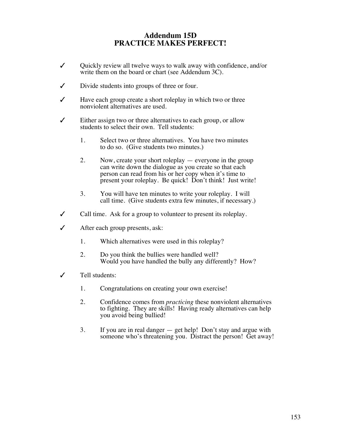## **Addendum 15D PRACTICE MAKES PERFECT!**

- $\checkmark$  Quickly review all twelve ways to walk away with confidence, and/or write them on the board or chart (see Addendum 3C).
- $\checkmark$  Divide students into groups of three or four.
- $\checkmark$  Have each group create a short roleplay in which two or three nonviolent alternatives are used.
- $\checkmark$  Either assign two or three alternatives to each group, or allow students to select their own. Tell students:
	- 1. Select two or three alternatives. You have two minutes to do so. (Give students two minutes.)
	- 2. Now, create your short roleplay everyone in the group can write down the dialogue as you create so that each person can read from his or her copy when it's time to present your roleplay. Be quick! Don't think! Just write!
	- 3. You will have ten minutes to write your roleplay. I will call time. (Give students extra few minutes, if necessary.)
- $\checkmark$  Call time. Ask for a group to volunteer to present its roleplay.
- $\checkmark$  After each group presents, ask:
	- 1. Which alternatives were used in this roleplay?
	- 2. Do you think the bullies were handled well? Would you have handled the bully any differently? How?
- $\checkmark$  Tell students:
	- 1. Congratulations on creating your own exercise!
	- 2. Confidence comes from *practicing* these nonviolent alternatives to fighting. They are skills! Having ready alternatives can help you avoid being bullied!
	- 3. If you are in real danger get help! Don't stay and argue with someone who's threatening you. Distract the person! Get away!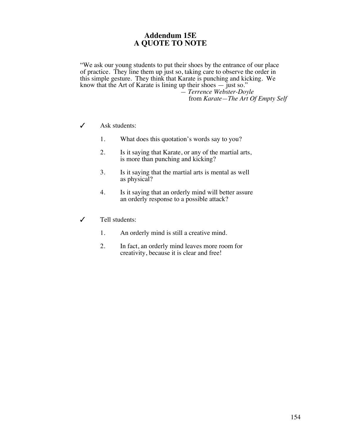## **Addendum 15E A QUOTE TO NOTE**

"We ask our young students to put their shoes by the entrance of our place of practice. They line them up just so, taking care to observe the order in this simple gesture. They think that Karate is punching and kicking. We know that the Art of Karate is lining up their shoes — just so."

*— Terrence Webster-Doyle* from *Karate—The Art Of Empty Self*

- $\checkmark$  Ask students:
	- 1. What does this quotation's words say to you?
	- 2. Is it saying that Karate, or any of the martial arts, is more than punching and kicking?
	- 3. Is it saying that the martial arts is mental as well as physical?
	- 4. Is it saying that an orderly mind will better assure an orderly response to a possible attack?
- $\checkmark$  Tell students:
	- 1. An orderly mind is still a creative mind.
	- 2. In fact, an orderly mind leaves more room for creativity, because it is clear and free!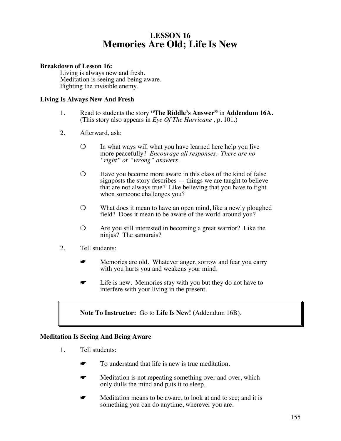# **LESSON 16 Memories Are Old; Life Is New**

#### **Breakdown of Lesson 16:**

Living is always new and fresh. Meditation is seeing and being aware. Fighting the invisible enemy.

#### **Living Is Always New And Fresh**

- 1. Read to students the story **"The Riddle's Answer"** in **Addendum 16A.**  (This story also appears in *Eye Of The Hurricane ,* p. 101.)
- 2. Afterward, ask:
	- $\bigcirc$  In what ways will what you have learned here help you live more peacefully? *Encourage all responses. There are no "right" or "wrong" answers.*
	- ! Have you become more aware in this class of the kind of false signposts the story describes — things we are taught to believe that are not always true? Like believing that you have to fight when someone challenges you?
	- ! What does it mean to have an open mind, like a newly ploughed field? Does it mean to be aware of the world around you?
	- $\Omega$  Are you still interested in becoming a great warrior? Like the ninjas? The samurais?
- 2. Tell students:
	- Memories are old. Whatever anger, sorrow and fear you carry with you hurts you and weakens your mind.
	- Life is new. Memories stay with you but they do not have to interfere with your living in the present.

## **Note To Instructor:** Go to **Life Is New!** (Addendum 16B).

#### **Meditation Is Seeing And Being Aware**

- 1. Tell students:
	- To understand that life is new is true meditation.
	- Meditation is not repeating something over and over, which only dulls the mind and puts it to sleep.
	- Meditation means to be aware, to look at and to see; and it is something you can do anytime, wherever you are.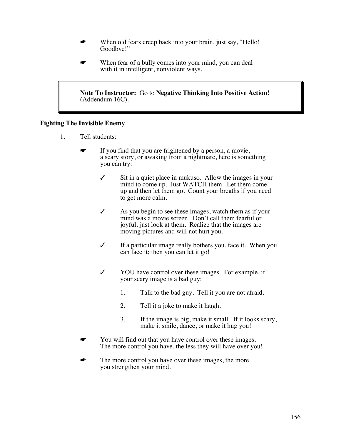- When old fears creep back into your brain, just say, "Hello! Goodbye!"
- When fear of a bully comes into your mind, you can deal with it in intelligent, nonviolent ways.

**Note To Instructor:** Go to **Negative Thinking Into Positive Action!**  (Addendum 16C).

## **Fighting The Invisible Enemy**

- 1. Tell students:
	- If you find that you are frightened by a person, a movie, a scary story, or awaking from a nightmare, here is something you can try:
		- $\checkmark$  Sit in a quiet place in mukuso. Allow the images in your mind to come up. Just WATCH them. Let them come up and then let them go. Count your breaths if you need to get more calm.
		- $\checkmark$  As you begin to see these images, watch them as if your mind was a movie screen. Don't call them fearful or joyful; just look at them. Realize that the images are moving pictures and will not hurt you.
		- $\checkmark$  If a particular image really bothers you, face it. When you can face it; then you can let it go!
		- $\checkmark$  YOU have control over these images. For example, if your scary image is a bad guy:
			- 1. Talk to the bad guy. Tell it you are not afraid.
			- 2. Tell it a joke to make it laugh.
			- 3. If the image is big, make it small. If it looks scary, make it smile, dance, or make it hug you!
	- You will find out that you have control over these images. The more control you have, the less they will have over you!
	- The more control you have over these images, the more you strengthen your mind.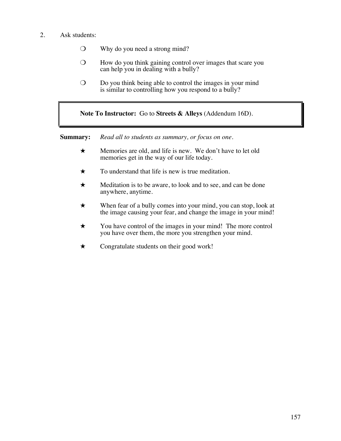- 2. Ask students:
	- ! Why do you need a strong mind?
	- ! How do you think gaining control over images that scare you can help you in dealing with a bully?
	- ! Do you think being able to control the images in your mind is similar to controlling how you respond to a bully?

**Note To Instructor:** Go to **Streets & Alleys** (Addendum 16D).

**Summary:** *Read all to students as summary, or focus on one.*

- $\star$  Memories are old, and life is new. We don't have to let old memories get in the way of our life today.
- $\star$  To understand that life is new is true meditation.
- $\star$  Meditation is to be aware, to look and to see, and can be done anywhere, anytime.
- $\star$  When fear of a bully comes into your mind, you can stop, look at the image causing your fear, and change the image in your mind!
- $\star$  You have control of the images in your mind! The more control you have over them, the more you strengthen your mind.
- $\star$  Congratulate students on their good work!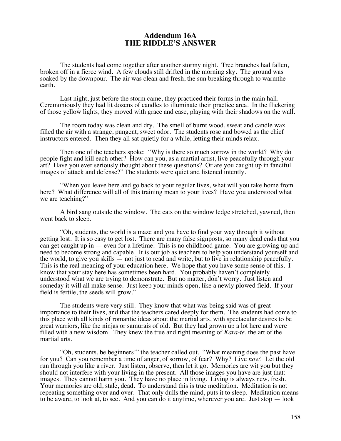#### **Addendum 16A THE RIDDLE'S ANSWER**

The students had come together after another stormy night. Tree branches had fallen, broken off in a fierce wind. A few clouds still drifted in the morning sky. The ground was soaked by the downpour. The air was clean and fresh, the sun breaking through to warmthe earth.

Last night, just before the storm came, they practiced their forms in the main hall. Ceremoniously they had lit dozens of candles to illuminate their practice area. In the flickering of those yellow lights, they moved with grace and ease, playing with their shadows on the wall.

The room today was clean and dry. The smell of burnt wood, sweat and candle wax filled the air with a strange, pungent, sweet odor. The students rose and bowed as the chief instructors entered. Then they all sat quietly for a while, letting their minds relax.

Then one of the teachers spoke: "Why is there so much sorrow in the world? Why do people fight and kill each other? How can you, as a martial artist, live peacefully through your art? Have you ever seriously thought about these questions? Or are you caught up in fanciful images of attack and defense?" The students were quiet and listened intently.

"When you leave here and go back to your regular lives, what will you take home from here? What difference will all of this training mean to your lives? Have you understood what we are teaching?"

A bird sang outside the window. The cats on the window ledge stretched, yawned, then went back to sleep.

"Oh, students, the world is a maze and you have to find your way through it without getting lost. It is so easy to get lost. There are many false signposts, so many dead ends that you can get caught up in — even for a lifetime. This is no childhood game. You are growing up and need to become strong and capable. It is our job as teachers to help you understand yourself and the world, to give you skills — not just to read and write, but to live in relationship peacefully. This is the real meaning of your education here. We hope that you have some sense of this. I know that your stay here has sometimes been hard. You probably haven't completely understood what we are trying to demonstrate. But no matter, don't worry. Just listen and someday it will all make sense. Just keep your minds open, like a newly plowed field. If your field is fertile, the seeds will grow."

The students were very still. They know that what was being said was of great importance to their lives, and that the teachers cared deeply for them. The students had come to this place with all kinds of romantic ideas about the martial arts, with spectacular desires to be great warriors, like the ninjas or samurais of old. But they had grown up a lot here and were filled with a new wisdom. They knew the true and right meaning of *Kara-te*, the art of the martial arts.

"Oh, students, be beginners!" the teacher called out. "What meaning does the past have for you? Can you remember a time of anger, of sorrow, of fear? Why? Live *now*! Let the old run through you like a river. Just listen, observe, then let it go. Memories are wit you but they should not interfere with your living in the present. All those images you have are just that: images. They cannot harm you. They have no place in living. Living is always new, fresh. Your memories are old, stale, dead. To understand this is true meditation. Meditation is not repeating something over and over. That only dulls the mind, puts it to sleep. Meditation means to be aware, to look at, to see. And you can do it anytime, wherever you are. Just stop — look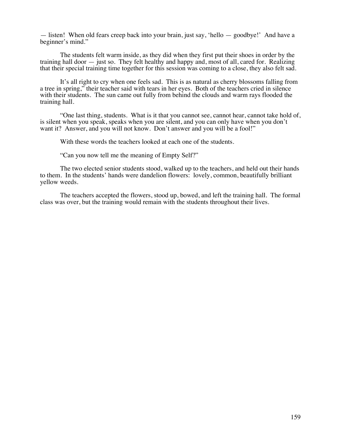— listen! When old fears creep back into your brain, just say, 'hello — goodbye!' And have a beginner's mind."

The students felt warm inside, as they did when they first put their shoes in order by the training hall door — just so. They felt healthy and happy and, most of all, cared for. Realizing that their special training time together for this session was coming to a close, they also felt sad.

It's all right to cry when one feels sad. This is as natural as cherry blossoms falling from a tree in spring," their teacher said with tears in her eyes. Both of the teachers cried in silence with their students. The sun came out fully from behind the clouds and warm rays flooded the training hall.

"One last thing, students. What is it that you cannot see, cannot hear, cannot take hold of, is silent when you speak, speaks when you are silent, and you can only have when you don't want it? Answer, and you will not know. Don't answer and you will be a fool!"

With these words the teachers looked at each one of the students.

"Can you now tell me the meaning of Empty Self?"

The two elected senior students stood, walked up to the teachers, and held out their hands to them. In the students' hands were dandelion flowers: lovely, common, beautifully brilliant yellow weeds.

The teachers accepted the flowers, stood up, bowed, and left the training hall. The formal class was over, but the training would remain with the students throughout their lives.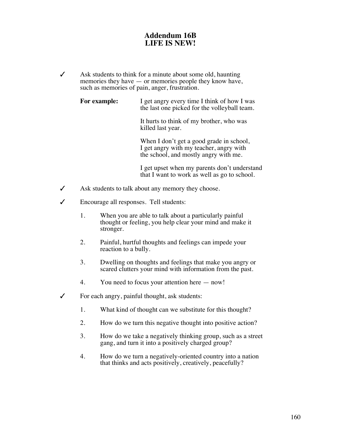## **Addendum 16B LIFE IS NEW!**

 $\checkmark$  Ask students to think for a minute about some old, haunting memories they have — or memories people they know have, such as memories of pain, anger, frustration.

> For example: I get angry every time I think of how I was the last one picked for the volleyball team. It hurts to think of my brother, who was killed last year. When I don't get a good grade in school, I get angry with my teacher, angry with the school, and mostly angry with me. I get upset when my parents don't understand that I want to work as well as go to school.

- $\checkmark$  Ask students to talk about any memory they choose.
- $\checkmark$  Encourage all responses. Tell students:
	- 1. When you are able to talk about a particularly painful thought or feeling, you help clear your mind and make it stronger.
	- 2. Painful, hurtful thoughts and feelings can impede your reaction to a bully.
	- 3. Dwelling on thoughts and feelings that make you angry or scared clutters your mind with information from the past.
	- 4. You need to focus your attention here now!
- $\checkmark$  For each angry, painful thought, ask students:
	- 1. What kind of thought can we substitute for this thought?
	- 2. How do we turn this negative thought into positive action?
	- 3. How do we take a negatively thinking group, such as a street gang, and turn it into a positively charged group?
	- 4. How do we turn a negatively-oriented country into a nation that thinks and acts positively, creatively, peacefully?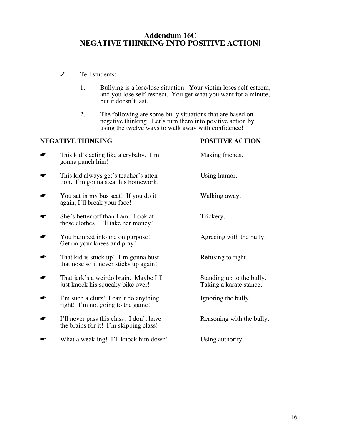## **Addendum 16C NEGATIVE THINKING INTO POSITIVE ACTION!**

- $\checkmark$  Tell students:
	- 1. Bullying is a lose/lose situation. Your victim loses self-esteem, and you lose self-respect. You get what you want for a minute, but it doesn't last.
	- 2. The following are some bully situations that are based on negative thinking. Let's turn them into positive action by using the twelve ways to walk away with confidence!

## **NEGATIVE THINKING POSITIVE ACTION**

This kid's acting like a crybaby. I'm Making friends. gonna punch him! This kid always get's teacher's atten-<br>Using humor. tion. I'm gonna steal his homework. You sat in my bus seat! If you do it Walking away. again, I'll break your face! She's better off than I am. Look at Trickery. those clothes. I'll take her money! You bumped into me on purpose! Agreeing with the bully. Get on your knees and pray! That kid is stuck up! I'm gonna bust Refusing to fight. that nose so it never sticks up again! That jerk's a weirdo brain. Maybe I'll Standing up to the bully.<br>
just knock his squeaky bike over! Taking a karate stance. just knock his squeaky bike over! I'm such a clutz! I can't do anything Ignoring the bully. right! I'm not going to the game! • I'll never pass this class. I don't have Reasoning with the bully. the brains for it! I'm skipping class! What a weakling! I'll knock him down! Using authority.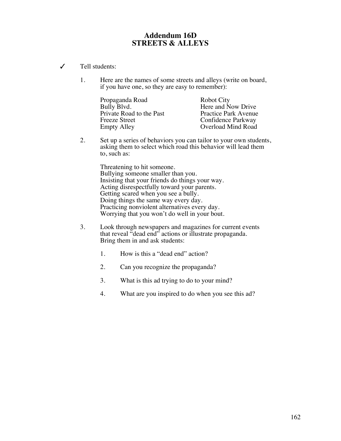## **Addendum 16D STREETS & ALLEYS**

- $\checkmark$  Tell students:
	- 1. Here are the names of some streets and alleys (write on board, if you have one, so they are easy to remember):

| Propaganda Road          | <b>Robot City</b>    |
|--------------------------|----------------------|
| Bully Blvd.              | Here and Now Drive   |
| Private Road to the Past | Practice Park Avenue |
| <b>Freeze Street</b>     | Confidence Parkway   |
| <b>Empty Alley</b>       | Overload Mind Road   |

2. Set up a series of behaviors you can tailor to your own students, asking them to select which road this behavior will lead them to, such as:

> Threatening to hit someone. Bullying someone smaller than you. Insisting that your friends do things your way. Acting disrespectfully toward your parents. Getting scared when you see a bully. Doing things the same way every day. Practicing nonviolent alternatives every day. Worrying that you won't do well in your bout.

- 3. Look through newspapers and magazines for current events that reveal "dead end" actions or illustrate propaganda. Bring them in and ask students:
	- 1. How is this a "dead end" action?
	- 2. Can you recognize the propaganda?
	- 3. What is this ad trying to do to your mind?
	- 4. What are you inspired to do when you see this ad?